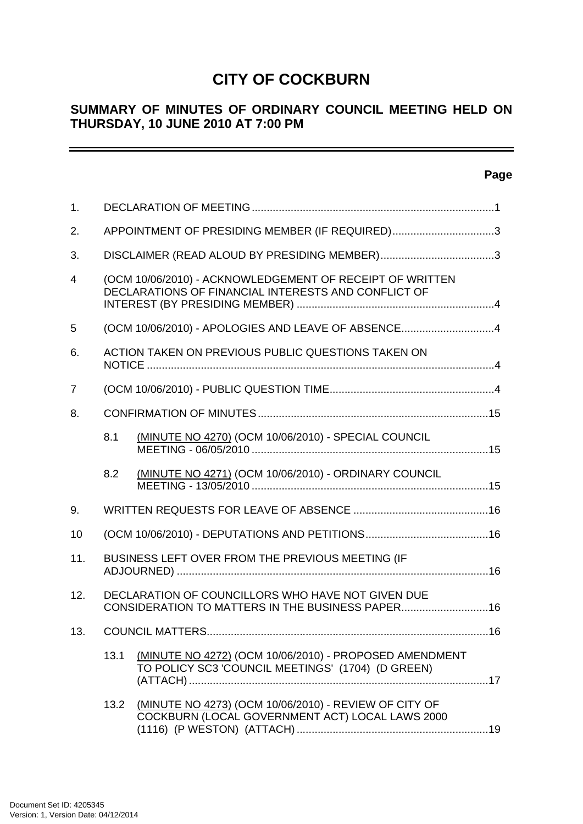# **CITY OF COCKBURN**

# **SUMMARY OF MINUTES OF ORDINARY COUNCIL MEETING HELD ON THURSDAY, 10 JUNE 2010 AT 7:00 PM**

| 1.  |                                                |                                                                                                                 |  |
|-----|------------------------------------------------|-----------------------------------------------------------------------------------------------------------------|--|
| 2.  | APPOINTMENT OF PRESIDING MEMBER (IF REQUIRED)3 |                                                                                                                 |  |
| 3.  |                                                |                                                                                                                 |  |
| 4   |                                                | (OCM 10/06/2010) - ACKNOWLEDGEMENT OF RECEIPT OF WRITTEN<br>DECLARATIONS OF FINANCIAL INTERESTS AND CONFLICT OF |  |
| 5   |                                                | (OCM 10/06/2010) - APOLOGIES AND LEAVE OF ABSENCE4                                                              |  |
| 6.  |                                                | ACTION TAKEN ON PREVIOUS PUBLIC QUESTIONS TAKEN ON                                                              |  |
| 7   |                                                |                                                                                                                 |  |
| 8.  |                                                |                                                                                                                 |  |
|     | 8.1                                            | (MINUTE NO 4270) (OCM 10/06/2010) - SPECIAL COUNCIL                                                             |  |
|     | 8.2                                            | (MINUTE NO 4271) (OCM 10/06/2010) - ORDINARY COUNCIL                                                            |  |
| 9.  |                                                |                                                                                                                 |  |
| 10  |                                                |                                                                                                                 |  |
| 11. |                                                | BUSINESS LEFT OVER FROM THE PREVIOUS MEETING (IF                                                                |  |
| 12. |                                                | DECLARATION OF COUNCILLORS WHO HAVE NOT GIVEN DUE<br>CONSIDERATION TO MATTERS IN THE BUSINESS PAPER16           |  |
| 13. |                                                |                                                                                                                 |  |
|     | 13.1                                           | (MINUTE NO 4272) (OCM 10/06/2010) - PROPOSED AMENDMENT<br>TO POLICY SC3 'COUNCIL MEETINGS' (1704) (D GREEN)     |  |
|     | 13.2                                           | (MINUTE NO 4273) (OCM 10/06/2010) - REVIEW OF CITY OF<br>COCKBURN (LOCAL GOVERNMENT ACT) LOCAL LAWS 2000        |  |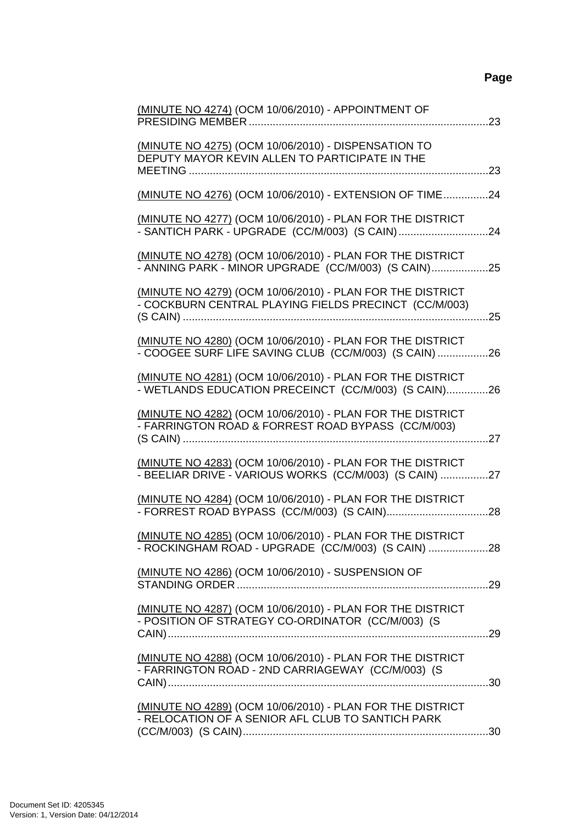| (MINUTE NO 4274) (OCM 10/06/2010) - APPOINTMENT OF                                                                  |
|---------------------------------------------------------------------------------------------------------------------|
| (MINUTE NO 4275) (OCM 10/06/2010) - DISPENSATION TO<br>DEPUTY MAYOR KEVIN ALLEN TO PARTICIPATE IN THE               |
| (MINUTE NO 4276) (OCM 10/06/2010) - EXTENSION OF TIME24                                                             |
| (MINUTE NO 4277) (OCM 10/06/2010) - PLAN FOR THE DISTRICT<br>- SANTICH PARK - UPGRADE (CC/M/003) (S CAIN)24         |
| (MINUTE NO 4278) (OCM 10/06/2010) - PLAN FOR THE DISTRICT<br>- ANNING PARK - MINOR UPGRADE (CC/M/003) (S CAIN)25    |
| (MINUTE NO 4279) (OCM 10/06/2010) - PLAN FOR THE DISTRICT<br>- COCKBURN CENTRAL PLAYING FIELDS PRECINCT (CC/M/003)  |
| (MINUTE NO 4280) (OCM 10/06/2010) - PLAN FOR THE DISTRICT<br>- COOGEE SURF LIFE SAVING CLUB (CC/M/003) (S CAIN)26   |
| (MINUTE NO 4281) (OCM 10/06/2010) - PLAN FOR THE DISTRICT<br>- WETLANDS EDUCATION PRECEINCT (CC/M/003) (S CAIN)26   |
| (MINUTE NO 4282) (OCM 10/06/2010) - PLAN FOR THE DISTRICT<br>- FARRINGTON ROAD & FORREST ROAD BYPASS (CC/M/003)     |
| (MINUTE NO 4283) (OCM 10/06/2010) - PLAN FOR THE DISTRICT<br>- BEELIAR DRIVE - VARIOUS WORKS (CC/M/003) (S CAIN) 27 |
| (MINUTE NO 4284) (OCM 10/06/2010) - PLAN FOR THE DISTRICT                                                           |
| (MINUTE NO 4285) (OCM 10/06/2010) - PLAN FOR THE DISTRICT<br>- ROCKINGHAM ROAD - UPGRADE (CC/M/003) (S CAIN) 28     |
| (MINUTE NO 4286) (OCM 10/06/2010) - SUSPENSION OF                                                                   |
| (MINUTE NO 4287) (OCM 10/06/2010) - PLAN FOR THE DISTRICT<br>- POSITION OF STRATEGY CO-ORDINATOR (CC/M/003) (S      |
| (MINUTE NO 4288) (OCM 10/06/2010) - PLAN FOR THE DISTRICT<br>- FARRINGTON ROAD - 2ND CARRIAGEWAY (CC/M/003) (S      |
| (MINUTE NO 4289) (OCM 10/06/2010) - PLAN FOR THE DISTRICT<br>- RELOCATION OF A SENIOR AFL CLUB TO SANTICH PARK      |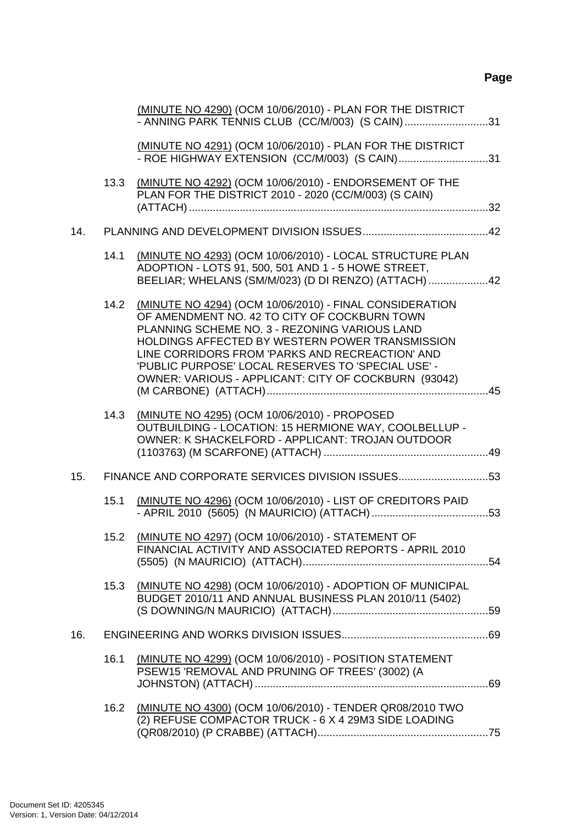|     |      | (MINUTE NO 4290) (OCM 10/06/2010) - PLAN FOR THE DISTRICT<br>- ANNING PARK TENNIS CLUB (CC/M/003) (S CAIN)31                                                                                                                                                                                                                                                                      |
|-----|------|-----------------------------------------------------------------------------------------------------------------------------------------------------------------------------------------------------------------------------------------------------------------------------------------------------------------------------------------------------------------------------------|
|     |      | (MINUTE NO 4291) (OCM 10/06/2010) - PLAN FOR THE DISTRICT<br>- ROE HIGHWAY EXTENSION (CC/M/003) (S CAIN)31                                                                                                                                                                                                                                                                        |
|     | 13.3 | (MINUTE NO 4292) (OCM 10/06/2010) - ENDORSEMENT OF THE<br>PLAN FOR THE DISTRICT 2010 - 2020 (CC/M/003) (S CAIN)                                                                                                                                                                                                                                                                   |
| 14. |      |                                                                                                                                                                                                                                                                                                                                                                                   |
|     | 14.1 | (MINUTE NO 4293) (OCM 10/06/2010) - LOCAL STRUCTURE PLAN<br>ADOPTION - LOTS 91, 500, 501 AND 1 - 5 HOWE STREET,<br>BEELIAR; WHELANS (SM/M/023) (D DI RENZO) (ATTACH) 42                                                                                                                                                                                                           |
|     |      | 14.2 (MINUTE NO 4294) (OCM 10/06/2010) - FINAL CONSIDERATION<br>OF AMENDMENT NO. 42 TO CITY OF COCKBURN TOWN<br>PLANNING SCHEME NO. 3 - REZONING VARIOUS LAND<br>HOLDINGS AFFECTED BY WESTERN POWER TRANSMISSION<br>LINE CORRIDORS FROM 'PARKS AND RECREACTION' AND<br>'PUBLIC PURPOSE' LOCAL RESERVES TO 'SPECIAL USE' -<br>OWNER: VARIOUS - APPLICANT: CITY OF COCKBURN (93042) |
|     | 14.3 | (MINUTE NO 4295) (OCM 10/06/2010) - PROPOSED<br>OUTBUILDING - LOCATION: 15 HERMIONE WAY, COOLBELLUP -<br>OWNER: K SHACKELFORD - APPLICANT: TROJAN OUTDOOR                                                                                                                                                                                                                         |
| 15. |      | FINANCE AND CORPORATE SERVICES DIVISION ISSUES53                                                                                                                                                                                                                                                                                                                                  |
|     | 15.1 | (MINUTE NO 4296) (OCM 10/06/2010) - LIST OF CREDITORS PAID                                                                                                                                                                                                                                                                                                                        |
|     |      | 15.2 (MINUTE NO 4297) (OCM 10/06/2010) - STATEMENT OF<br>FINANCIAL ACTIVITY AND ASSOCIATED REPORTS - APRIL 2010                                                                                                                                                                                                                                                                   |
|     | 15.3 | (MINUTE NO 4298) (OCM 10/06/2010) - ADOPTION OF MUNICIPAL<br>BUDGET 2010/11 AND ANNUAL BUSINESS PLAN 2010/11 (5402)                                                                                                                                                                                                                                                               |
| 16. |      |                                                                                                                                                                                                                                                                                                                                                                                   |
|     | 16.1 | (MINUTE NO 4299) (OCM 10/06/2010) - POSITION STATEMENT<br>PSEW15 'REMOVAL AND PRUNING OF TREES' (3002) (A                                                                                                                                                                                                                                                                         |
|     | 16.2 | (MINUTE NO 4300) (OCM 10/06/2010) - TENDER QR08/2010 TWO<br>(2) REFUSE COMPACTOR TRUCK - 6 X 4 29M3 SIDE LOADING                                                                                                                                                                                                                                                                  |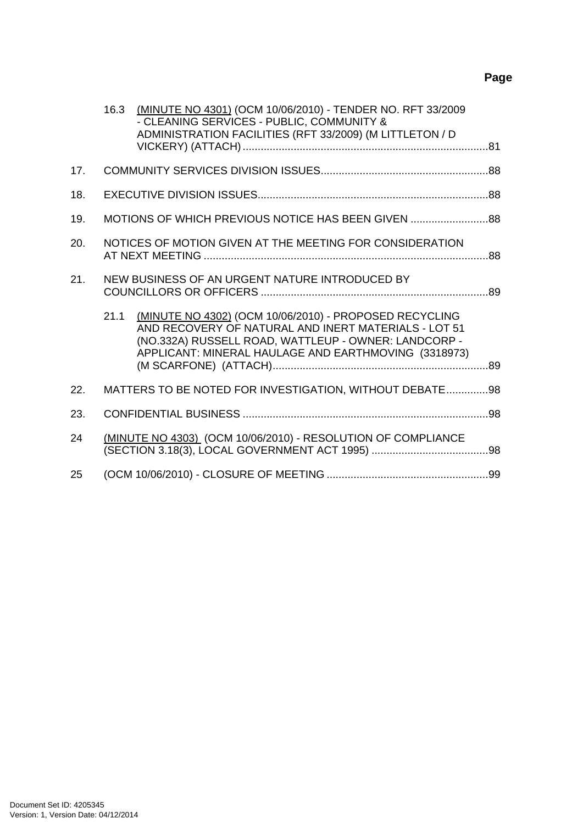|     | 16.3 | (MINUTE NO 4301) (OCM 10/06/2010) - TENDER NO. RFT 33/2009<br>- CLEANING SERVICES - PUBLIC, COMMUNITY &<br>ADMINISTRATION FACILITIES (RFT 33/2009) (M LITTLETON / D                                                            |  |
|-----|------|--------------------------------------------------------------------------------------------------------------------------------------------------------------------------------------------------------------------------------|--|
| 17. |      |                                                                                                                                                                                                                                |  |
| 18. |      |                                                                                                                                                                                                                                |  |
| 19. |      | MOTIONS OF WHICH PREVIOUS NOTICE HAS BEEN GIVEN                                                                                                                                                                                |  |
| 20. |      | NOTICES OF MOTION GIVEN AT THE MEETING FOR CONSIDERATION                                                                                                                                                                       |  |
| 21. |      | NEW BUSINESS OF AN URGENT NATURE INTRODUCED BY                                                                                                                                                                                 |  |
|     | 21.1 | (MINUTE NO 4302) (OCM 10/06/2010) - PROPOSED RECYCLING<br>AND RECOVERY OF NATURAL AND INERT MATERIALS - LOT 51<br>(NO.332A) RUSSELL ROAD, WATTLEUP - OWNER: LANDCORP -<br>APPLICANT: MINERAL HAULAGE AND EARTHMOVING (3318973) |  |
| 22. |      | MATTERS TO BE NOTED FOR INVESTIGATION, WITHOUT DEBATE98                                                                                                                                                                        |  |
| 23. |      |                                                                                                                                                                                                                                |  |
| 24  |      | (MINUTE NO 4303) (OCM 10/06/2010) - RESOLUTION OF COMPLIANCE                                                                                                                                                                   |  |
| 25  |      |                                                                                                                                                                                                                                |  |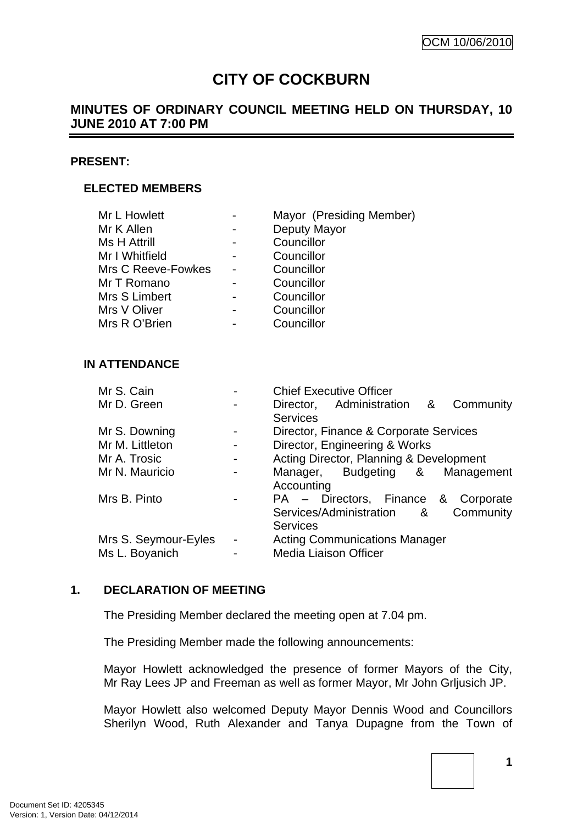# **CITY OF COCKBURN**

# <span id="page-4-0"></span>**MINUTES OF ORDINARY COUNCIL MEETING HELD ON THURSDAY, 10 JUNE 2010 AT 7:00 PM**

#### **PRESENT:**

#### **ELECTED MEMBERS**

| Mr L Howlett       | Mayor (Presiding Member) |
|--------------------|--------------------------|
| Mr K Allen         | Deputy Mayor             |
| Ms H Attrill       | Councillor               |
| Mr I Whitfield     | Councillor               |
| Mrs C Reeve-Fowkes | Councillor               |
| Mr T Romano        | Councillor               |
| Mrs S Limbert      | Councillor               |
| Mrs V Oliver       | Councillor               |
| Mrs R O'Brien      | Councillor               |

#### **IN ATTENDANCE**

| Mr S. Cain           |                | <b>Chief Executive Officer</b>          |
|----------------------|----------------|-----------------------------------------|
| Mr D. Green          |                | Director, Administration &<br>Community |
|                      |                | <b>Services</b>                         |
| Mr S. Downing        |                | Director, Finance & Corporate Services  |
| Mr M. Littleton      |                | Director, Engineering & Works           |
| Mr A. Trosic         |                | Acting Director, Planning & Development |
| Mr N. Mauricio       |                | Manager, Budgeting &<br>Management      |
|                      |                | Accounting                              |
| Mrs B. Pinto         |                | PA - Directors, Finance & Corporate     |
|                      |                | Services/Administration &<br>Community  |
|                      |                | <b>Services</b>                         |
| Mrs S. Seymour-Eyles | $\blacksquare$ | <b>Acting Communications Manager</b>    |
| Ms L. Boyanich       |                | <b>Media Liaison Officer</b>            |

#### **1. DECLARATION OF MEETING**

The Presiding Member declared the meeting open at 7.04 pm.

The Presiding Member made the following announcements:

Mayor Howlett acknowledged the presence of former Mayors of the City, Mr Ray Lees JP and Freeman as well as former Mayor, Mr John Grljusich JP.

Mayor Howlett also welcomed Deputy Mayor Dennis Wood and Councillors Sherilyn Wood, Ruth Alexander and Tanya Dupagne from the Town of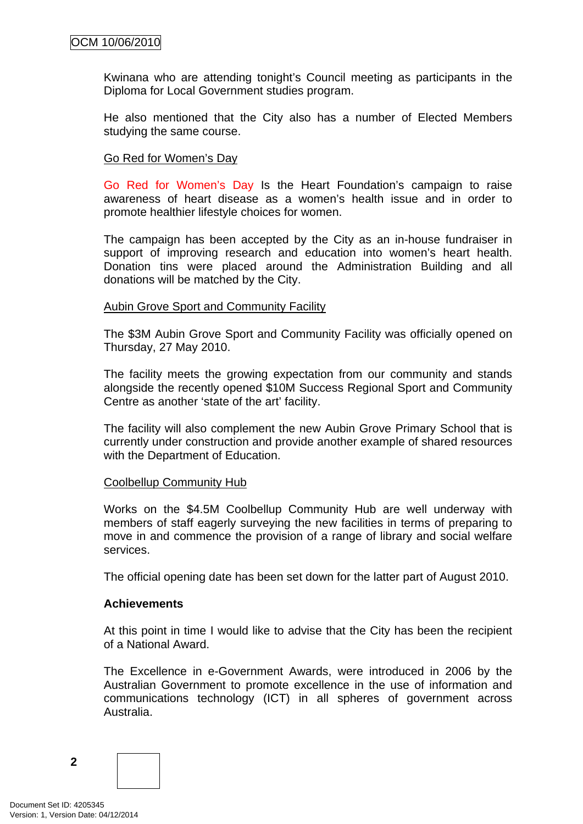Kwinana who are attending tonight's Council meeting as participants in the Diploma for Local Government studies program.

He also mentioned that the City also has a number of Elected Members studying the same course.

### Go Red for Women's Day

Go Red for Women's Day Is the Heart Foundation's campaign to raise awareness of heart disease as a women's health issue and in order to promote healthier lifestyle choices for women.

The campaign has been accepted by the City as an in-house fundraiser in support of improving research and education into women's heart health. Donation tins were placed around the Administration Building and all donations will be matched by the City.

#### Aubin Grove Sport and Community Facility

The \$3M Aubin Grove Sport and Community Facility was officially opened on Thursday, 27 May 2010.

The facility meets the growing expectation from our community and stands alongside the recently opened \$10M Success Regional Sport and Community Centre as another 'state of the art' facility.

The facility will also complement the new Aubin Grove Primary School that is currently under construction and provide another example of shared resources with the Department of Education.

#### Coolbellup Community Hub

Works on the \$4.5M Coolbellup Community Hub are well underway with members of staff eagerly surveying the new facilities in terms of preparing to move in and commence the provision of a range of library and social welfare services.

The official opening date has been set down for the latter part of August 2010.

#### **Achievements**

At this point in time I would like to advise that the City has been the recipient of a National Award.

The Excellence in e-Government Awards, were introduced in 2006 by the Australian Government to promote excellence in the use of information and communications technology (ICT) in all spheres of government across Australia.

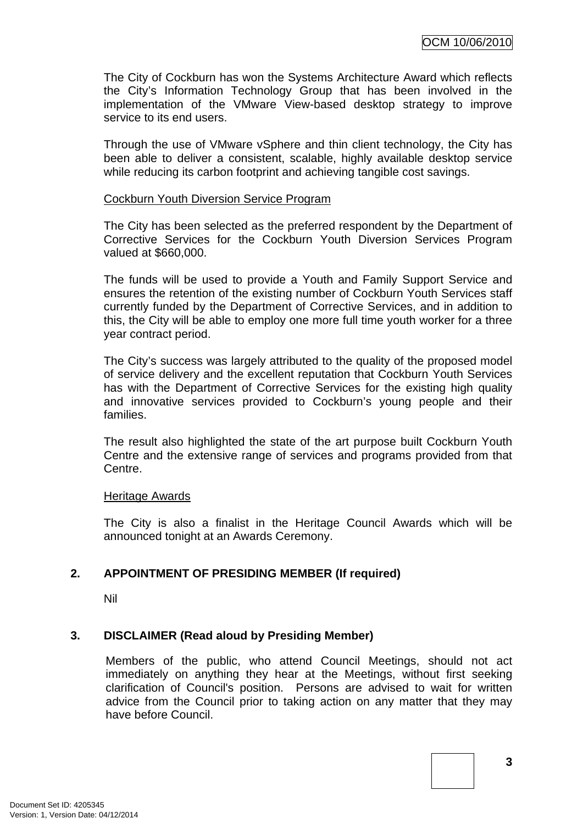<span id="page-6-0"></span>The City of Cockburn has won the Systems Architecture Award which reflects the City's Information Technology Group that has been involved in the implementation of the VMware View-based desktop strategy to improve service to its end users.

Through the use of VMware vSphere and thin client technology, the City has been able to deliver a consistent, scalable, highly available desktop service while reducing its carbon footprint and achieving tangible cost savings.

#### Cockburn Youth Diversion Service Program

The City has been selected as the preferred respondent by the Department of Corrective Services for the Cockburn Youth Diversion Services Program valued at \$660,000.

The funds will be used to provide a Youth and Family Support Service and ensures the retention of the existing number of Cockburn Youth Services staff currently funded by the Department of Corrective Services, and in addition to this, the City will be able to employ one more full time youth worker for a three year contract period.

The City's success was largely attributed to the quality of the proposed model of service delivery and the excellent reputation that Cockburn Youth Services has with the Department of Corrective Services for the existing high quality and innovative services provided to Cockburn's young people and their families.

The result also highlighted the state of the art purpose built Cockburn Youth Centre and the extensive range of services and programs provided from that Centre.

#### Heritage Awards

The City is also a finalist in the Heritage Council Awards which will be announced tonight at an Awards Ceremony.

# **2. APPOINTMENT OF PRESIDING MEMBER (If required)**

Nil

#### **3. DISCLAIMER (Read aloud by Presiding Member)**

Members of the public, who attend Council Meetings, should not act immediately on anything they hear at the Meetings, without first seeking clarification of Council's position. Persons are advised to wait for written advice from the Council prior to taking action on any matter that they may have before Council.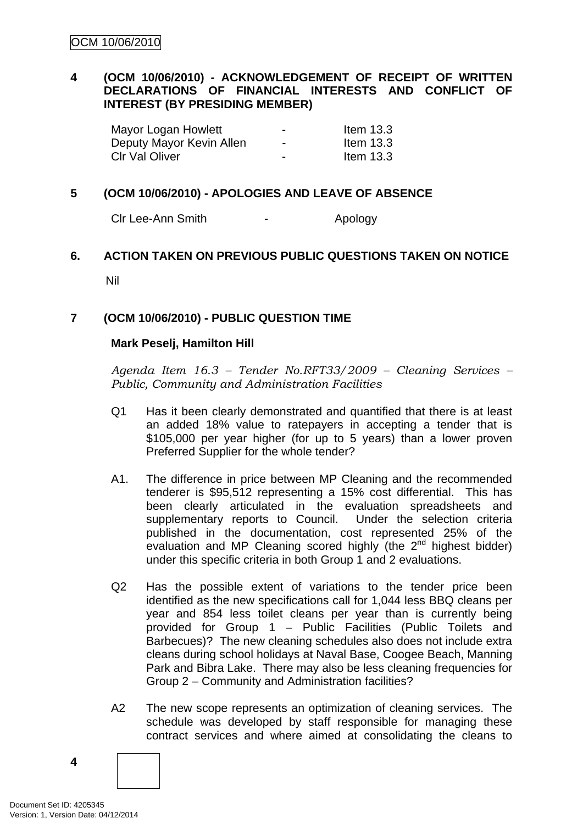# <span id="page-7-0"></span>**4 (OCM 10/06/2010) - ACKNOWLEDGEMENT OF RECEIPT OF WRITTEN DECLARATIONS OF FINANCIAL INTERESTS AND CONFLICT OF INTEREST (BY PRESIDING MEMBER)**

| Mayor Logan Howlett      | $\overline{\phantom{0}}$ | Item $13.3$ |
|--------------------------|--------------------------|-------------|
| Deputy Mayor Kevin Allen | $\blacksquare$           | Item $13.3$ |
| <b>CIr Val Oliver</b>    | $\overline{\phantom{0}}$ | Item $13.3$ |

### **5 (OCM 10/06/2010) - APOLOGIES AND LEAVE OF ABSENCE**

Clr Lee-Ann Smith The Clear Apology

# **6. ACTION TAKEN ON PREVIOUS PUBLIC QUESTIONS TAKEN ON NOTICE**

Nil

#### **7 (OCM 10/06/2010) - PUBLIC QUESTION TIME**

#### **Mark Peselj, Hamilton Hill**

*Agenda Item 16.3 – Tender No.RFT33/2009 – Cleaning Services – Public, Community and Administration Facilities* 

- Q1 Has it been clearly demonstrated and quantified that there is at least an added 18% value to ratepayers in accepting a tender that is \$105,000 per year higher (for up to 5 years) than a lower proven Preferred Supplier for the whole tender?
- A1. The difference in price between MP Cleaning and the recommended tenderer is \$95,512 representing a 15% cost differential. This has been clearly articulated in the evaluation spreadsheets and supplementary reports to Council. Under the selection criteria published in the documentation, cost represented 25% of the evaluation and MP Cleaning scored highly (the  $2<sup>nd</sup>$  highest bidder) under this specific criteria in both Group 1 and 2 evaluations.
- Q2 Has the possible extent of variations to the tender price been identified as the new specifications call for 1,044 less BBQ cleans per year and 854 less toilet cleans per year than is currently being provided for Group 1 – Public Facilities (Public Toilets and Barbecues)? The new cleaning schedules also does not include extra cleans during school holidays at Naval Base, Coogee Beach, Manning Park and Bibra Lake. There may also be less cleaning frequencies for Group 2 – Community and Administration facilities?
- A2 The new scope represents an optimization of cleaning services. The schedule was developed by staff responsible for managing these contract services and where aimed at consolidating the cleans to

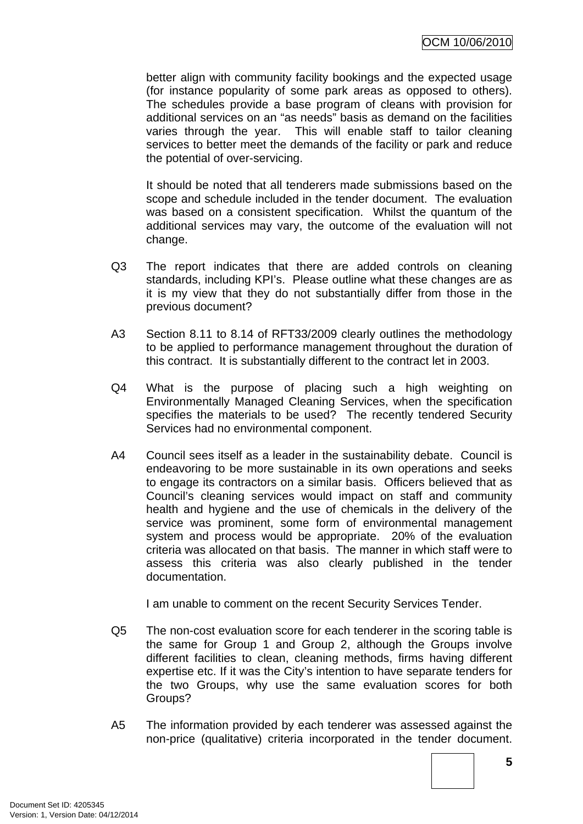better align with community facility bookings and the expected usage (for instance popularity of some park areas as opposed to others). The schedules provide a base program of cleans with provision for additional services on an "as needs" basis as demand on the facilities varies through the year. This will enable staff to tailor cleaning services to better meet the demands of the facility or park and reduce the potential of over-servicing.

It should be noted that all tenderers made submissions based on the scope and schedule included in the tender document. The evaluation was based on a consistent specification. Whilst the quantum of the additional services may vary, the outcome of the evaluation will not change.

- Q3 The report indicates that there are added controls on cleaning standards, including KPI's. Please outline what these changes are as it is my view that they do not substantially differ from those in the previous document?
- A3 Section 8.11 to 8.14 of RFT33/2009 clearly outlines the methodology to be applied to performance management throughout the duration of this contract. It is substantially different to the contract let in 2003.
- Q4 What is the purpose of placing such a high weighting on Environmentally Managed Cleaning Services, when the specification specifies the materials to be used? The recently tendered Security Services had no environmental component.
- A4 Council sees itself as a leader in the sustainability debate. Council is endeavoring to be more sustainable in its own operations and seeks to engage its contractors on a similar basis. Officers believed that as Council's cleaning services would impact on staff and community health and hygiene and the use of chemicals in the delivery of the service was prominent, some form of environmental management system and process would be appropriate. 20% of the evaluation criteria was allocated on that basis. The manner in which staff were to assess this criteria was also clearly published in the tender documentation.

I am unable to comment on the recent Security Services Tender.

- Q5 The non-cost evaluation score for each tenderer in the scoring table is the same for Group 1 and Group 2, although the Groups involve different facilities to clean, cleaning methods, firms having different expertise etc. If it was the City's intention to have separate tenders for the two Groups, why use the same evaluation scores for both Groups?
- A5 The information provided by each tenderer was assessed against the non-price (qualitative) criteria incorporated in the tender document.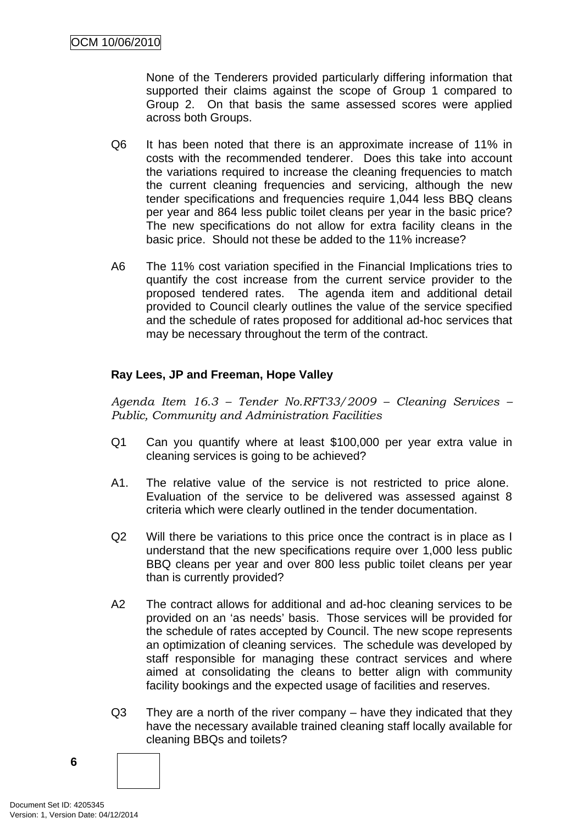None of the Tenderers provided particularly differing information that supported their claims against the scope of Group 1 compared to Group 2. On that basis the same assessed scores were applied across both Groups.

- Q6 It has been noted that there is an approximate increase of 11% in costs with the recommended tenderer. Does this take into account the variations required to increase the cleaning frequencies to match the current cleaning frequencies and servicing, although the new tender specifications and frequencies require 1,044 less BBQ cleans per year and 864 less public toilet cleans per year in the basic price? The new specifications do not allow for extra facility cleans in the basic price. Should not these be added to the 11% increase?
- A6 The 11% cost variation specified in the Financial Implications tries to quantify the cost increase from the current service provider to the proposed tendered rates. The agenda item and additional detail provided to Council clearly outlines the value of the service specified and the schedule of rates proposed for additional ad-hoc services that may be necessary throughout the term of the contract.

# **Ray Lees, JP and Freeman, Hope Valley**

*Agenda Item 16.3 – Tender No.RFT33/2009 – Cleaning Services – Public, Community and Administration Facilities* 

- Q1 Can you quantify where at least \$100,000 per year extra value in cleaning services is going to be achieved?
- A1. The relative value of the service is not restricted to price alone. Evaluation of the service to be delivered was assessed against 8 criteria which were clearly outlined in the tender documentation.
- Q2 Will there be variations to this price once the contract is in place as I understand that the new specifications require over 1,000 less public BBQ cleans per year and over 800 less public toilet cleans per year than is currently provided?
- A2 The contract allows for additional and ad-hoc cleaning services to be provided on an 'as needs' basis. Those services will be provided for the schedule of rates accepted by Council. The new scope represents an optimization of cleaning services. The schedule was developed by staff responsible for managing these contract services and where aimed at consolidating the cleans to better align with community facility bookings and the expected usage of facilities and reserves.
- Q3 They are a north of the river company have they indicated that they have the necessary available trained cleaning staff locally available for cleaning BBQs and toilets?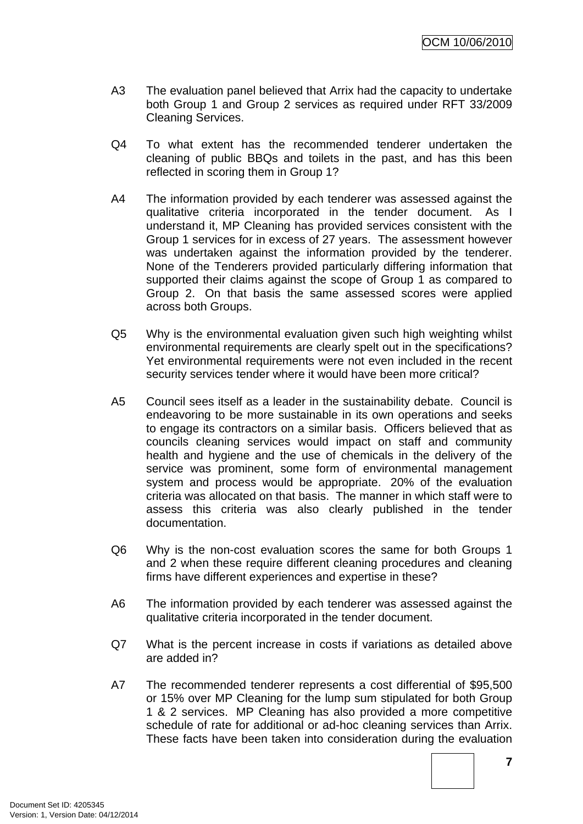- A3 The evaluation panel believed that Arrix had the capacity to undertake both Group 1 and Group 2 services as required under RFT 33/2009 Cleaning Services.
- Q4 To what extent has the recommended tenderer undertaken the cleaning of public BBQs and toilets in the past, and has this been reflected in scoring them in Group 1?
- A4 The information provided by each tenderer was assessed against the qualitative criteria incorporated in the tender document. As I understand it, MP Cleaning has provided services consistent with the Group 1 services for in excess of 27 years. The assessment however was undertaken against the information provided by the tenderer. None of the Tenderers provided particularly differing information that supported their claims against the scope of Group 1 as compared to Group 2. On that basis the same assessed scores were applied across both Groups.
- Q5 Why is the environmental evaluation given such high weighting whilst environmental requirements are clearly spelt out in the specifications? Yet environmental requirements were not even included in the recent security services tender where it would have been more critical?
- A5 Council sees itself as a leader in the sustainability debate. Council is endeavoring to be more sustainable in its own operations and seeks to engage its contractors on a similar basis. Officers believed that as councils cleaning services would impact on staff and community health and hygiene and the use of chemicals in the delivery of the service was prominent, some form of environmental management system and process would be appropriate. 20% of the evaluation criteria was allocated on that basis. The manner in which staff were to assess this criteria was also clearly published in the tender documentation.
- Q6 Why is the non-cost evaluation scores the same for both Groups 1 and 2 when these require different cleaning procedures and cleaning firms have different experiences and expertise in these?
- A6 The information provided by each tenderer was assessed against the qualitative criteria incorporated in the tender document.
- Q7 What is the percent increase in costs if variations as detailed above are added in?
- A7 The recommended tenderer represents a cost differential of \$95,500 or 15% over MP Cleaning for the lump sum stipulated for both Group 1 & 2 services. MP Cleaning has also provided a more competitive schedule of rate for additional or ad-hoc cleaning services than Arrix. These facts have been taken into consideration during the evaluation

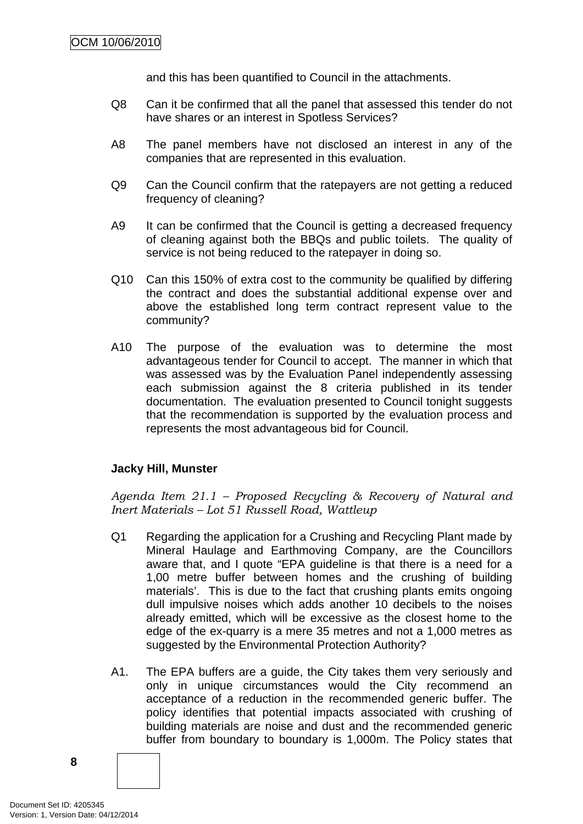and this has been quantified to Council in the attachments.

- Q8 Can it be confirmed that all the panel that assessed this tender do not have shares or an interest in Spotless Services?
- A8 The panel members have not disclosed an interest in any of the companies that are represented in this evaluation.
- Q9 Can the Council confirm that the ratepayers are not getting a reduced frequency of cleaning?
- A9 It can be confirmed that the Council is getting a decreased frequency of cleaning against both the BBQs and public toilets. The quality of service is not being reduced to the ratepayer in doing so.
- Q10 Can this 150% of extra cost to the community be qualified by differing the contract and does the substantial additional expense over and above the established long term contract represent value to the community?
- A10 The purpose of the evaluation was to determine the most advantageous tender for Council to accept. The manner in which that was assessed was by the Evaluation Panel independently assessing each submission against the 8 criteria published in its tender documentation. The evaluation presented to Council tonight suggests that the recommendation is supported by the evaluation process and represents the most advantageous bid for Council.

#### **Jacky Hill, Munster**

*Agenda Item 21.1 – Proposed Recycling & Recovery of Natural and Inert Materials – Lot 51 Russell Road, Wattleup* 

- Q1 Regarding the application for a Crushing and Recycling Plant made by Mineral Haulage and Earthmoving Company, are the Councillors aware that, and I quote "EPA guideline is that there is a need for a 1,00 metre buffer between homes and the crushing of building materials'. This is due to the fact that crushing plants emits ongoing dull impulsive noises which adds another 10 decibels to the noises already emitted, which will be excessive as the closest home to the edge of the ex-quarry is a mere 35 metres and not a 1,000 metres as suggested by the Environmental Protection Authority?
- A1. The EPA buffers are a guide, the City takes them very seriously and only in unique circumstances would the City recommend an acceptance of a reduction in the recommended generic buffer. The policy identifies that potential impacts associated with crushing of building materials are noise and dust and the recommended generic buffer from boundary to boundary is 1,000m. The Policy states that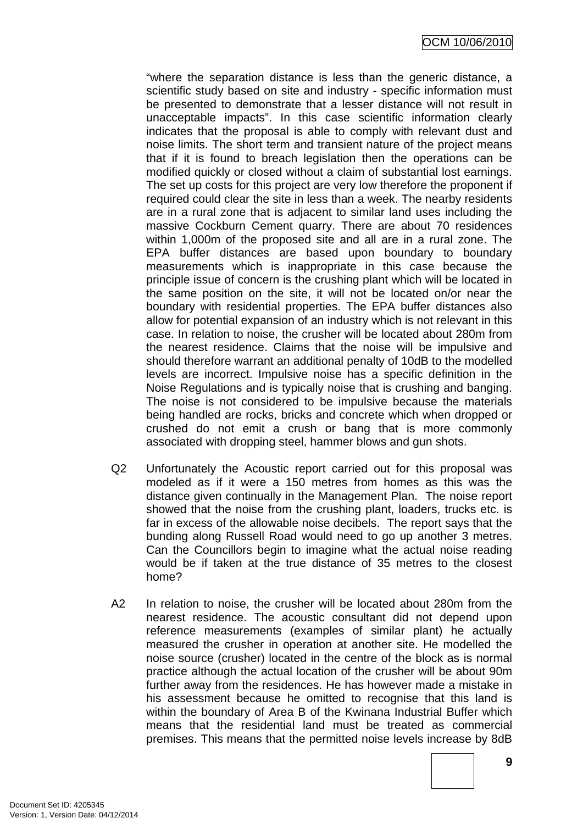"where the separation distance is less than the generic distance, a scientific study based on site and industry - specific information must be presented to demonstrate that a lesser distance will not result in unacceptable impacts". In this case scientific information clearly indicates that the proposal is able to comply with relevant dust and noise limits. The short term and transient nature of the project means that if it is found to breach legislation then the operations can be modified quickly or closed without a claim of substantial lost earnings. The set up costs for this project are very low therefore the proponent if required could clear the site in less than a week. The nearby residents are in a rural zone that is adjacent to similar land uses including the massive Cockburn Cement quarry. There are about 70 residences within 1,000m of the proposed site and all are in a rural zone. The EPA buffer distances are based upon boundary to boundary measurements which is inappropriate in this case because the principle issue of concern is the crushing plant which will be located in the same position on the site, it will not be located on/or near the boundary with residential properties. The EPA buffer distances also allow for potential expansion of an industry which is not relevant in this case. In relation to noise, the crusher will be located about 280m from the nearest residence. Claims that the noise will be impulsive and should therefore warrant an additional penalty of 10dB to the modelled levels are incorrect. Impulsive noise has a specific definition in the Noise Regulations and is typically noise that is crushing and banging. The noise is not considered to be impulsive because the materials being handled are rocks, bricks and concrete which when dropped or crushed do not emit a crush or bang that is more commonly associated with dropping steel, hammer blows and gun shots.

- Q2 Unfortunately the Acoustic report carried out for this proposal was modeled as if it were a 150 metres from homes as this was the distance given continually in the Management Plan. The noise report showed that the noise from the crushing plant, loaders, trucks etc. is far in excess of the allowable noise decibels. The report says that the bunding along Russell Road would need to go up another 3 metres. Can the Councillors begin to imagine what the actual noise reading would be if taken at the true distance of 35 metres to the closest home?
- A2 In relation to noise, the crusher will be located about 280m from the nearest residence. The acoustic consultant did not depend upon reference measurements (examples of similar plant) he actually measured the crusher in operation at another site. He modelled the noise source (crusher) located in the centre of the block as is normal practice although the actual location of the crusher will be about 90m further away from the residences. He has however made a mistake in his assessment because he omitted to recognise that this land is within the boundary of Area B of the Kwinana Industrial Buffer which means that the residential land must be treated as commercial premises. This means that the permitted noise levels increase by 8dB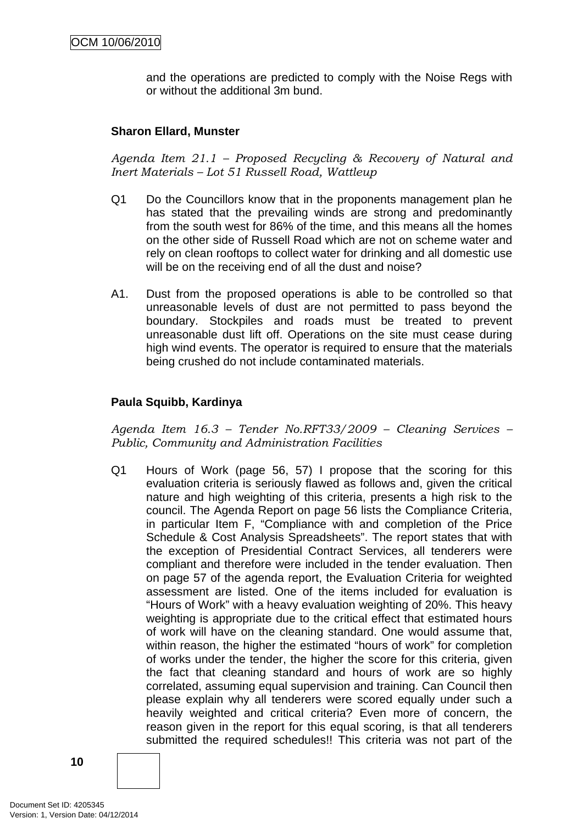and the operations are predicted to comply with the Noise Regs with or without the additional 3m bund.

#### **Sharon Ellard, Munster**

*Agenda Item 21.1 – Proposed Recycling & Recovery of Natural and Inert Materials – Lot 51 Russell Road, Wattleup* 

- Q1 Do the Councillors know that in the proponents management plan he has stated that the prevailing winds are strong and predominantly from the south west for 86% of the time, and this means all the homes on the other side of Russell Road which are not on scheme water and rely on clean rooftops to collect water for drinking and all domestic use will be on the receiving end of all the dust and noise?
- A1. Dust from the proposed operations is able to be controlled so that unreasonable levels of dust are not permitted to pass beyond the boundary. Stockpiles and roads must be treated to prevent unreasonable dust lift off. Operations on the site must cease during high wind events. The operator is required to ensure that the materials being crushed do not include contaminated materials.

#### **Paula Squibb, Kardinya**

*Agenda Item 16.3 – Tender No.RFT33/2009 – Cleaning Services – Public, Community and Administration Facilities* 

Q1 Hours of Work (page 56, 57) I propose that the scoring for this evaluation criteria is seriously flawed as follows and, given the critical nature and high weighting of this criteria, presents a high risk to the council. The Agenda Report on page 56 lists the Compliance Criteria, in particular Item F, "Compliance with and completion of the Price Schedule & Cost Analysis Spreadsheets". The report states that with the exception of Presidential Contract Services, all tenderers were compliant and therefore were included in the tender evaluation. Then on page 57 of the agenda report, the Evaluation Criteria for weighted assessment are listed. One of the items included for evaluation is "Hours of Work" with a heavy evaluation weighting of 20%. This heavy weighting is appropriate due to the critical effect that estimated hours of work will have on the cleaning standard. One would assume that, within reason, the higher the estimated "hours of work" for completion of works under the tender, the higher the score for this criteria, given the fact that cleaning standard and hours of work are so highly correlated, assuming equal supervision and training. Can Council then please explain why all tenderers were scored equally under such a heavily weighted and critical criteria? Even more of concern, the reason given in the report for this equal scoring, is that all tenderers submitted the required schedules!! This criteria was not part of the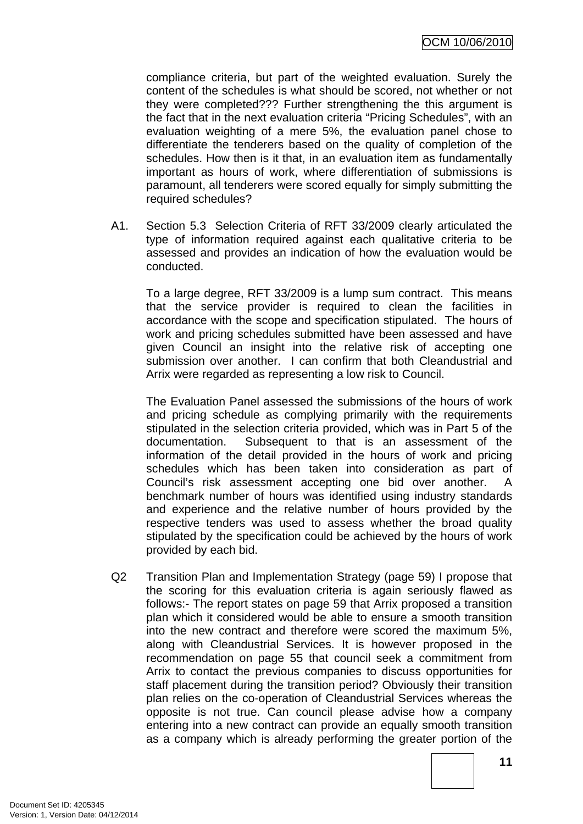compliance criteria, but part of the weighted evaluation. Surely the content of the schedules is what should be scored, not whether or not they were completed??? Further strengthening the this argument is the fact that in the next evaluation criteria "Pricing Schedules", with an evaluation weighting of a mere 5%, the evaluation panel chose to differentiate the tenderers based on the quality of completion of the schedules. How then is it that, in an evaluation item as fundamentally important as hours of work, where differentiation of submissions is paramount, all tenderers were scored equally for simply submitting the required schedules?

A1. Section 5.3 Selection Criteria of RFT 33/2009 clearly articulated the type of information required against each qualitative criteria to be assessed and provides an indication of how the evaluation would be conducted.

To a large degree, RFT 33/2009 is a lump sum contract. This means that the service provider is required to clean the facilities in accordance with the scope and specification stipulated. The hours of work and pricing schedules submitted have been assessed and have given Council an insight into the relative risk of accepting one submission over another. I can confirm that both Cleandustrial and Arrix were regarded as representing a low risk to Council.

The Evaluation Panel assessed the submissions of the hours of work and pricing schedule as complying primarily with the requirements stipulated in the selection criteria provided, which was in Part 5 of the documentation. Subsequent to that is an assessment of the information of the detail provided in the hours of work and pricing schedules which has been taken into consideration as part of Council's risk assessment accepting one bid over another. A benchmark number of hours was identified using industry standards and experience and the relative number of hours provided by the respective tenders was used to assess whether the broad quality stipulated by the specification could be achieved by the hours of work provided by each bid.

Q2 Transition Plan and Implementation Strategy (page 59) I propose that the scoring for this evaluation criteria is again seriously flawed as follows:- The report states on page 59 that Arrix proposed a transition plan which it considered would be able to ensure a smooth transition into the new contract and therefore were scored the maximum 5%, along with Cleandustrial Services. It is however proposed in the recommendation on page 55 that council seek a commitment from Arrix to contact the previous companies to discuss opportunities for staff placement during the transition period? Obviously their transition plan relies on the co-operation of Cleandustrial Services whereas the opposite is not true. Can council please advise how a company entering into a new contract can provide an equally smooth transition as a company which is already performing the greater portion of the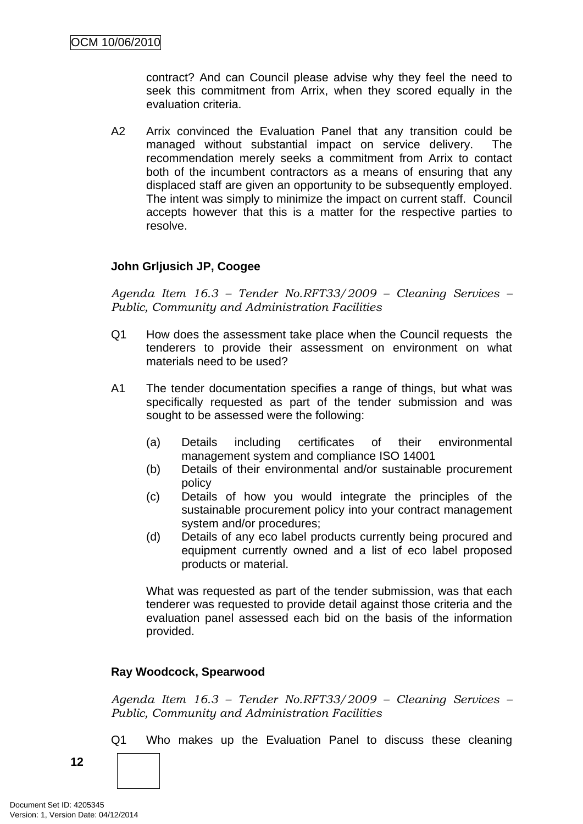contract? And can Council please advise why they feel the need to seek this commitment from Arrix, when they scored equally in the evaluation criteria.

A2 Arrix convinced the Evaluation Panel that any transition could be managed without substantial impact on service delivery. The recommendation merely seeks a commitment from Arrix to contact both of the incumbent contractors as a means of ensuring that any displaced staff are given an opportunity to be subsequently employed. The intent was simply to minimize the impact on current staff. Council accepts however that this is a matter for the respective parties to resolve.

#### **John Grljusich JP, Coogee**

*Agenda Item 16.3 – Tender No.RFT33/2009 – Cleaning Services – Public, Community and Administration Facilities* 

- Q1 How does the assessment take place when the Council requests the tenderers to provide their assessment on environment on what materials need to be used?
- A1 The tender documentation specifies a range of things, but what was specifically requested as part of the tender submission and was sought to be assessed were the following:
	- (a) Details including certificates of their environmental management system and compliance ISO 14001
	- (b) Details of their environmental and/or sustainable procurement policy
	- (c) Details of how you would integrate the principles of the sustainable procurement policy into your contract management system and/or procedures;
	- (d) Details of any eco label products currently being procured and equipment currently owned and a list of eco label proposed products or material.

What was requested as part of the tender submission, was that each tenderer was requested to provide detail against those criteria and the evaluation panel assessed each bid on the basis of the information provided.

#### **Ray Woodcock, Spearwood**

*Agenda Item 16.3 – Tender No.RFT33/2009 – Cleaning Services – Public, Community and Administration Facilities* 

Q1 Who makes up the Evaluation Panel to discuss these cleaning

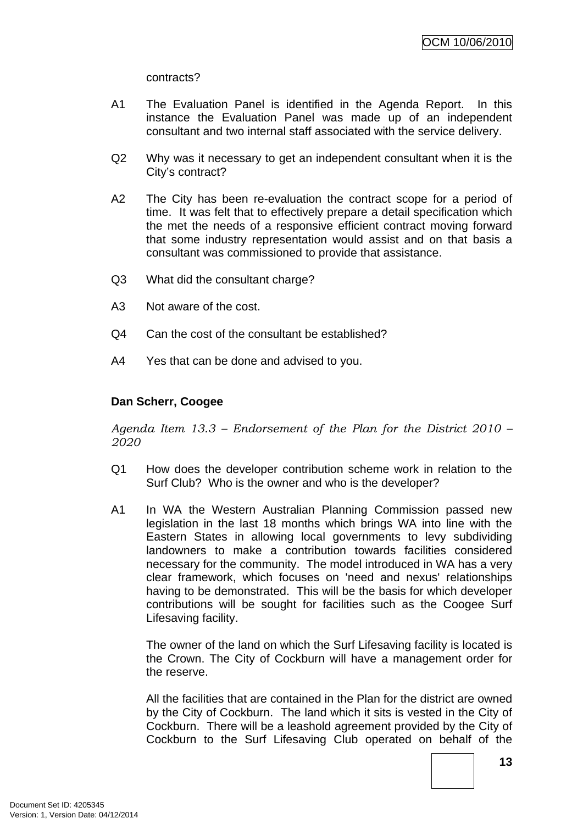contracts?

- A1 The Evaluation Panel is identified in the Agenda Report. In this instance the Evaluation Panel was made up of an independent consultant and two internal staff associated with the service delivery.
- Q2 Why was it necessary to get an independent consultant when it is the City's contract?
- A2 The City has been re-evaluation the contract scope for a period of time. It was felt that to effectively prepare a detail specification which the met the needs of a responsive efficient contract moving forward that some industry representation would assist and on that basis a consultant was commissioned to provide that assistance.
- Q3 What did the consultant charge?
- A3 Not aware of the cost.
- Q4 Can the cost of the consultant be established?
- A4 Yes that can be done and advised to you.

# **Dan Scherr, Coogee**

*Agenda Item 13.3 – Endorsement of the Plan for the District 2010 – 2020* 

- Q1 How does the developer contribution scheme work in relation to the Surf Club? Who is the owner and who is the developer?
- A1 In WA the Western Australian Planning Commission passed new legislation in the last 18 months which brings WA into line with the Eastern States in allowing local governments to levy subdividing landowners to make a contribution towards facilities considered necessary for the community. The model introduced in WA has a very clear framework, which focuses on 'need and nexus' relationships having to be demonstrated. This will be the basis for which developer contributions will be sought for facilities such as the Coogee Surf Lifesaving facility.

The owner of the land on which the Surf Lifesaving facility is located is the Crown. The City of Cockburn will have a management order for the reserve.

All the facilities that are contained in the Plan for the district are owned by the City of Cockburn. The land which it sits is vested in the City of Cockburn. There will be a leashold agreement provided by the City of Cockburn to the Surf Lifesaving Club operated on behalf of the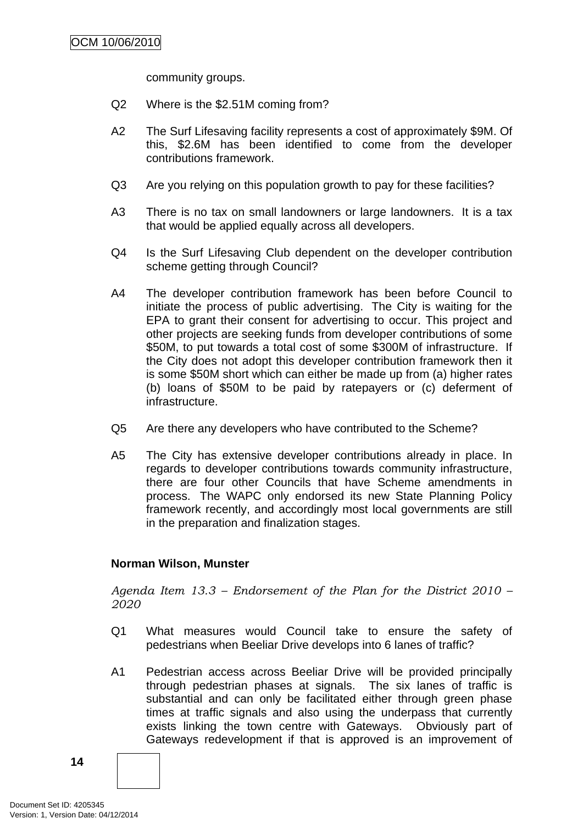community groups.

- Q2 Where is the \$2.51M coming from?
- A2 The Surf Lifesaving facility represents a cost of approximately \$9M. Of this, \$2.6M has been identified to come from the developer contributions framework.
- Q3 Are you relying on this population growth to pay for these facilities?
- A3 There is no tax on small landowners or large landowners. It is a tax that would be applied equally across all developers.
- Q4 Is the Surf Lifesaving Club dependent on the developer contribution scheme getting through Council?
- A4 The developer contribution framework has been before Council to initiate the process of public advertising. The City is waiting for the EPA to grant their consent for advertising to occur. This project and other projects are seeking funds from developer contributions of some \$50M, to put towards a total cost of some \$300M of infrastructure. If the City does not adopt this developer contribution framework then it is some \$50M short which can either be made up from (a) higher rates (b) loans of \$50M to be paid by ratepayers or (c) deferment of infrastructure.
- Q5 Are there any developers who have contributed to the Scheme?
- A5 The City has extensive developer contributions already in place. In regards to developer contributions towards community infrastructure, there are four other Councils that have Scheme amendments in process. The WAPC only endorsed its new State Planning Policy framework recently, and accordingly most local governments are still in the preparation and finalization stages.

#### **Norman Wilson, Munster**

*Agenda Item 13.3 – Endorsement of the Plan for the District 2010 – 2020* 

- Q1 What measures would Council take to ensure the safety of pedestrians when Beeliar Drive develops into 6 lanes of traffic?
- A1 Pedestrian access across Beeliar Drive will be provided principally through pedestrian phases at signals. The six lanes of traffic is substantial and can only be facilitated either through green phase times at traffic signals and also using the underpass that currently exists linking the town centre with Gateways. Obviously part of Gateways redevelopment if that is approved is an improvement of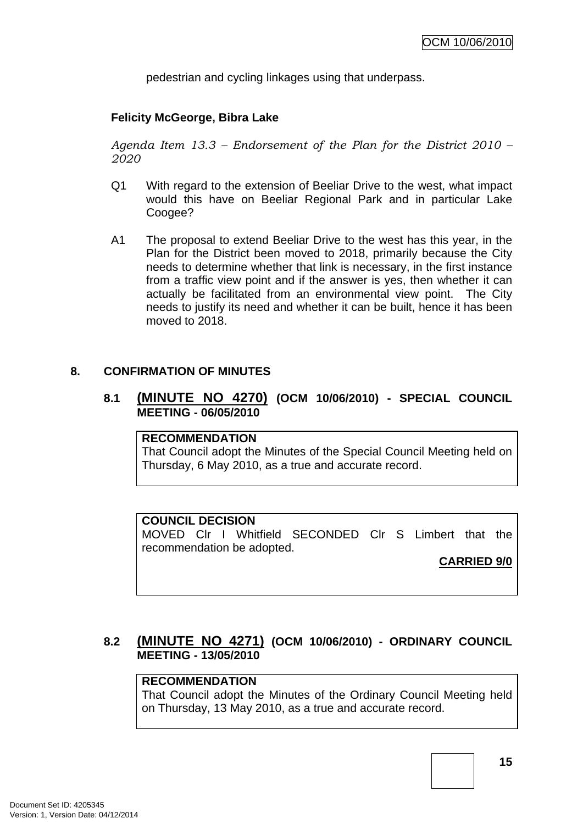pedestrian and cycling linkages using that underpass.

### <span id="page-18-0"></span>**Felicity McGeorge, Bibra Lake**

*Agenda Item 13.3 – Endorsement of the Plan for the District 2010 – 2020* 

- Q1 With regard to the extension of Beeliar Drive to the west, what impact would this have on Beeliar Regional Park and in particular Lake Coogee?
- A1 The proposal to extend Beeliar Drive to the west has this year, in the Plan for the District been moved to 2018, primarily because the City needs to determine whether that link is necessary, in the first instance from a traffic view point and if the answer is yes, then whether it can actually be facilitated from an environmental view point. The City needs to justify its need and whether it can be built, hence it has been moved to 2018.

#### **8. CONFIRMATION OF MINUTES**

### **8.1 (MINUTE NO 4270) (OCM 10/06/2010) - SPECIAL COUNCIL MEETING - 06/05/2010**

#### **RECOMMENDATION**

That Council adopt the Minutes of the Special Council Meeting held on Thursday, 6 May 2010, as a true and accurate record.

#### **COUNCIL DECISION**

MOVED Clr I Whitfield SECONDED Clr S Limbert that the recommendation be adopted.

#### **CARRIED 9/0**

# **8.2 (MINUTE NO 4271) (OCM 10/06/2010) - ORDINARY COUNCIL MEETING - 13/05/2010**

# **RECOMMENDATION**

That Council adopt the Minutes of the Ordinary Council Meeting held on Thursday, 13 May 2010, as a true and accurate record.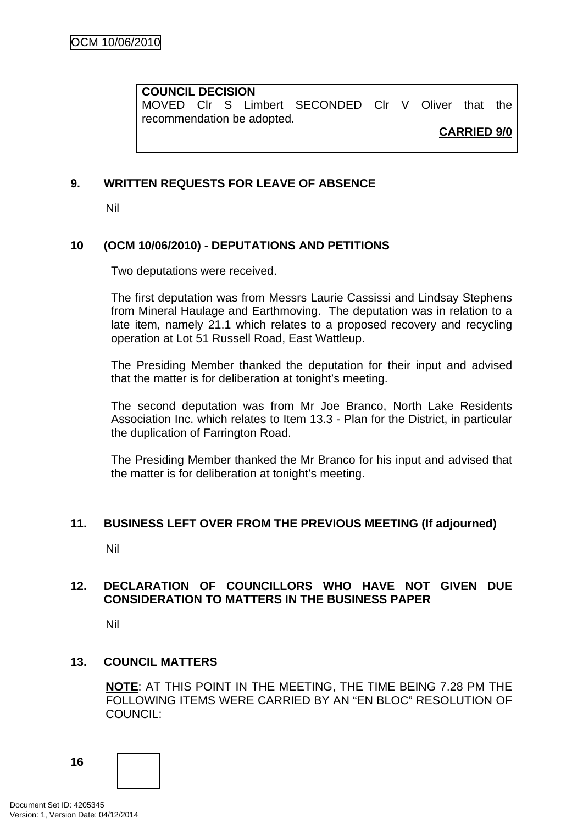#### <span id="page-19-0"></span>**COUNCIL DECISION**

MOVED Clr S Limbert SECONDED Clr V Oliver that the recommendation be adopted.

**CARRIED 9/0**

# **9. WRITTEN REQUESTS FOR LEAVE OF ABSENCE**

Nil

# **10 (OCM 10/06/2010) - DEPUTATIONS AND PETITIONS**

Two deputations were received.

The first deputation was from Messrs Laurie Cassissi and Lindsay Stephens from Mineral Haulage and Earthmoving. The deputation was in relation to a late item, namely 21.1 which relates to a proposed recovery and recycling operation at Lot 51 Russell Road, East Wattleup.

The Presiding Member thanked the deputation for their input and advised that the matter is for deliberation at tonight's meeting.

The second deputation was from Mr Joe Branco, North Lake Residents Association Inc. which relates to Item 13.3 - Plan for the District, in particular the duplication of Farrington Road.

The Presiding Member thanked the Mr Branco for his input and advised that the matter is for deliberation at tonight's meeting.

#### **11. BUSINESS LEFT OVER FROM THE PREVIOUS MEETING (If adjourned)**

Nil

# **12. DECLARATION OF COUNCILLORS WHO HAVE NOT GIVEN DUE CONSIDERATION TO MATTERS IN THE BUSINESS PAPER**

Nil

#### **13. COUNCIL MATTERS**

**NOTE**: AT THIS POINT IN THE MEETING, THE TIME BEING 7.28 PM THE FOLLOWING ITEMS WERE CARRIED BY AN "EN BLOC" RESOLUTION OF COUNCIL:

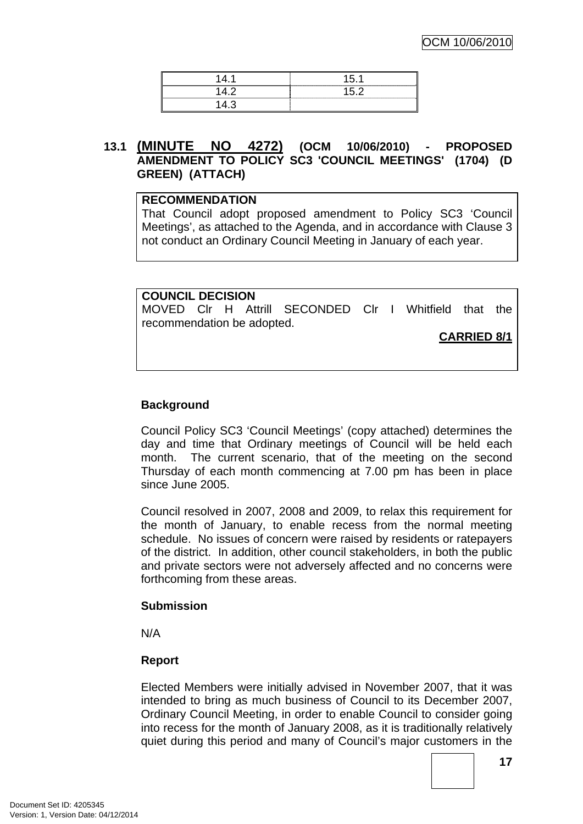<span id="page-20-0"></span>

# **13.1 (MINUTE NO 4272) (OCM 10/06/2010) - PROPOSED AMENDMENT TO POLICY SC3 'COUNCIL MEETINGS' (1704) (D GREEN) (ATTACH)**

#### **RECOMMENDATION**

That Council adopt proposed amendment to Policy SC3 'Council Meetings', as attached to the Agenda, and in accordance with Clause 3 not conduct an Ordinary Council Meeting in January of each year.

#### **COUNCIL DECISION**

MOVED Clr H Attrill SECONDED Clr I Whitfield that the recommendation be adopted.

**CARRIED 8/1**

# **Background**

Council Policy SC3 'Council Meetings' (copy attached) determines the day and time that Ordinary meetings of Council will be held each month. The current scenario, that of the meeting on the second Thursday of each month commencing at 7.00 pm has been in place since June 2005.

Council resolved in 2007, 2008 and 2009, to relax this requirement for the month of January, to enable recess from the normal meeting schedule. No issues of concern were raised by residents or ratepayers of the district. In addition, other council stakeholders, in both the public and private sectors were not adversely affected and no concerns were forthcoming from these areas.

#### **Submission**

N/A

#### **Report**

Elected Members were initially advised in November 2007, that it was intended to bring as much business of Council to its December 2007, Ordinary Council Meeting, in order to enable Council to consider going into recess for the month of January 2008, as it is traditionally relatively quiet during this period and many of Council's major customers in the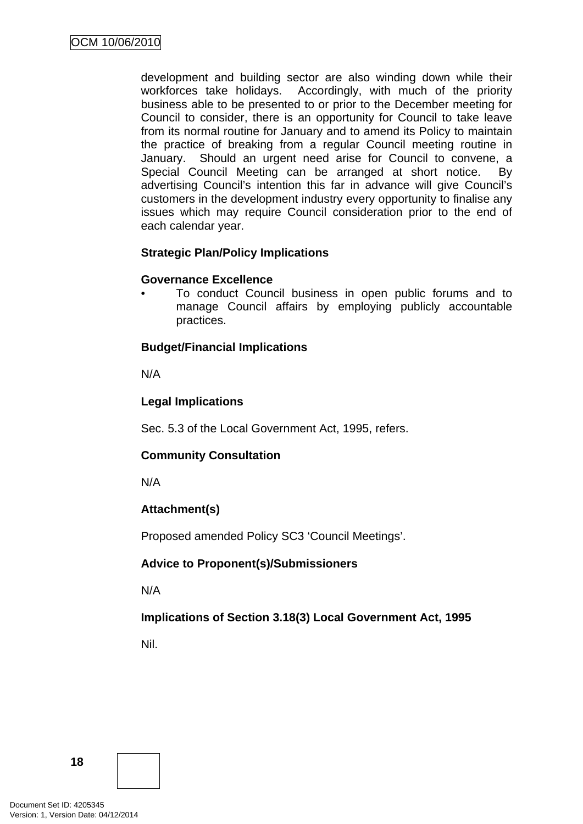development and building sector are also winding down while their workforces take holidays. Accordingly, with much of the priority business able to be presented to or prior to the December meeting for Council to consider, there is an opportunity for Council to take leave from its normal routine for January and to amend its Policy to maintain the practice of breaking from a regular Council meeting routine in January. Should an urgent need arise for Council to convene, a Special Council Meeting can be arranged at short notice. By advertising Council's intention this far in advance will give Council's customers in the development industry every opportunity to finalise any issues which may require Council consideration prior to the end of each calendar year.

# **Strategic Plan/Policy Implications**

# **Governance Excellence**

• To conduct Council business in open public forums and to manage Council affairs by employing publicly accountable practices.

# **Budget/Financial Implications**

N/A

# **Legal Implications**

Sec. 5.3 of the Local Government Act, 1995, refers.

# **Community Consultation**

N/A

# **Attachment(s)**

Proposed amended Policy SC3 'Council Meetings'.

# **Advice to Proponent(s)/Submissioners**

N/A

# **Implications of Section 3.18(3) Local Government Act, 1995**

Nil.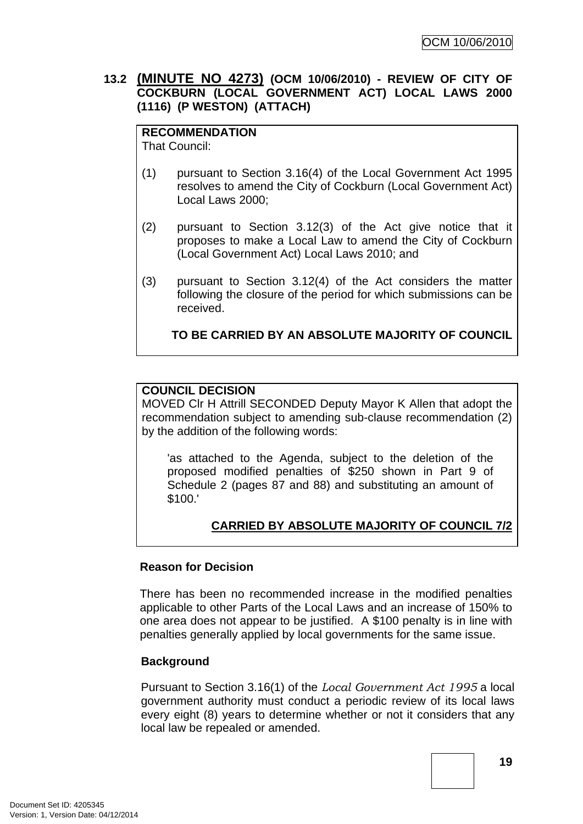# <span id="page-22-0"></span>**13.2 (MINUTE NO 4273) (OCM 10/06/2010) - REVIEW OF CITY OF COCKBURN (LOCAL GOVERNMENT ACT) LOCAL LAWS 2000 (1116) (P WESTON) (ATTACH)**

# **RECOMMENDATION**

That Council:

- (1) pursuant to Section 3.16(4) of the Local Government Act 1995 resolves to amend the City of Cockburn (Local Government Act) Local Laws 2000;
- (2) pursuant to Section 3.12(3) of the Act give notice that it proposes to make a Local Law to amend the City of Cockburn (Local Government Act) Local Laws 2010; and
- (3) pursuant to Section 3.12(4) of the Act considers the matter following the closure of the period for which submissions can be received.

**TO BE CARRIED BY AN ABSOLUTE MAJORITY OF COUNCIL**

# **COUNCIL DECISION**

MOVED Clr H Attrill SECONDED Deputy Mayor K Allen that adopt the recommendation subject to amending sub-clause recommendation (2) by the addition of the following words:

'as attached to the Agenda, subject to the deletion of the proposed modified penalties of \$250 shown in Part 9 of Schedule 2 (pages 87 and 88) and substituting an amount of \$100.'

# **CARRIED BY ABSOLUTE MAJORITY OF COUNCIL 7/2**

#### **Reason for Decision**

There has been no recommended increase in the modified penalties applicable to other Parts of the Local Laws and an increase of 150% to one area does not appear to be justified. A \$100 penalty is in line with penalties generally applied by local governments for the same issue.

#### **Background**

Pursuant to Section 3.16(1) of the *Local Government Act 1995* a local government authority must conduct a periodic review of its local laws every eight (8) years to determine whether or not it considers that any local law be repealed or amended.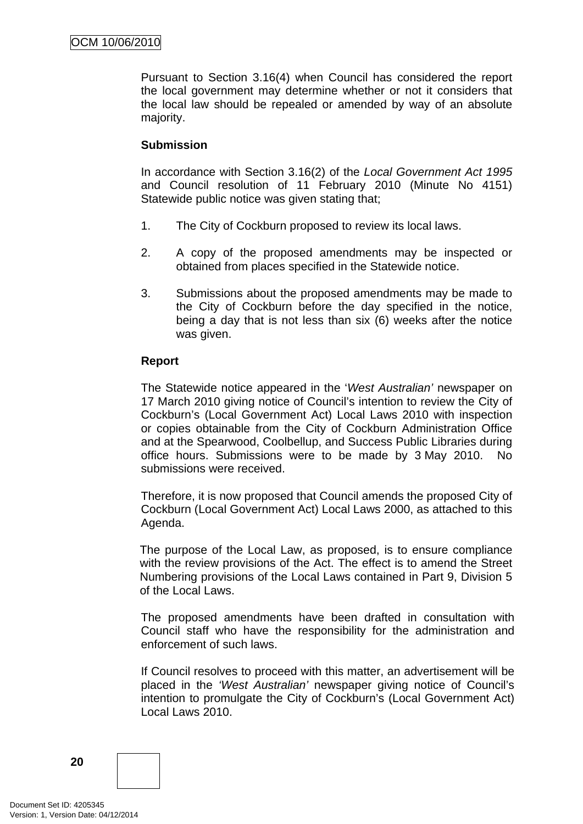Pursuant to Section 3.16(4) when Council has considered the report the local government may determine whether or not it considers that the local law should be repealed or amended by way of an absolute majority.

# **Submission**

In accordance with Section 3.16(2) of the *Local Government Act 1995*  and Council resolution of 11 February 2010 (Minute No 4151) Statewide public notice was given stating that;

- 1. The City of Cockburn proposed to review its local laws.
- 2. A copy of the proposed amendments may be inspected or obtained from places specified in the Statewide notice.
- 3. Submissions about the proposed amendments may be made to the City of Cockburn before the day specified in the notice, being a day that is not less than six (6) weeks after the notice was given.

# **Report**

The Statewide notice appeared in the '*West Australian'* newspaper on 17 March 2010 giving notice of Council's intention to review the City of Cockburn's (Local Government Act) Local Laws 2010 with inspection or copies obtainable from the City of Cockburn Administration Office and at the Spearwood, Coolbellup, and Success Public Libraries during office hours. Submissions were to be made by 3 May 2010. No submissions were received.

Therefore, it is now proposed that Council amends the proposed City of Cockburn (Local Government Act) Local Laws 2000, as attached to this Agenda.

The purpose of the Local Law, as proposed, is to ensure compliance with the review provisions of the Act. The effect is to amend the Street Numbering provisions of the Local Laws contained in Part 9, Division 5 of the Local Laws.

The proposed amendments have been drafted in consultation with Council staff who have the responsibility for the administration and enforcement of such laws.

If Council resolves to proceed with this matter, an advertisement will be placed in the *'West Australian'* newspaper giving notice of Council's intention to promulgate the City of Cockburn's (Local Government Act) Local Laws 2010.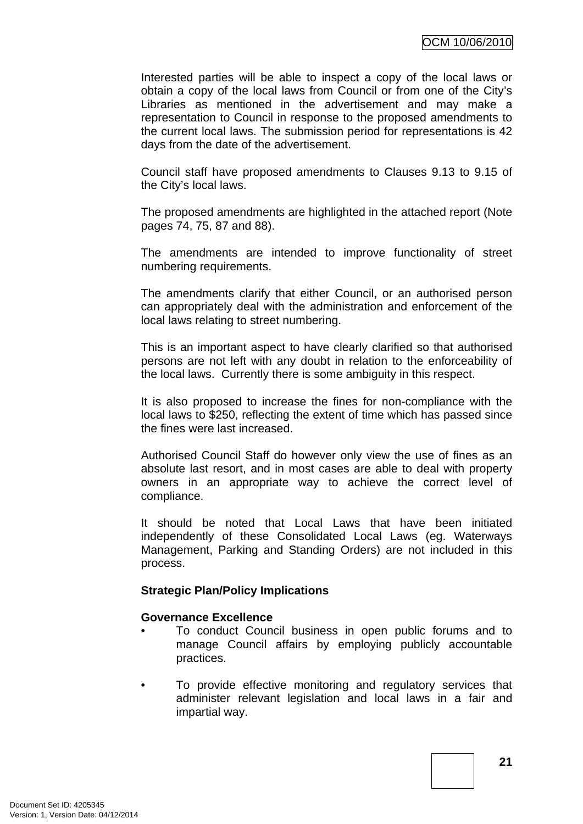Interested parties will be able to inspect a copy of the local laws or obtain a copy of the local laws from Council or from one of the City's Libraries as mentioned in the advertisement and may make a representation to Council in response to the proposed amendments to the current local laws. The submission period for representations is 42 days from the date of the advertisement.

Council staff have proposed amendments to Clauses 9.13 to 9.15 of the City's local laws.

The proposed amendments are highlighted in the attached report (Note pages 74, 75, 87 and 88).

The amendments are intended to improve functionality of street numbering requirements.

The amendments clarify that either Council, or an authorised person can appropriately deal with the administration and enforcement of the local laws relating to street numbering.

This is an important aspect to have clearly clarified so that authorised persons are not left with any doubt in relation to the enforceability of the local laws. Currently there is some ambiguity in this respect.

It is also proposed to increase the fines for non-compliance with the local laws to \$250, reflecting the extent of time which has passed since the fines were last increased.

Authorised Council Staff do however only view the use of fines as an absolute last resort, and in most cases are able to deal with property owners in an appropriate way to achieve the correct level of compliance.

It should be noted that Local Laws that have been initiated independently of these Consolidated Local Laws (eg. Waterways Management, Parking and Standing Orders) are not included in this process.

#### **Strategic Plan/Policy Implications**

#### **Governance Excellence**

- To conduct Council business in open public forums and to manage Council affairs by employing publicly accountable practices.
- To provide effective monitoring and regulatory services that administer relevant legislation and local laws in a fair and impartial way.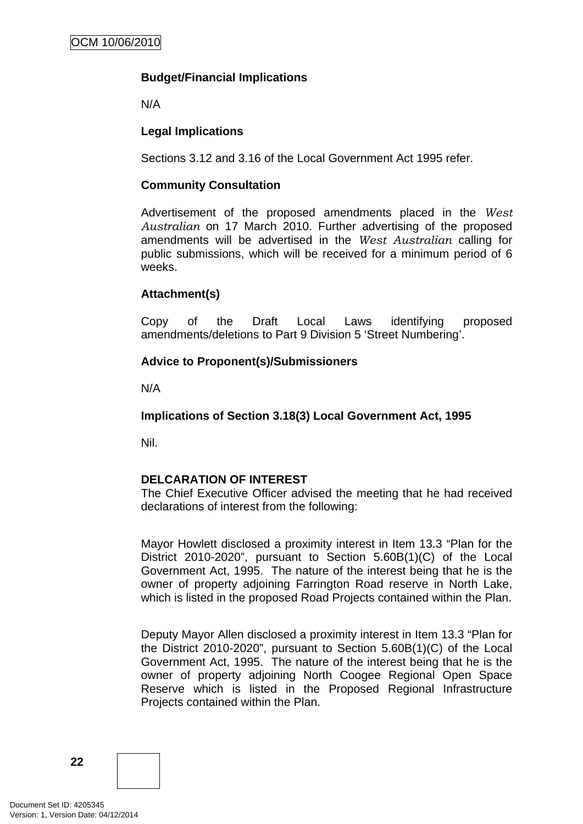# **Budget/Financial Implications**

N/A

# **Legal Implications**

Sections 3.12 and 3.16 of the Local Government Act 1995 refer.

#### **Community Consultation**

Advertisement of the proposed amendments placed in the *West Australian* on 17 March 2010. Further advertising of the proposed amendments will be advertised in the *West Australian* calling for public submissions, which will be received for a minimum period of 6 weeks.

#### **Attachment(s)**

Copy of the Draft Local Laws identifying proposed amendments/deletions to Part 9 Division 5 'Street Numbering'.

#### **Advice to Proponent(s)/Submissioners**

N/A

**Implications of Section 3.18(3) Local Government Act, 1995**

Nil.

#### **DELCARATION OF INTEREST**

The Chief Executive Officer advised the meeting that he had received declarations of interest from the following:

Mayor Howlett disclosed a proximity interest in Item 13.3 "Plan for the District 2010-2020", pursuant to Section 5.60B(1)(C) of the Local Government Act, 1995. The nature of the interest being that he is the owner of property adjoining Farrington Road reserve in North Lake, which is listed in the proposed Road Projects contained within the Plan.

Deputy Mayor Allen disclosed a proximity interest in Item 13.3 "Plan for the District 2010-2020", pursuant to Section 5.60B(1)(C) of the Local Government Act, 1995. The nature of the interest being that he is the owner of property adjoining North Coogee Regional Open Space Reserve which is listed in the Proposed Regional Infrastructure Projects contained within the Plan.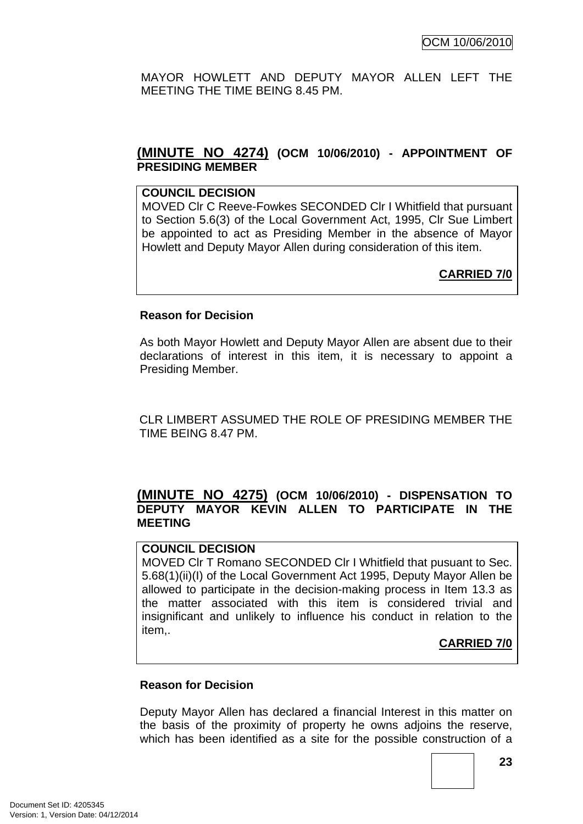<span id="page-26-0"></span>MAYOR HOWLETT AND DEPUTY MAYOR ALLEN LEFT THE MEETING THE TIME BEING 8.45 PM.

# **(MINUTE NO 4274) (OCM 10/06/2010) - APPOINTMENT OF PRESIDING MEMBER**

### **COUNCIL DECISION**

MOVED Clr C Reeve-Fowkes SECONDED Clr I Whitfield that pursuant to Section 5.6(3) of the Local Government Act, 1995, Clr Sue Limbert be appointed to act as Presiding Member in the absence of Mayor Howlett and Deputy Mayor Allen during consideration of this item.

# **CARRIED 7/0**

#### **Reason for Decision**

As both Mayor Howlett and Deputy Mayor Allen are absent due to their declarations of interest in this item, it is necessary to appoint a Presiding Member.

CLR LIMBERT ASSUMED THE ROLE OF PRESIDING MEMBER THE TIME BEING 8.47 PM.

# **(MINUTE NO 4275) (OCM 10/06/2010) - DISPENSATION TO DEPUTY MAYOR KEVIN ALLEN TO PARTICIPATE IN THE MEETING**

# **COUNCIL DECISION**

MOVED Clr T Romano SECONDED Clr I Whitfield that pusuant to Sec. 5.68(1)(ii)(I) of the Local Government Act 1995, Deputy Mayor Allen be allowed to participate in the decision-making process in Item 13.3 as the matter associated with this item is considered trivial and insignificant and unlikely to influence his conduct in relation to the item,.

# **CARRIED 7/0**

#### **Reason for Decision**

Deputy Mayor Allen has declared a financial Interest in this matter on the basis of the proximity of property he owns adjoins the reserve, which has been identified as a site for the possible construction of a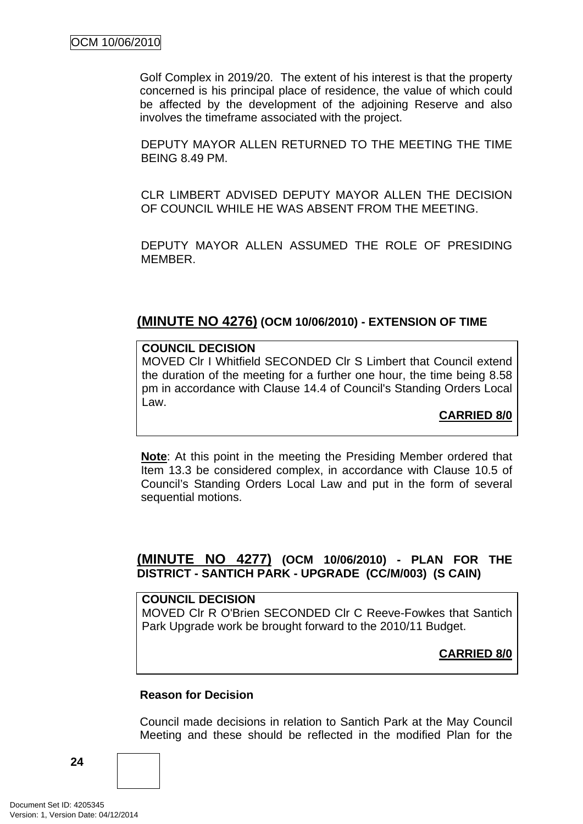<span id="page-27-0"></span>Golf Complex in 2019/20. The extent of his interest is that the property concerned is his principal place of residence, the value of which could be affected by the development of the adjoining Reserve and also involves the timeframe associated with the project.

DEPUTY MAYOR ALLEN RETURNED TO THE MEETING THE TIME BEING 8.49 PM.

CLR LIMBERT ADVISED DEPUTY MAYOR ALLEN THE DECISION OF COUNCIL WHILE HE WAS ABSENT FROM THE MEETING.

DEPUTY MAYOR ALLEN ASSUMED THE ROLE OF PRESIDING MEMBER.

# **(MINUTE NO 4276) (OCM 10/06/2010) - EXTENSION OF TIME**

#### **COUNCIL DECISION**

MOVED Clr I Whitfield SECONDED Clr S Limbert that Council extend the duration of the meeting for a further one hour, the time being 8.58 pm in accordance with Clause 14.4 of Council's Standing Orders Local Law.

**CARRIED 8/0**

**Note**: At this point in the meeting the Presiding Member ordered that Item 13.3 be considered complex, in accordance with Clause 10.5 of Council's Standing Orders Local Law and put in the form of several sequential motions.

# **(MINUTE NO 4277) (OCM 10/06/2010) - PLAN FOR THE DISTRICT - SANTICH PARK - UPGRADE (CC/M/003) (S CAIN)**

**COUNCIL DECISION**  MOVED Clr R O'Brien SECONDED Clr C Reeve-Fowkes that Santich Park Upgrade work be brought forward to the 2010/11 Budget.

**CARRIED 8/0**

#### **Reason for Decision**

Council made decisions in relation to Santich Park at the May Council Meeting and these should be reflected in the modified Plan for the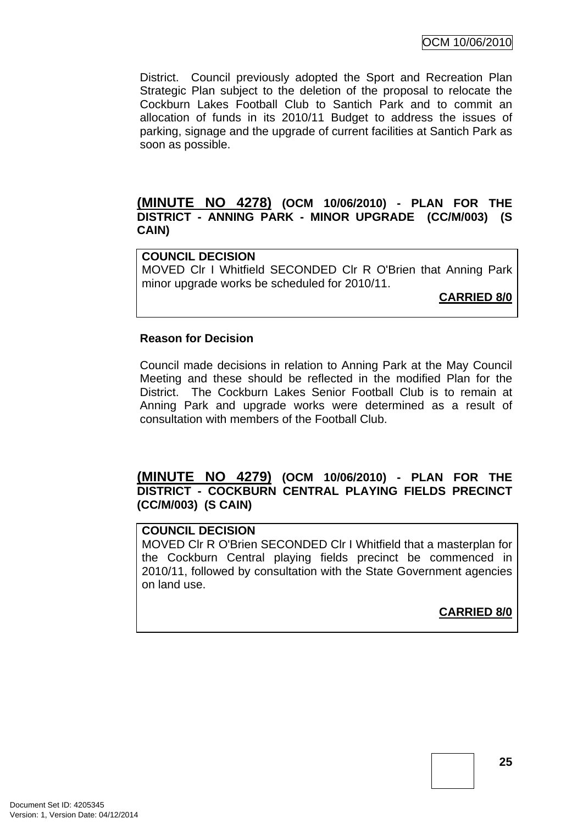OCM 10/06/2010

<span id="page-28-0"></span>District. Council previously adopted the Sport and Recreation Plan Strategic Plan subject to the deletion of the proposal to relocate the Cockburn Lakes Football Club to Santich Park and to commit an allocation of funds in its 2010/11 Budget to address the issues of parking, signage and the upgrade of current facilities at Santich Park as soon as possible.

# **(MINUTE NO 4278) (OCM 10/06/2010) - PLAN FOR THE DISTRICT - ANNING PARK - MINOR UPGRADE (CC/M/003) (S CAIN)**

#### **COUNCIL DECISION**

MOVED Clr I Whitfield SECONDED Clr R O'Brien that Anning Park minor upgrade works be scheduled for 2010/11.

**CARRIED 8/0**

#### **Reason for Decision**

Council made decisions in relation to Anning Park at the May Council Meeting and these should be reflected in the modified Plan for the District. The Cockburn Lakes Senior Football Club is to remain at Anning Park and upgrade works were determined as a result of consultation with members of the Football Club.

# **(MINUTE NO 4279) (OCM 10/06/2010) - PLAN FOR THE DISTRICT - COCKBURN CENTRAL PLAYING FIELDS PRECINCT (CC/M/003) (S CAIN)**

#### **COUNCIL DECISION**

MOVED Clr R O'Brien SECONDED Clr I Whitfield that a masterplan for the Cockburn Central playing fields precinct be commenced in 2010/11, followed by consultation with the State Government agencies on land use.

**CARRIED 8/0**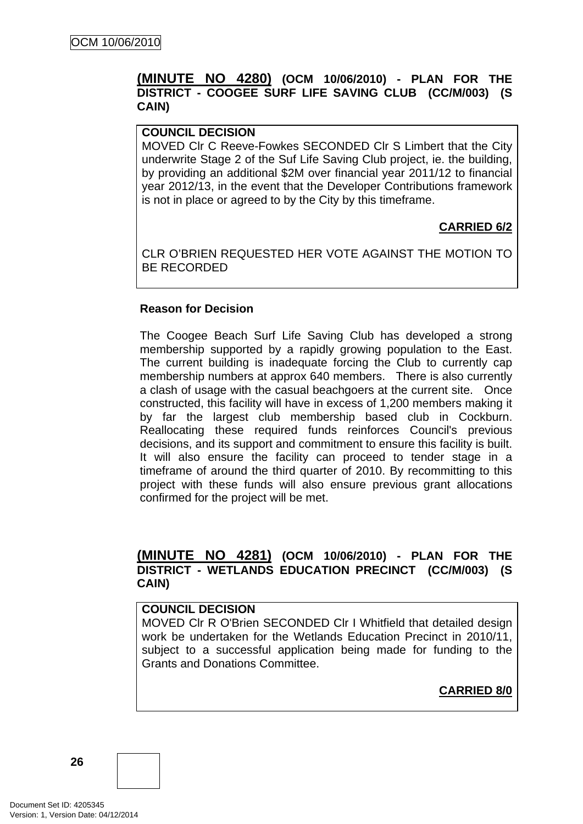# <span id="page-29-0"></span>**(MINUTE NO 4280) (OCM 10/06/2010) - PLAN FOR THE DISTRICT - COOGEE SURF LIFE SAVING CLUB (CC/M/003) (S CAIN)**

# **COUNCIL DECISION**

MOVED Clr C Reeve-Fowkes SECONDED Clr S Limbert that the City underwrite Stage 2 of the Suf Life Saving Club project, ie. the building, by providing an additional \$2M over financial year 2011/12 to financial year 2012/13, in the event that the Developer Contributions framework is not in place or agreed to by the City by this timeframe.

# **CARRIED 6/2**

CLR O'BRIEN REQUESTED HER VOTE AGAINST THE MOTION TO BE RECORDED

#### **Reason for Decision**

The Coogee Beach Surf Life Saving Club has developed a strong membership supported by a rapidly growing population to the East. The current building is inadequate forcing the Club to currently cap membership numbers at approx 640 members. There is also currently a clash of usage with the casual beachgoers at the current site. Once constructed, this facility will have in excess of 1,200 members making it by far the largest club membership based club in Cockburn. Reallocating these required funds reinforces Council's previous decisions, and its support and commitment to ensure this facility is built. It will also ensure the facility can proceed to tender stage in a timeframe of around the third quarter of 2010. By recommitting to this project with these funds will also ensure previous grant allocations confirmed for the project will be met.

# **(MINUTE NO 4281) (OCM 10/06/2010) - PLAN FOR THE DISTRICT - WETLANDS EDUCATION PRECINCT (CC/M/003) (S CAIN)**

#### **COUNCIL DECISION**

MOVED Clr R O'Brien SECONDED Clr I Whitfield that detailed design work be undertaken for the Wetlands Education Precinct in 2010/11, subject to a successful application being made for funding to the Grants and Donations Committee.

**CARRIED 8/0**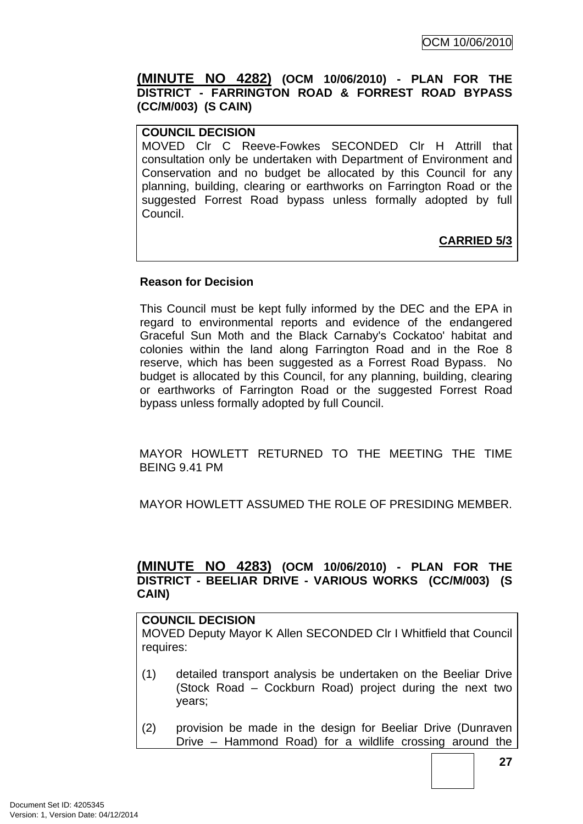<span id="page-30-0"></span>**(MINUTE NO 4282) (OCM 10/06/2010) - PLAN FOR THE DISTRICT - FARRINGTON ROAD & FORREST ROAD BYPASS (CC/M/003) (S CAIN)** 

# **COUNCIL DECISION**

MOVED Clr C Reeve-Fowkes SECONDED Clr H Attrill that consultation only be undertaken with Department of Environment and Conservation and no budget be allocated by this Council for any planning, building, clearing or earthworks on Farrington Road or the suggested Forrest Road bypass unless formally adopted by full Council.

**CARRIED 5/3**

# **Reason for Decision**

This Council must be kept fully informed by the DEC and the EPA in regard to environmental reports and evidence of the endangered Graceful Sun Moth and the Black Carnaby's Cockatoo' habitat and colonies within the land along Farrington Road and in the Roe 8 reserve, which has been suggested as a Forrest Road Bypass. No budget is allocated by this Council, for any planning, building, clearing or earthworks of Farrington Road or the suggested Forrest Road bypass unless formally adopted by full Council.

MAYOR HOWLETT RETURNED TO THE MEETING THE TIME BEING 9.41 PM

MAYOR HOWLETT ASSUMED THE ROLE OF PRESIDING MEMBER.

# **(MINUTE NO 4283) (OCM 10/06/2010) - PLAN FOR THE DISTRICT - BEELIAR DRIVE - VARIOUS WORKS (CC/M/003) (S CAIN)**

# **COUNCIL DECISION**

MOVED Deputy Mayor K Allen SECONDED Clr I Whitfield that Council requires:

- (1) detailed transport analysis be undertaken on the Beeliar Drive (Stock Road – Cockburn Road) project during the next two years;
- (2) provision be made in the design for Beeliar Drive (Dunraven Drive – Hammond Road) for a wildlife crossing around the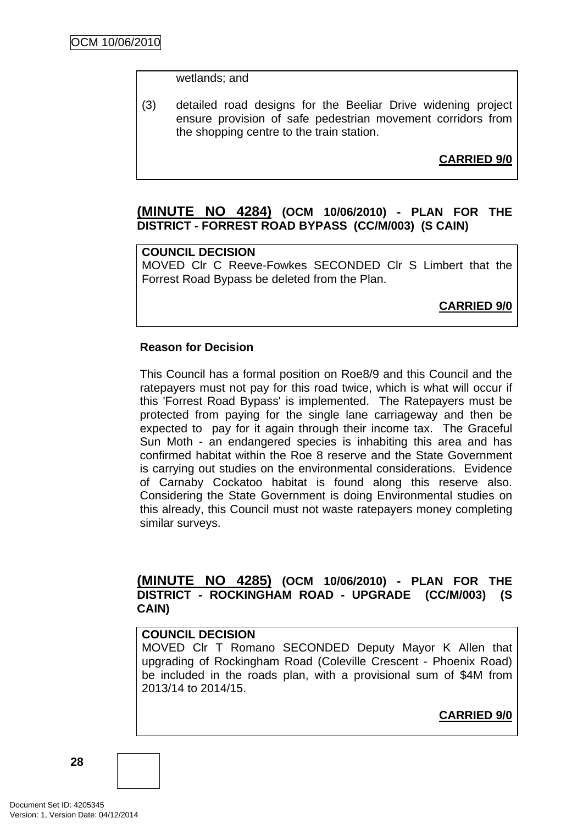wetlands; and

<span id="page-31-0"></span>(3) detailed road designs for the Beeliar Drive widening project ensure provision of safe pedestrian movement corridors from the shopping centre to the train station.

**CARRIED 9/0**

# **(MINUTE NO 4284) (OCM 10/06/2010) - PLAN FOR THE DISTRICT - FORREST ROAD BYPASS (CC/M/003) (S CAIN)**

# **COUNCIL DECISION**

MOVED Clr C Reeve-Fowkes SECONDED Clr S Limbert that the Forrest Road Bypass be deleted from the Plan.

**CARRIED 9/0**

# **Reason for Decision**

This Council has a formal position on Roe8/9 and this Council and the ratepayers must not pay for this road twice, which is what will occur if this 'Forrest Road Bypass' is implemented. The Ratepayers must be protected from paying for the single lane carriageway and then be expected to pay for it again through their income tax. The Graceful Sun Moth - an endangered species is inhabiting this area and has confirmed habitat within the Roe 8 reserve and the State Government is carrying out studies on the environmental considerations. Evidence of Carnaby Cockatoo habitat is found along this reserve also. Considering the State Government is doing Environmental studies on this already, this Council must not waste ratepayers money completing similar surveys.

# **(MINUTE NO 4285) (OCM 10/06/2010) - PLAN FOR THE DISTRICT - ROCKINGHAM ROAD - UPGRADE (CC/M/003) (S CAIN)**

#### **COUNCIL DECISION**

MOVED Clr T Romano SECONDED Deputy Mayor K Allen that upgrading of Rockingham Road (Coleville Crescent - Phoenix Road) be included in the roads plan, with a provisional sum of \$4M from 2013/14 to 2014/15.

**CARRIED 9/0**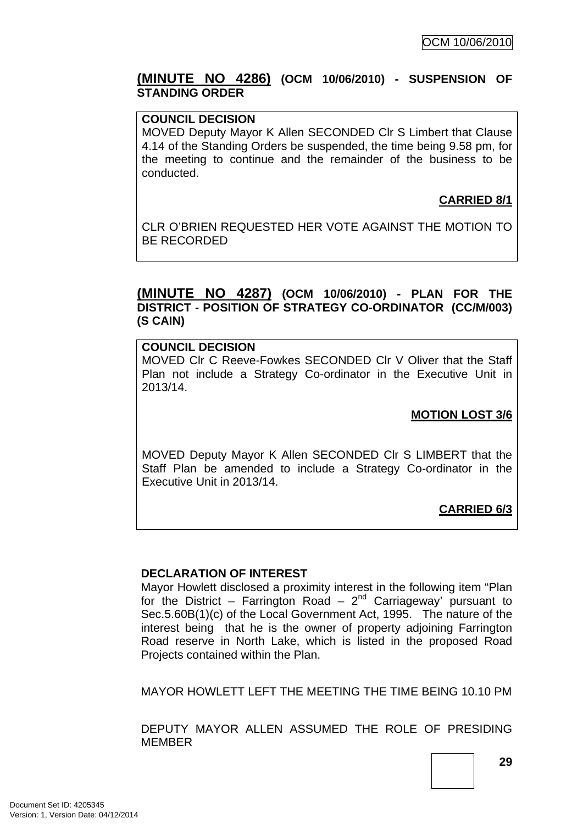# <span id="page-32-0"></span>**(MINUTE NO 4286) (OCM 10/06/2010) - SUSPENSION OF STANDING ORDER**

#### **COUNCIL DECISION**

MOVED Deputy Mayor K Allen SECONDED Clr S Limbert that Clause 4.14 of the Standing Orders be suspended, the time being 9.58 pm, for the meeting to continue and the remainder of the business to be conducted.

# **CARRIED 8/1**

CLR O'BRIEN REQUESTED HER VOTE AGAINST THE MOTION TO BE RECORDED

# **(MINUTE NO 4287) (OCM 10/06/2010) - PLAN FOR THE DISTRICT - POSITION OF STRATEGY CO-ORDINATOR (CC/M/003) (S CAIN)**

#### **COUNCIL DECISION**

MOVED Clr C Reeve-Fowkes SECONDED Clr V Oliver that the Staff Plan not include a Strategy Co-ordinator in the Executive Unit in 2013/14.

### **MOTION LOST 3/6**

MOVED Deputy Mayor K Allen SECONDED Clr S LIMBERT that the Staff Plan be amended to include a Strategy Co-ordinator in the Executive Unit in 2013/14.

# **CARRIED 6/3**

#### **DECLARATION OF INTEREST**

Mayor Howlett disclosed a proximity interest in the following item "Plan for the District – Farrington Road –  $2^{nd}$  Carriageway' pursuant to Sec.5.60B(1)(c) of the Local Government Act, 1995. The nature of the interest being that he is the owner of property adjoining Farrington Road reserve in North Lake, which is listed in the proposed Road Projects contained within the Plan.

MAYOR HOWLETT LEFT THE MEETING THE TIME BEING 10.10 PM

DEPUTY MAYOR ALLEN ASSUMED THE ROLE OF PRESIDING MEMBER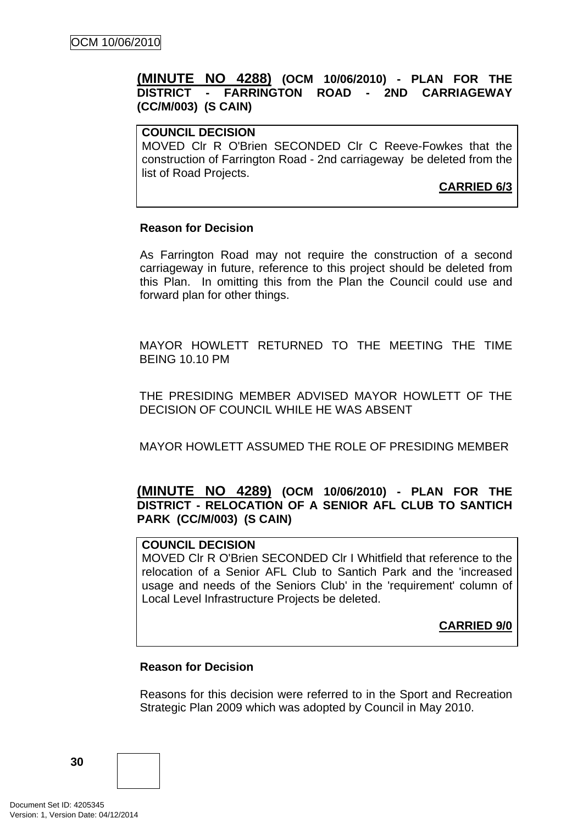# <span id="page-33-0"></span>**(MINUTE NO 4288) (OCM 10/06/2010) - PLAN FOR THE DISTRICT - FARRINGTON ROAD - 2ND CARRIAGEWAY (CC/M/003) (S CAIN)**

# **COUNCIL DECISION**

MOVED Clr R O'Brien SECONDED Clr C Reeve-Fowkes that the construction of Farrington Road - 2nd carriageway be deleted from the list of Road Projects.

**CARRIED 6/3**

#### **Reason for Decision**

As Farrington Road may not require the construction of a second carriageway in future, reference to this project should be deleted from this Plan. In omitting this from the Plan the Council could use and forward plan for other things.

MAYOR HOWLETT RETURNED TO THE MEETING THE TIME BEING 10.10 PM

THE PRESIDING MEMBER ADVISED MAYOR HOWLETT OF THE DECISION OF COUNCIL WHILE HE WAS ABSENT

MAYOR HOWLETT ASSUMED THE ROLE OF PRESIDING MEMBER

# **(MINUTE NO 4289) (OCM 10/06/2010) - PLAN FOR THE DISTRICT - RELOCATION OF A SENIOR AFL CLUB TO SANTICH PARK (CC/M/003) (S CAIN)**

# **COUNCIL DECISION**

MOVED Clr R O'Brien SECONDED Clr I Whitfield that reference to the relocation of a Senior AFL Club to Santich Park and the 'increased usage and needs of the Seniors Club' in the 'requirement' column of Local Level Infrastructure Projects be deleted.

**CARRIED 9/0**

#### **Reason for Decision**

Reasons for this decision were referred to in the Sport and Recreation Strategic Plan 2009 which was adopted by Council in May 2010.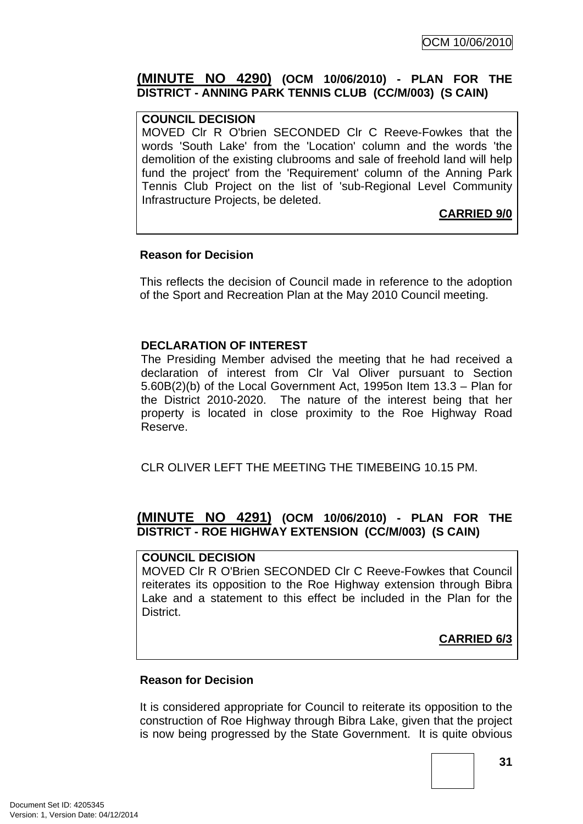# <span id="page-34-0"></span>**(MINUTE NO 4290) (OCM 10/06/2010) - PLAN FOR THE DISTRICT - ANNING PARK TENNIS CLUB (CC/M/003) (S CAIN)**

### **COUNCIL DECISION**

MOVED Clr R O'brien SECONDED Clr C Reeve-Fowkes that the words 'South Lake' from the 'Location' column and the words 'the demolition of the existing clubrooms and sale of freehold land will help fund the project' from the 'Requirement' column of the Anning Park Tennis Club Project on the list of 'sub-Regional Level Community Infrastructure Projects, be deleted.

# **CARRIED 9/0**

#### **Reason for Decision**

This reflects the decision of Council made in reference to the adoption of the Sport and Recreation Plan at the May 2010 Council meeting.

# **DECLARATION OF INTEREST**

The Presiding Member advised the meeting that he had received a declaration of interest from Clr Val Oliver pursuant to Section 5.60B(2)(b) of the Local Government Act, 1995on Item 13.3 – Plan for the District 2010-2020. The nature of the interest being that her property is located in close proximity to the Roe Highway Road Reserve.

CLR OLIVER LEFT THE MEETING THE TIMEBEING 10.15 PM

# **(MINUTE NO 4291) (OCM 10/06/2010) - PLAN FOR THE DISTRICT - ROE HIGHWAY EXTENSION (CC/M/003) (S CAIN)**

### **COUNCIL DECISION**

MOVED Clr R O'Brien SECONDED Clr C Reeve-Fowkes that Council reiterates its opposition to the Roe Highway extension through Bibra Lake and a statement to this effect be included in the Plan for the District.

# **CARRIED 6/3**

#### **Reason for Decision**

It is considered appropriate for Council to reiterate its opposition to the construction of Roe Highway through Bibra Lake, given that the project is now being progressed by the State Government. It is quite obvious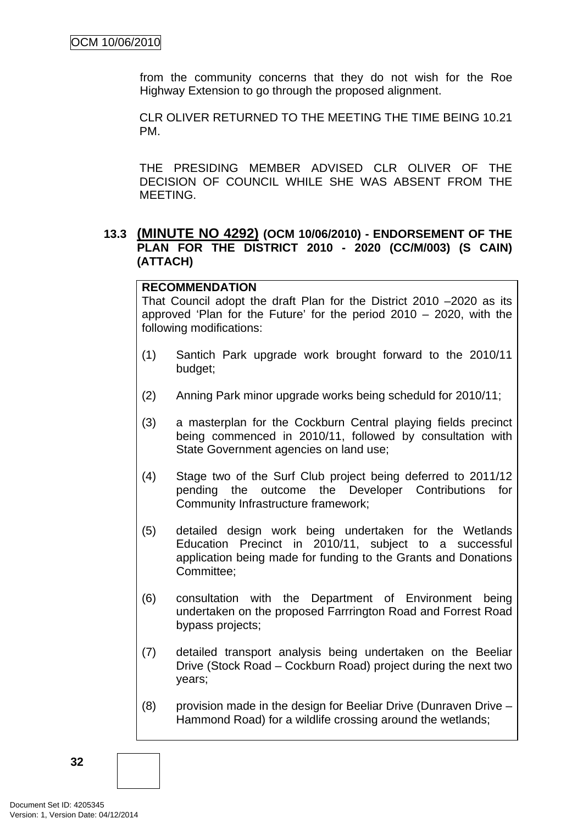<span id="page-35-0"></span>from the community concerns that they do not wish for the Roe Highway Extension to go through the proposed alignment.

CLR OLIVER RETURNED TO THE MEETING THE TIME BEING 10.21 PM.

THE PRESIDING MEMBER ADVISED CLR OLIVER OF THE DECISION OF COUNCIL WHILE SHE WAS ABSENT FROM THE MEETING.

# **13.3 (MINUTE NO 4292) (OCM 10/06/2010) - ENDORSEMENT OF THE PLAN FOR THE DISTRICT 2010 - 2020 (CC/M/003) (S CAIN) (ATTACH)**

### **RECOMMENDATION**

That Council adopt the draft Plan for the District 2010 –2020 as its approved 'Plan for the Future' for the period 2010 – 2020, with the following modifications:

- (1) Santich Park upgrade work brought forward to the 2010/11 budget;
- (2) Anning Park minor upgrade works being scheduld for 2010/11;
- (3) a masterplan for the Cockburn Central playing fields precinct being commenced in 2010/11, followed by consultation with State Government agencies on land use;
- (4) Stage two of the Surf Club project being deferred to 2011/12 pending the outcome the Developer Contributions for Community Infrastructure framework;
- (5) detailed design work being undertaken for the Wetlands Education Precinct in 2010/11, subject to a successful application being made for funding to the Grants and Donations Committee;
- (6) consultation with the Department of Environment being undertaken on the proposed Farrrington Road and Forrest Road bypass projects;
- (7) detailed transport analysis being undertaken on the Beeliar Drive (Stock Road – Cockburn Road) project during the next two years;
- (8) provision made in the design for Beeliar Drive (Dunraven Drive Hammond Road) for a wildlife crossing around the wetlands;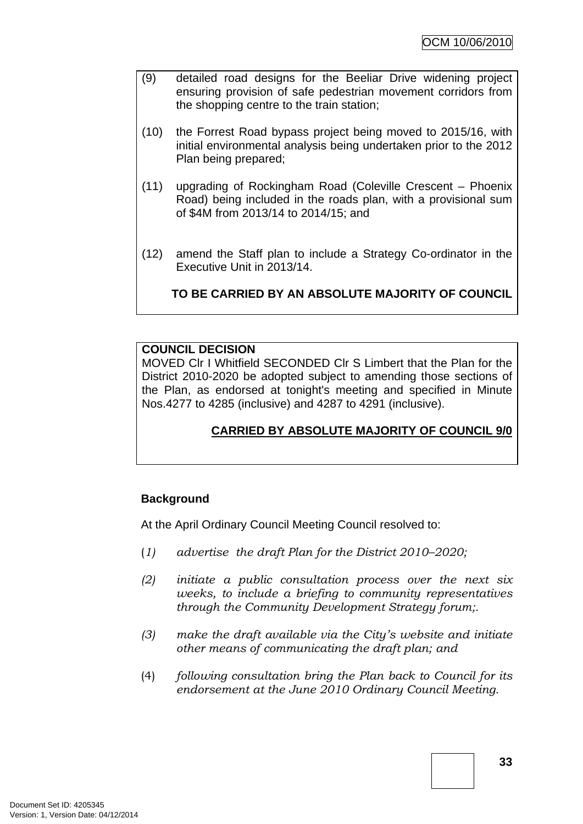- (9) detailed road designs for the Beeliar Drive widening project ensuring provision of safe pedestrian movement corridors from the shopping centre to the train station;
- (10) the Forrest Road bypass project being moved to 2015/16, with initial environmental analysis being undertaken prior to the 2012 Plan being prepared;
- (11) upgrading of Rockingham Road (Coleville Crescent Phoenix Road) being included in the roads plan, with a provisional sum of \$4M from 2013/14 to 2014/15; and
- (12) amend the Staff plan to include a Strategy Co-ordinator in the Executive Unit in 2013/14.

**TO BE CARRIED BY AN ABSOLUTE MAJORITY OF COUNCIL**

### **COUNCIL DECISION**

MOVED Clr I Whitfield SECONDED Clr S Limbert that the Plan for the District 2010-2020 be adopted subject to amending those sections of the Plan, as endorsed at tonight's meeting and specified in Minute Nos.4277 to 4285 (inclusive) and 4287 to 4291 (inclusive).

# **CARRIED BY ABSOLUTE MAJORITY OF COUNCIL 9/0**

### **Background**

At the April Ordinary Council Meeting Council resolved to:

- (*1) advertise the draft Plan for the District 2010–2020;*
- *(2) initiate a public consultation process over the next six weeks, to include a briefing to community representatives through the Community Development Strategy forum;.*
- *(3) make the draft available via the City's website and initiate other means of communicating the draft plan; and*
- (4) *following consultation bring the Plan back to Council for its endorsement at the June 2010 Ordinary Council Meeting.*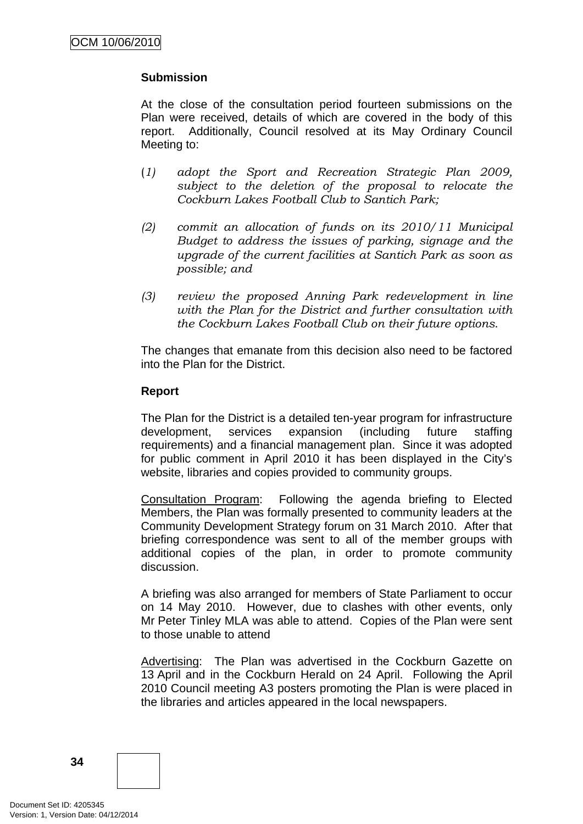# **Submission**

At the close of the consultation period fourteen submissions on the Plan were received, details of which are covered in the body of this report. Additionally, Council resolved at its May Ordinary Council Meeting to:

- (*1) adopt the Sport and Recreation Strategic Plan 2009, subject to the deletion of the proposal to relocate the Cockburn Lakes Football Club to Santich Park;*
- *(2) commit an allocation of funds on its 2010/11 Municipal Budget to address the issues of parking, signage and the upgrade of the current facilities at Santich Park as soon as possible; and*
- *(3) review the proposed Anning Park redevelopment in line with the Plan for the District and further consultation with the Cockburn Lakes Football Club on their future options*.

The changes that emanate from this decision also need to be factored into the Plan for the District.

### **Report**

The Plan for the District is a detailed ten-year program for infrastructure development, services expansion (including future staffing requirements) and a financial management plan. Since it was adopted for public comment in April 2010 it has been displayed in the City's website, libraries and copies provided to community groups.

Consultation Program: Following the agenda briefing to Elected Members, the Plan was formally presented to community leaders at the Community Development Strategy forum on 31 March 2010. After that briefing correspondence was sent to all of the member groups with additional copies of the plan, in order to promote community discussion.

A briefing was also arranged for members of State Parliament to occur on 14 May 2010. However, due to clashes with other events, only Mr Peter Tinley MLA was able to attend. Copies of the Plan were sent to those unable to attend

Advertising: The Plan was advertised in the Cockburn Gazette on 13 April and in the Cockburn Herald on 24 April. Following the April 2010 Council meeting A3 posters promoting the Plan is were placed in the libraries and articles appeared in the local newspapers.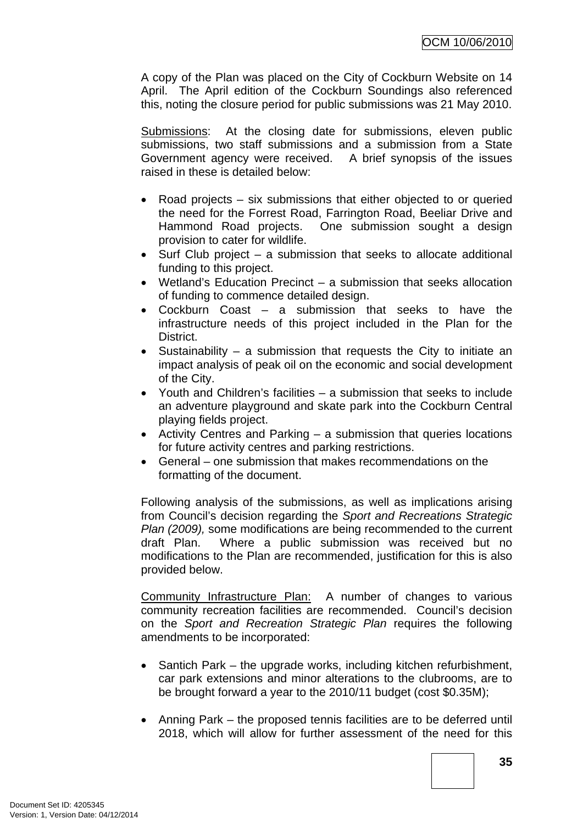A copy of the Plan was placed on the City of Cockburn Website on 14 April. The April edition of the Cockburn Soundings also referenced this, noting the closure period for public submissions was 21 May 2010.

Submissions: At the closing date for submissions, eleven public submissions, two staff submissions and a submission from a State Government agency were received. A brief synopsis of the issues raised in these is detailed below:

- Road projects six submissions that either objected to or queried the need for the Forrest Road, Farrington Road, Beeliar Drive and Hammond Road projects. One submission sought a design provision to cater for wildlife.
- Surf Club project a submission that seeks to allocate additional funding to this project.
- Wetland's Education Precinct a submission that seeks allocation of funding to commence detailed design.
- Cockburn Coast a submission that seeks to have the infrastructure needs of this project included in the Plan for the District.
- Sustainability a submission that requests the City to initiate an impact analysis of peak oil on the economic and social development of the City.
- Youth and Children's facilities a submission that seeks to include an adventure playground and skate park into the Cockburn Central playing fields project.
- Activity Centres and Parking a submission that queries locations for future activity centres and parking restrictions.
- General one submission that makes recommendations on the formatting of the document.

Following analysis of the submissions, as well as implications arising from Council's decision regarding the *Sport and Recreations Strategic Plan (2009),* some modifications are being recommended to the current draft Plan. Where a public submission was received but no modifications to the Plan are recommended, justification for this is also provided below.

Community Infrastructure Plan: A number of changes to various community recreation facilities are recommended. Council's decision on the *Sport and Recreation Strategic Plan* requires the following amendments to be incorporated:

- Santich Park the upgrade works, including kitchen refurbishment, car park extensions and minor alterations to the clubrooms, are to be brought forward a year to the 2010/11 budget (cost \$0.35M);
- Anning Park the proposed tennis facilities are to be deferred until 2018, which will allow for further assessment of the need for this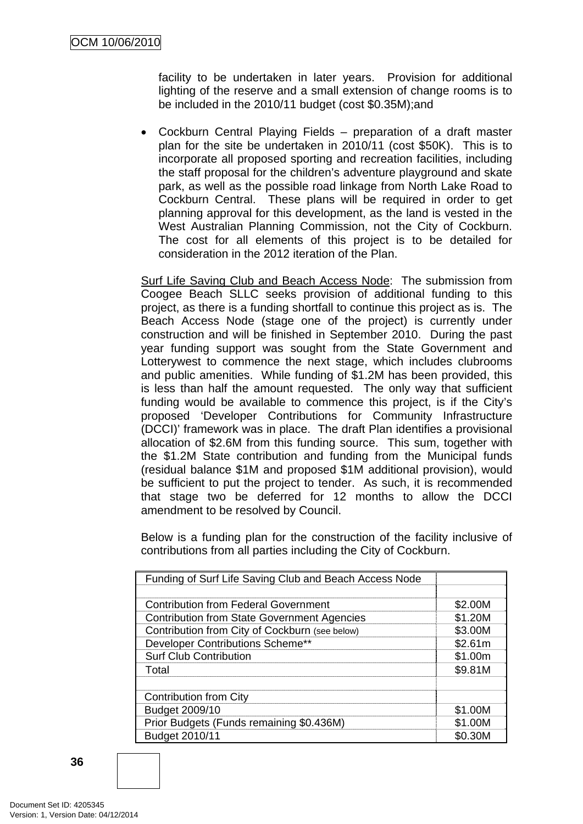facility to be undertaken in later years. Provision for additional lighting of the reserve and a small extension of change rooms is to be included in the 2010/11 budget (cost \$0.35M);and

• Cockburn Central Playing Fields – preparation of a draft master plan for the site be undertaken in 2010/11 (cost \$50K). This is to incorporate all proposed sporting and recreation facilities, including the staff proposal for the children's adventure playground and skate park, as well as the possible road linkage from North Lake Road to Cockburn Central. These plans will be required in order to get planning approval for this development, as the land is vested in the West Australian Planning Commission, not the City of Cockburn. The cost for all elements of this project is to be detailed for consideration in the 2012 iteration of the Plan.

Surf Life Saving Club and Beach Access Node: The submission from Coogee Beach SLLC seeks provision of additional funding to this project, as there is a funding shortfall to continue this project as is. The Beach Access Node (stage one of the project) is currently under construction and will be finished in September 2010. During the past year funding support was sought from the State Government and Lotterywest to commence the next stage, which includes clubrooms and public amenities. While funding of \$1.2M has been provided, this is less than half the amount requested. The only way that sufficient funding would be available to commence this project, is if the City's proposed 'Developer Contributions for Community Infrastructure (DCCI)' framework was in place. The draft Plan identifies a provisional allocation of \$2.6M from this funding source. This sum, together with the \$1.2M State contribution and funding from the Municipal funds (residual balance \$1M and proposed \$1M additional provision), would be sufficient to put the project to tender. As such, it is recommended that stage two be deferred for 12 months to allow the DCCI amendment to be resolved by Council.

Below is a funding plan for the construction of the facility inclusive of contributions from all parties including the City of Cockburn.

| Funding of Surf Life Saving Club and Beach Access Node |         |
|--------------------------------------------------------|---------|
|                                                        |         |
| <b>Contribution from Federal Government</b>            | \$2.00M |
| <b>Contribution from State Government Agencies</b>     | \$1.20M |
| Contribution from City of Cockburn (see below)         | \$3.00M |
| Developer Contributions Scheme**                       | \$2.61m |
| <b>Surf Club Contribution</b>                          | \$1.00m |
| Total                                                  | \$9.81M |
|                                                        |         |
| <b>Contribution from City</b>                          |         |
| Budget 2009/10                                         | \$1.00M |
| Prior Budgets (Funds remaining \$0.436M)               | \$1.00M |
| Budget 2010/11                                         | \$0.30M |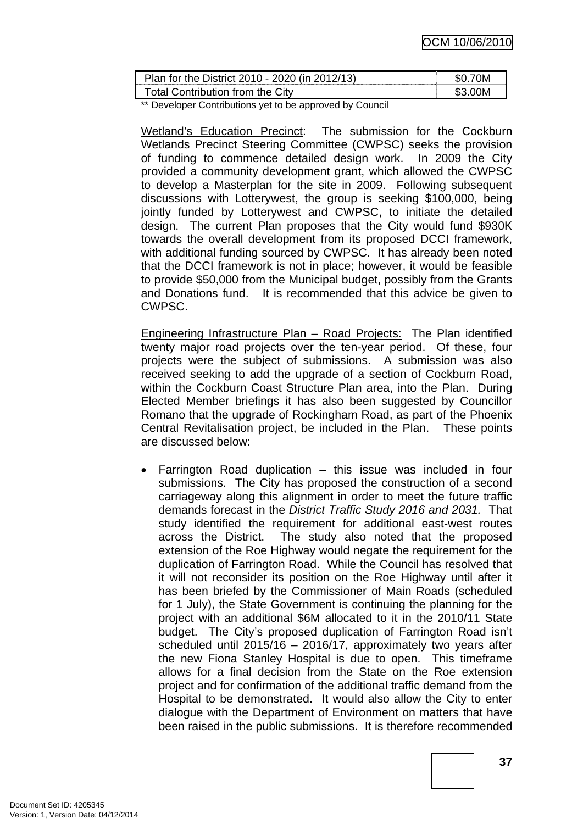| Plan for the District 2010 - 2020 (in 2012/13) | .SO 70M  |
|------------------------------------------------|----------|
| Total Contribution from the City               | _\$3 ∩∩M |

\*\* Developer Contributions yet to be approved by Council

Wetland's Education Precinct: The submission for the Cockburn Wetlands Precinct Steering Committee (CWPSC) seeks the provision of funding to commence detailed design work. In 2009 the City provided a community development grant, which allowed the CWPSC to develop a Masterplan for the site in 2009. Following subsequent discussions with Lotterywest, the group is seeking \$100,000, being jointly funded by Lotterywest and CWPSC, to initiate the detailed design. The current Plan proposes that the City would fund \$930K towards the overall development from its proposed DCCI framework, with additional funding sourced by CWPSC. It has already been noted that the DCCI framework is not in place; however, it would be feasible to provide \$50,000 from the Municipal budget, possibly from the Grants and Donations fund. It is recommended that this advice be given to CWPSC.

Engineering Infrastructure Plan - Road Projects: The Plan identified twenty major road projects over the ten-year period. Of these, four projects were the subject of submissions. A submission was also received seeking to add the upgrade of a section of Cockburn Road, within the Cockburn Coast Structure Plan area, into the Plan. During Elected Member briefings it has also been suggested by Councillor Romano that the upgrade of Rockingham Road, as part of the Phoenix Central Revitalisation project, be included in the Plan. These points are discussed below:

Farrington Road duplication  $-$  this issue was included in four submissions. The City has proposed the construction of a second carriageway along this alignment in order to meet the future traffic demands forecast in the *District Traffic Study 2016 and 2031.* That study identified the requirement for additional east-west routes across the District. The study also noted that the proposed extension of the Roe Highway would negate the requirement for the duplication of Farrington Road. While the Council has resolved that it will not reconsider its position on the Roe Highway until after it has been briefed by the Commissioner of Main Roads (scheduled for 1 July), the State Government is continuing the planning for the project with an additional \$6M allocated to it in the 2010/11 State budget. The City's proposed duplication of Farrington Road isn't scheduled until 2015/16 – 2016/17, approximately two years after the new Fiona Stanley Hospital is due to open. This timeframe allows for a final decision from the State on the Roe extension project and for confirmation of the additional traffic demand from the Hospital to be demonstrated. It would also allow the City to enter dialogue with the Department of Environment on matters that have been raised in the public submissions. It is therefore recommended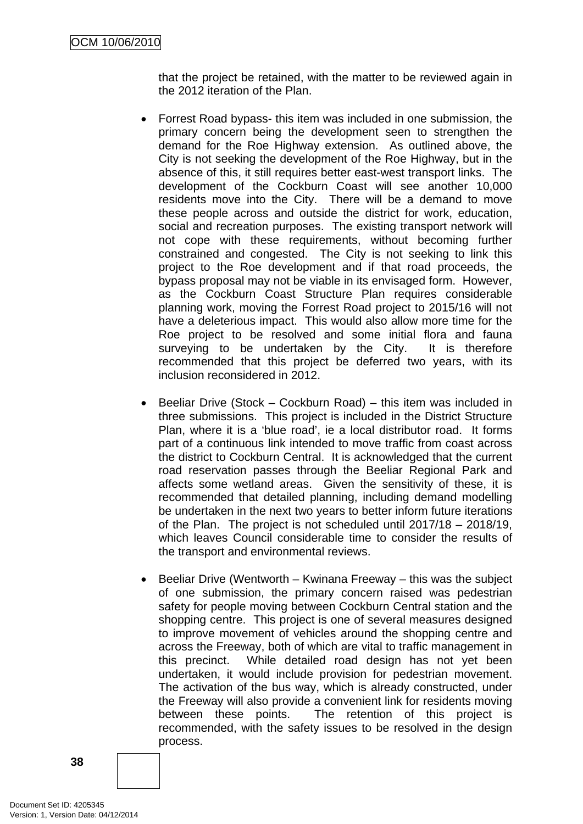that the project be retained, with the matter to be reviewed again in the 2012 iteration of the Plan.

- Forrest Road bypass- this item was included in one submission, the primary concern being the development seen to strengthen the demand for the Roe Highway extension. As outlined above, the City is not seeking the development of the Roe Highway, but in the absence of this, it still requires better east-west transport links. The development of the Cockburn Coast will see another 10,000 residents move into the City. There will be a demand to move these people across and outside the district for work, education, social and recreation purposes. The existing transport network will not cope with these requirements, without becoming further constrained and congested. The City is not seeking to link this project to the Roe development and if that road proceeds, the bypass proposal may not be viable in its envisaged form. However, as the Cockburn Coast Structure Plan requires considerable planning work, moving the Forrest Road project to 2015/16 will not have a deleterious impact. This would also allow more time for the Roe project to be resolved and some initial flora and fauna surveying to be undertaken by the City. It is therefore recommended that this project be deferred two years, with its inclusion reconsidered in 2012.
- Beeliar Drive (Stock Cockburn Road) this item was included in three submissions. This project is included in the District Structure Plan, where it is a 'blue road', ie a local distributor road. It forms part of a continuous link intended to move traffic from coast across the district to Cockburn Central. It is acknowledged that the current road reservation passes through the Beeliar Regional Park and affects some wetland areas. Given the sensitivity of these, it is recommended that detailed planning, including demand modelling be undertaken in the next two years to better inform future iterations of the Plan. The project is not scheduled until 2017/18 – 2018/19, which leaves Council considerable time to consider the results of the transport and environmental reviews.
- Beeliar Drive (Wentworth Kwinana Freeway this was the subject of one submission, the primary concern raised was pedestrian safety for people moving between Cockburn Central station and the shopping centre. This project is one of several measures designed to improve movement of vehicles around the shopping centre and across the Freeway, both of which are vital to traffic management in this precinct. While detailed road design has not yet been undertaken, it would include provision for pedestrian movement. The activation of the bus way, which is already constructed, under the Freeway will also provide a convenient link for residents moving between these points. The retention of this project is recommended, with the safety issues to be resolved in the design process.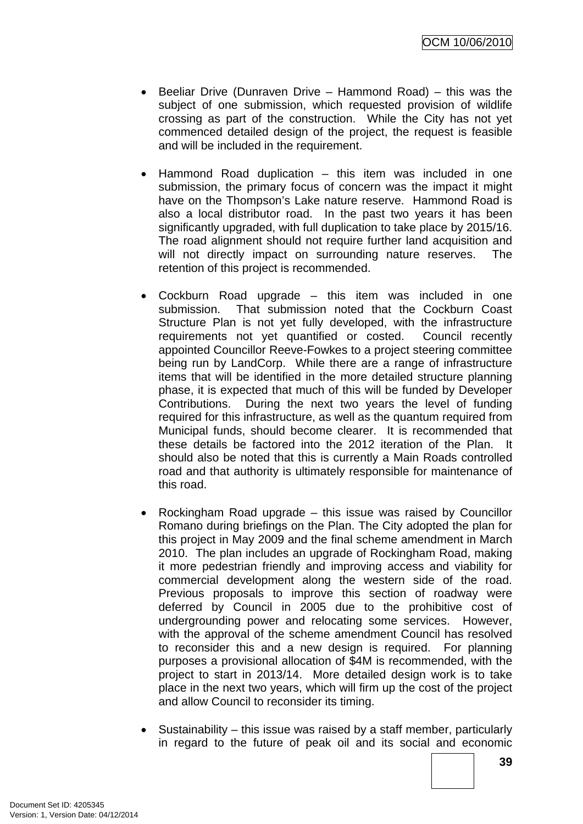- Beeliar Drive (Dunraven Drive Hammond Road) this was the subject of one submission, which requested provision of wildlife crossing as part of the construction. While the City has not yet commenced detailed design of the project, the request is feasible and will be included in the requirement.
- Hammond Road duplication this item was included in one submission, the primary focus of concern was the impact it might have on the Thompson's Lake nature reserve. Hammond Road is also a local distributor road. In the past two years it has been significantly upgraded, with full duplication to take place by 2015/16. The road alignment should not require further land acquisition and will not directly impact on surrounding nature reserves. The retention of this project is recommended.
- Cockburn Road upgrade this item was included in one submission. That submission noted that the Cockburn Coast Structure Plan is not yet fully developed, with the infrastructure requirements not yet quantified or costed. Council recently appointed Councillor Reeve-Fowkes to a project steering committee being run by LandCorp. While there are a range of infrastructure items that will be identified in the more detailed structure planning phase, it is expected that much of this will be funded by Developer Contributions. During the next two years the level of funding required for this infrastructure, as well as the quantum required from Municipal funds, should become clearer. It is recommended that these details be factored into the 2012 iteration of the Plan. It should also be noted that this is currently a Main Roads controlled road and that authority is ultimately responsible for maintenance of this road.
- Rockingham Road upgrade this issue was raised by Councillor Romano during briefings on the Plan. The City adopted the plan for this project in May 2009 and the final scheme amendment in March 2010. The plan includes an upgrade of Rockingham Road, making it more pedestrian friendly and improving access and viability for commercial development along the western side of the road. Previous proposals to improve this section of roadway were deferred by Council in 2005 due to the prohibitive cost of undergrounding power and relocating some services. However, with the approval of the scheme amendment Council has resolved to reconsider this and a new design is required. For planning purposes a provisional allocation of \$4M is recommended, with the project to start in 2013/14. More detailed design work is to take place in the next two years, which will firm up the cost of the project and allow Council to reconsider its timing.
- Sustainability this issue was raised by a staff member, particularly in regard to the future of peak oil and its social and economic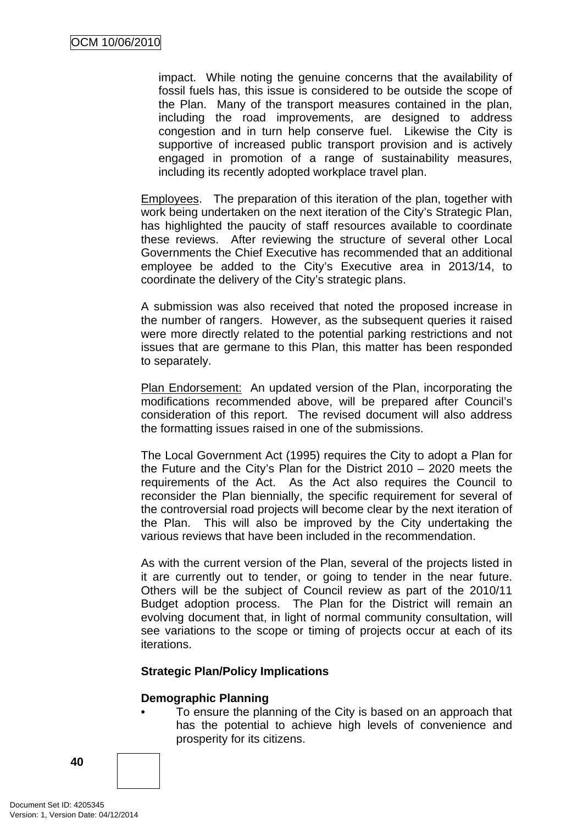impact. While noting the genuine concerns that the availability of fossil fuels has, this issue is considered to be outside the scope of the Plan. Many of the transport measures contained in the plan, including the road improvements, are designed to address congestion and in turn help conserve fuel. Likewise the City is supportive of increased public transport provision and is actively engaged in promotion of a range of sustainability measures, including its recently adopted workplace travel plan.

Employees. The preparation of this iteration of the plan, together with work being undertaken on the next iteration of the City's Strategic Plan, has highlighted the paucity of staff resources available to coordinate these reviews. After reviewing the structure of several other Local Governments the Chief Executive has recommended that an additional employee be added to the City's Executive area in 2013/14, to coordinate the delivery of the City's strategic plans.

A submission was also received that noted the proposed increase in the number of rangers. However, as the subsequent queries it raised were more directly related to the potential parking restrictions and not issues that are germane to this Plan, this matter has been responded to separately.

Plan Endorsement: An updated version of the Plan, incorporating the modifications recommended above, will be prepared after Council's consideration of this report. The revised document will also address the formatting issues raised in one of the submissions.

The Local Government Act (1995) requires the City to adopt a Plan for the Future and the City's Plan for the District 2010 – 2020 meets the requirements of the Act. As the Act also requires the Council to reconsider the Plan biennially, the specific requirement for several of the controversial road projects will become clear by the next iteration of the Plan. This will also be improved by the City undertaking the various reviews that have been included in the recommendation.

As with the current version of the Plan, several of the projects listed in it are currently out to tender, or going to tender in the near future. Others will be the subject of Council review as part of the 2010/11 Budget adoption process. The Plan for the District will remain an evolving document that, in light of normal community consultation, will see variations to the scope or timing of projects occur at each of its iterations.

# **Strategic Plan/Policy Implications**

### **Demographic Planning**

• To ensure the planning of the City is based on an approach that has the potential to achieve high levels of convenience and prosperity for its citizens.



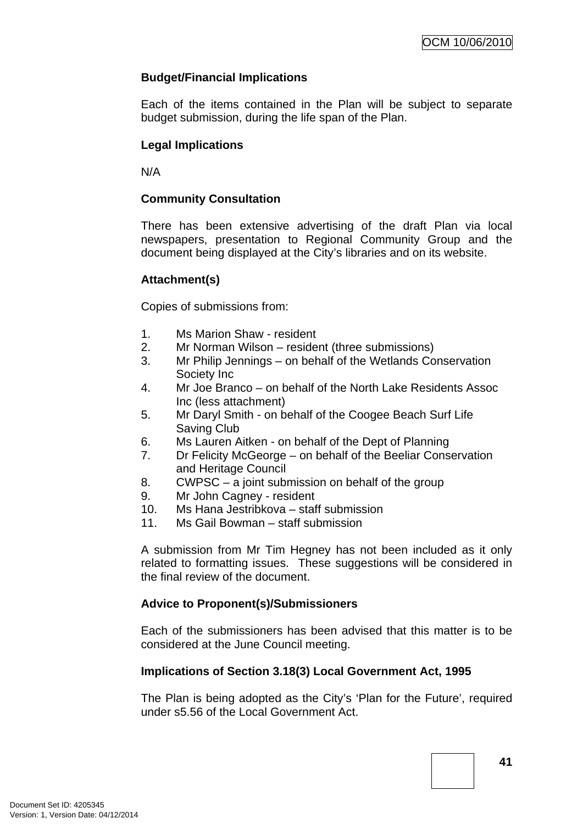# **Budget/Financial Implications**

Each of the items contained in the Plan will be subject to separate budget submission, during the life span of the Plan.

# **Legal Implications**

N/A

# **Community Consultation**

There has been extensive advertising of the draft Plan via local newspapers, presentation to Regional Community Group and the document being displayed at the City's libraries and on its website.

# **Attachment(s)**

Copies of submissions from:

- 1. Ms Marion Shaw resident
- 2. Mr Norman Wilson resident (three submissions)
- 3. Mr Philip Jennings on behalf of the Wetlands Conservation Society Inc
- 4. Mr Joe Branco on behalf of the North Lake Residents Assoc Inc (less attachment)
- 5. Mr Daryl Smith on behalf of the Coogee Beach Surf Life Saving Club
- 6. Ms Lauren Aitken on behalf of the Dept of Planning
- 7. Dr Felicity McGeorge on behalf of the Beeliar Conservation and Heritage Council
- 8. CWPSC a joint submission on behalf of the group
- 9. Mr John Cagney resident
- 10. Ms Hana Jestribkova staff submission
- 11. Ms Gail Bowman staff submission

A submission from Mr Tim Hegney has not been included as it only related to formatting issues. These suggestions will be considered in the final review of the document.

# **Advice to Proponent(s)/Submissioners**

Each of the submissioners has been advised that this matter is to be considered at the June Council meeting.

# **Implications of Section 3.18(3) Local Government Act, 1995**

The Plan is being adopted as the City's 'Plan for the Future', required under s5.56 of the Local Government Act.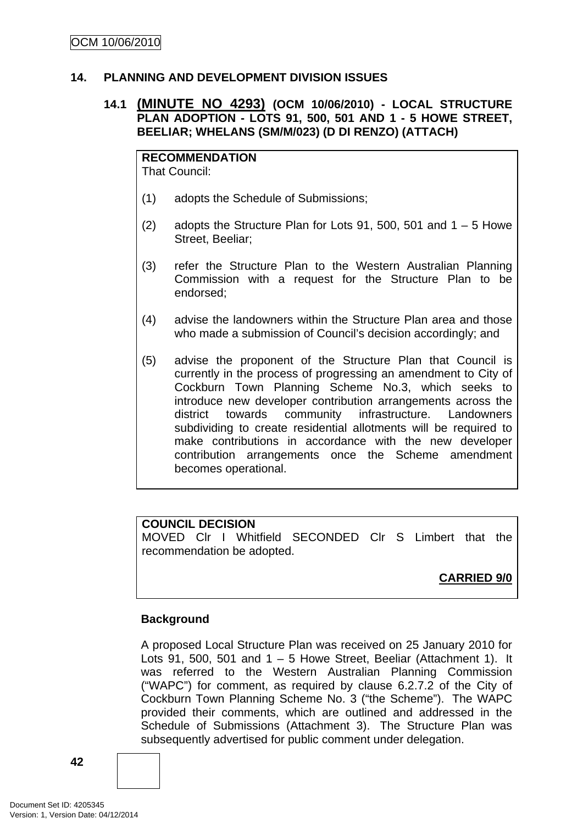### **14. PLANNING AND DEVELOPMENT DIVISION ISSUES**

### **14.1 (MINUTE NO 4293) (OCM 10/06/2010) - LOCAL STRUCTURE PLAN ADOPTION - LOTS 91, 500, 501 AND 1 - 5 HOWE STREET, BEELIAR; WHELANS (SM/M/023) (D DI RENZO) (ATTACH)**

**RECOMMENDATION** That Council:

- (1) adopts the Schedule of Submissions;
- (2) adopts the Structure Plan for Lots 91, 500, 501 and  $1 5$  Howe Street, Beeliar;
- (3) refer the Structure Plan to the Western Australian Planning Commission with a request for the Structure Plan to be endorsed;
- (4) advise the landowners within the Structure Plan area and those who made a submission of Council's decision accordingly; and
- (5) advise the proponent of the Structure Plan that Council is currently in the process of progressing an amendment to City of Cockburn Town Planning Scheme No.3, which seeks to introduce new developer contribution arrangements across the district towards community infrastructure. Landowners subdividing to create residential allotments will be required to make contributions in accordance with the new developer contribution arrangements once the Scheme amendment becomes operational.

### **COUNCIL DECISION**

MOVED Clr I Whitfield SECONDED Clr S Limbert that the recommendation be adopted.

# **CARRIED 9/0**

### **Background**

A proposed Local Structure Plan was received on 25 January 2010 for Lots 91, 500, 501 and  $1 - 5$  Howe Street, Beeliar (Attachment 1). It was referred to the Western Australian Planning Commission ("WAPC") for comment, as required by clause 6.2.7.2 of the City of Cockburn Town Planning Scheme No. 3 ("the Scheme"). The WAPC provided their comments, which are outlined and addressed in the Schedule of Submissions (Attachment 3). The Structure Plan was subsequently advertised for public comment under delegation.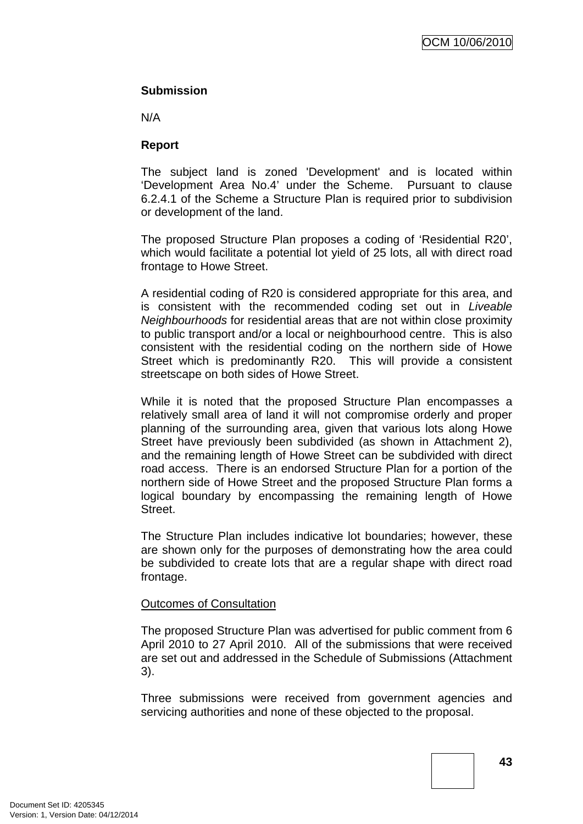### **Submission**

N/A

### **Report**

The subject land is zoned 'Development' and is located within 'Development Area No.4' under the Scheme. Pursuant to clause 6.2.4.1 of the Scheme a Structure Plan is required prior to subdivision or development of the land.

The proposed Structure Plan proposes a coding of 'Residential R20', which would facilitate a potential lot yield of 25 lots, all with direct road frontage to Howe Street.

A residential coding of R20 is considered appropriate for this area, and is consistent with the recommended coding set out in *Liveable Neighbourhoods* for residential areas that are not within close proximity to public transport and/or a local or neighbourhood centre. This is also consistent with the residential coding on the northern side of Howe Street which is predominantly R20. This will provide a consistent streetscape on both sides of Howe Street.

While it is noted that the proposed Structure Plan encompasses a relatively small area of land it will not compromise orderly and proper planning of the surrounding area, given that various lots along Howe Street have previously been subdivided (as shown in Attachment 2), and the remaining length of Howe Street can be subdivided with direct road access. There is an endorsed Structure Plan for a portion of the northern side of Howe Street and the proposed Structure Plan forms a logical boundary by encompassing the remaining length of Howe Street.

The Structure Plan includes indicative lot boundaries; however, these are shown only for the purposes of demonstrating how the area could be subdivided to create lots that are a regular shape with direct road frontage.

### Outcomes of Consultation

The proposed Structure Plan was advertised for public comment from 6 April 2010 to 27 April 2010. All of the submissions that were received are set out and addressed in the Schedule of Submissions (Attachment 3).

Three submissions were received from government agencies and servicing authorities and none of these objected to the proposal.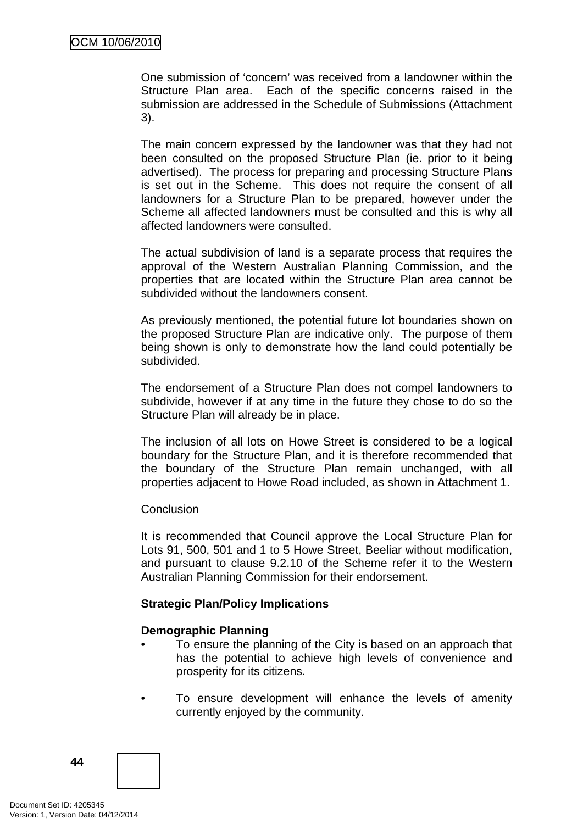One submission of 'concern' was received from a landowner within the Structure Plan area. Each of the specific concerns raised in the submission are addressed in the Schedule of Submissions (Attachment 3).

The main concern expressed by the landowner was that they had not been consulted on the proposed Structure Plan (ie. prior to it being advertised). The process for preparing and processing Structure Plans is set out in the Scheme. This does not require the consent of all landowners for a Structure Plan to be prepared, however under the Scheme all affected landowners must be consulted and this is why all affected landowners were consulted.

The actual subdivision of land is a separate process that requires the approval of the Western Australian Planning Commission, and the properties that are located within the Structure Plan area cannot be subdivided without the landowners consent.

As previously mentioned, the potential future lot boundaries shown on the proposed Structure Plan are indicative only. The purpose of them being shown is only to demonstrate how the land could potentially be subdivided.

The endorsement of a Structure Plan does not compel landowners to subdivide, however if at any time in the future they chose to do so the Structure Plan will already be in place.

The inclusion of all lots on Howe Street is considered to be a logical boundary for the Structure Plan, and it is therefore recommended that the boundary of the Structure Plan remain unchanged, with all properties adjacent to Howe Road included, as shown in Attachment 1.

### **Conclusion**

It is recommended that Council approve the Local Structure Plan for Lots 91, 500, 501 and 1 to 5 Howe Street, Beeliar without modification, and pursuant to clause 9.2.10 of the Scheme refer it to the Western Australian Planning Commission for their endorsement.

### **Strategic Plan/Policy Implications**

# **Demographic Planning**

- To ensure the planning of the City is based on an approach that has the potential to achieve high levels of convenience and prosperity for its citizens.
- To ensure development will enhance the levels of amenity currently enjoyed by the community.

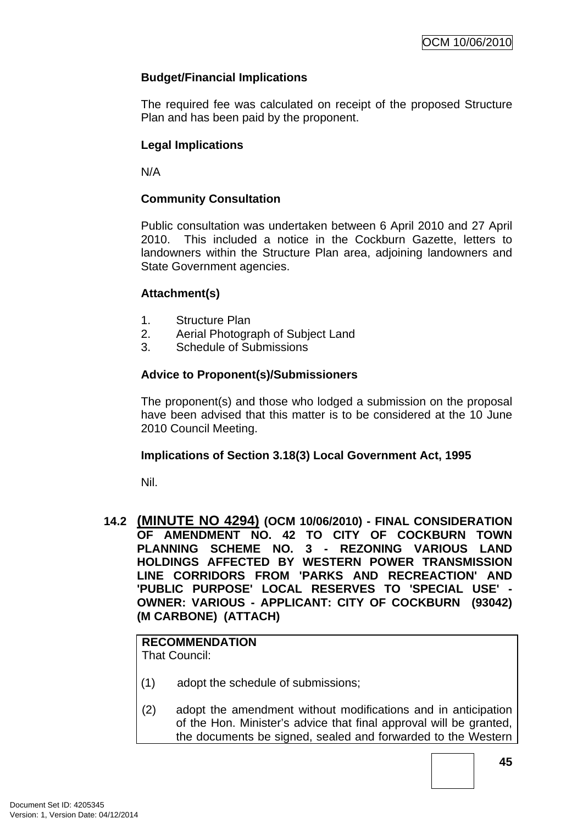# **Budget/Financial Implications**

The required fee was calculated on receipt of the proposed Structure Plan and has been paid by the proponent.

# **Legal Implications**

N/A

### **Community Consultation**

Public consultation was undertaken between 6 April 2010 and 27 April 2010. This included a notice in the Cockburn Gazette, letters to landowners within the Structure Plan area, adjoining landowners and State Government agencies.

### **Attachment(s)**

- 1. Structure Plan
- 2. Aerial Photograph of Subject Land
- 3. Schedule of Submissions

### **Advice to Proponent(s)/Submissioners**

The proponent(s) and those who lodged a submission on the proposal have been advised that this matter is to be considered at the 10 June 2010 Council Meeting.

### **Implications of Section 3.18(3) Local Government Act, 1995**

Nil.

### **14.2 (MINUTE NO 4294) (OCM 10/06/2010) - FINAL CONSIDERATION OF AMENDMENT NO. 42 TO CITY OF COCKBURN TOWN PLANNING SCHEME NO. 3 - REZONING VARIOUS LAND HOLDINGS AFFECTED BY WESTERN POWER TRANSMISSION LINE CORRIDORS FROM 'PARKS AND RECREACTION' AND 'PUBLIC PURPOSE' LOCAL RESERVES TO 'SPECIAL USE' - OWNER: VARIOUS - APPLICANT: CITY OF COCKBURN (93042) (M CARBONE) (ATTACH)**

**RECOMMENDATION** That Council:

- (1) adopt the schedule of submissions;
- (2) adopt the amendment without modifications and in anticipation of the Hon. Minister's advice that final approval will be granted, the documents be signed, sealed and forwarded to the Western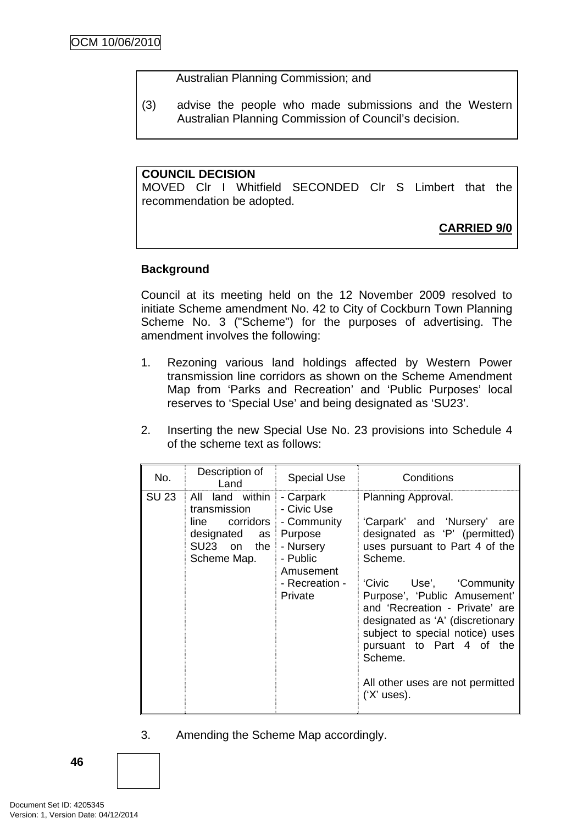#### Australian Planning Commission; and

(3) advise the people who made submissions and the Western Australian Planning Commission of Council's decision.

#### **COUNCIL DECISION**

MOVED Clr I Whitfield SECONDED Clr S Limbert that the recommendation be adopted.

# **CARRIED 9/0**

### **Background**

Council at its meeting held on the 12 November 2009 resolved to initiate Scheme amendment No. 42 to City of Cockburn Town Planning Scheme No. 3 ("Scheme") for the purposes of advertising. The amendment involves the following:

- 1. Rezoning various land holdings affected by Western Power transmission line corridors as shown on the Scheme Amendment Map from 'Parks and Recreation' and 'Public Purposes' local reserves to 'Special Use' and being designated as 'SU23'.
- 2. Inserting the new Special Use No. 23 provisions into Schedule 4 of the scheme text as follows:

| No.          | Description of<br>Land                                                                           | <b>Special Use</b>                                                                                                    | Conditions                                                                                                                                                                                                                                                                                                                                                                                        |  |
|--------------|--------------------------------------------------------------------------------------------------|-----------------------------------------------------------------------------------------------------------------------|---------------------------------------------------------------------------------------------------------------------------------------------------------------------------------------------------------------------------------------------------------------------------------------------------------------------------------------------------------------------------------------------------|--|
| <b>SU 23</b> | All land within<br>transmission<br>line corridors<br>designated as<br>SU23 on the<br>Scheme Map. | - Carpark<br>- Civic Use<br>- Community<br>Purpose<br>- Nursery<br>- Public<br>Amusement<br>- Recreation -<br>Private | Planning Approval.<br>'Carpark' and 'Nursery'<br>are<br>designated as 'P' (permitted)<br>uses pursuant to Part 4 of the<br>Scheme.<br>'Civic Use', 'Community<br>Purpose', 'Public Amusement'<br>and 'Recreation - Private' are<br>designated as 'A' (discretionary<br>subject to special notice) uses<br>pursuant to Part 4 of the<br>Scheme.<br>All other uses are not permitted<br>('X' uses). |  |

3. Amending the Scheme Map accordingly.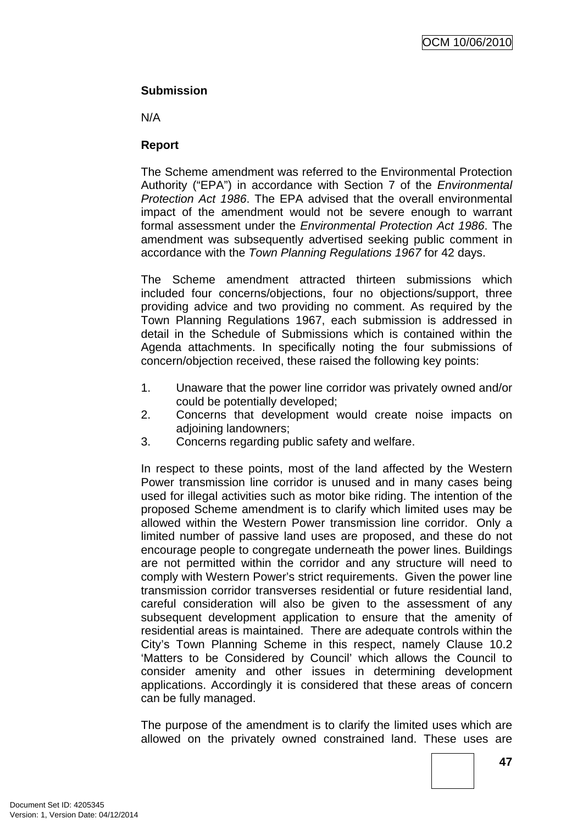### **Submission**

N/A

### **Report**

The Scheme amendment was referred to the Environmental Protection Authority ("EPA") in accordance with Section 7 of the *Environmental Protection Act 1986*. The EPA advised that the overall environmental impact of the amendment would not be severe enough to warrant formal assessment under the *Environmental Protection Act 1986*. The amendment was subsequently advertised seeking public comment in accordance with the *Town Planning Regulations 1967* for 42 days.

The Scheme amendment attracted thirteen submissions which included four concerns/objections, four no objections/support, three providing advice and two providing no comment. As required by the Town Planning Regulations 1967, each submission is addressed in detail in the Schedule of Submissions which is contained within the Agenda attachments. In specifically noting the four submissions of concern/objection received, these raised the following key points:

- 1. Unaware that the power line corridor was privately owned and/or could be potentially developed;
- 2. Concerns that development would create noise impacts on adioining landowners:
- 3. Concerns regarding public safety and welfare.

In respect to these points, most of the land affected by the Western Power transmission line corridor is unused and in many cases being used for illegal activities such as motor bike riding. The intention of the proposed Scheme amendment is to clarify which limited uses may be allowed within the Western Power transmission line corridor. Only a limited number of passive land uses are proposed, and these do not encourage people to congregate underneath the power lines. Buildings are not permitted within the corridor and any structure will need to comply with Western Power's strict requirements. Given the power line transmission corridor transverses residential or future residential land, careful consideration will also be given to the assessment of any subsequent development application to ensure that the amenity of residential areas is maintained. There are adequate controls within the City's Town Planning Scheme in this respect, namely Clause 10.2 'Matters to be Considered by Council' which allows the Council to consider amenity and other issues in determining development applications. Accordingly it is considered that these areas of concern can be fully managed.

The purpose of the amendment is to clarify the limited uses which are allowed on the privately owned constrained land. These uses are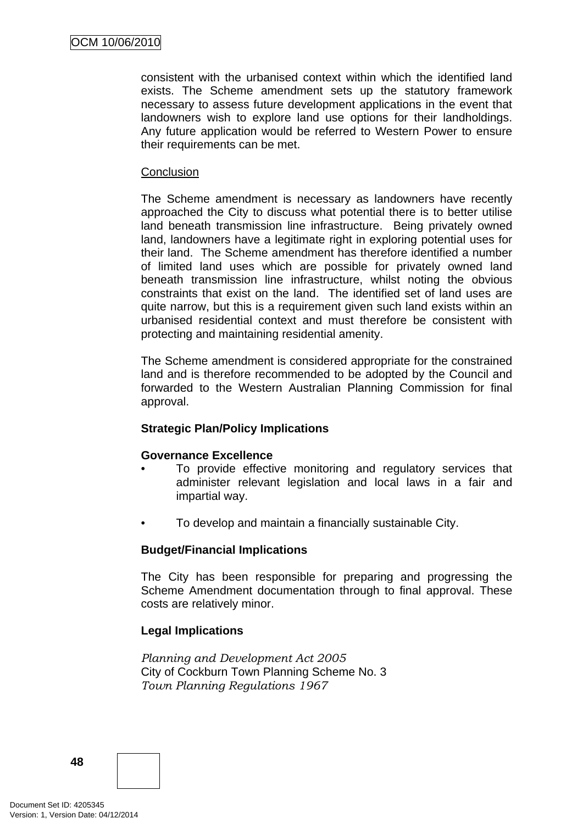consistent with the urbanised context within which the identified land exists. The Scheme amendment sets up the statutory framework necessary to assess future development applications in the event that landowners wish to explore land use options for their landholdings. Any future application would be referred to Western Power to ensure their requirements can be met.

#### **Conclusion**

The Scheme amendment is necessary as landowners have recently approached the City to discuss what potential there is to better utilise land beneath transmission line infrastructure. Being privately owned land, landowners have a legitimate right in exploring potential uses for their land. The Scheme amendment has therefore identified a number of limited land uses which are possible for privately owned land beneath transmission line infrastructure, whilst noting the obvious constraints that exist on the land. The identified set of land uses are quite narrow, but this is a requirement given such land exists within an urbanised residential context and must therefore be consistent with protecting and maintaining residential amenity.

The Scheme amendment is considered appropriate for the constrained land and is therefore recommended to be adopted by the Council and forwarded to the Western Australian Planning Commission for final approval.

### **Strategic Plan/Policy Implications**

### **Governance Excellence**

- To provide effective monitoring and regulatory services that administer relevant legislation and local laws in a fair and impartial way.
- To develop and maintain a financially sustainable City.

### **Budget/Financial Implications**

The City has been responsible for preparing and progressing the Scheme Amendment documentation through to final approval. These costs are relatively minor.

# **Legal Implications**

*Planning and Development Act 2005*  City of Cockburn Town Planning Scheme No. 3 *Town Planning Regulations 1967* 

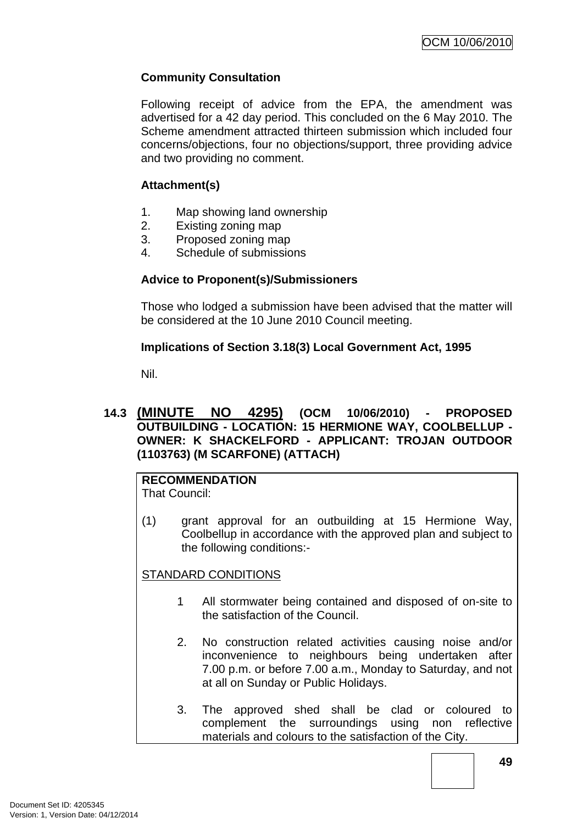# **Community Consultation**

Following receipt of advice from the EPA, the amendment was advertised for a 42 day period. This concluded on the 6 May 2010. The Scheme amendment attracted thirteen submission which included four concerns/objections, four no objections/support, three providing advice and two providing no comment.

# **Attachment(s)**

- 1. Map showing land ownership
- 2. Existing zoning map
- 3. Proposed zoning map
- 4. Schedule of submissions

# **Advice to Proponent(s)/Submissioners**

Those who lodged a submission have been advised that the matter will be considered at the 10 June 2010 Council meeting.

# **Implications of Section 3.18(3) Local Government Act, 1995**

Nil.

### **14.3 (MINUTE NO 4295) (OCM 10/06/2010) - PROPOSED OUTBUILDING - LOCATION: 15 HERMIONE WAY, COOLBELLUP - OWNER: K SHACKELFORD - APPLICANT: TROJAN OUTDOOR (1103763) (M SCARFONE) (ATTACH)**

#### **RECOMMENDATION** That Council:

(1) grant approval for an outbuilding at 15 Hermione Way, Coolbellup in accordance with the approved plan and subject to the following conditions:-

STANDARD CONDITIONS

- 1 All stormwater being contained and disposed of on-site to the satisfaction of the Council.
- 2. No construction related activities causing noise and/or inconvenience to neighbours being undertaken after 7.00 p.m. or before 7.00 a.m., Monday to Saturday, and not at all on Sunday or Public Holidays.
- 3. The approved shed shall be clad or coloured to complement the surroundings using non reflective materials and colours to the satisfaction of the City.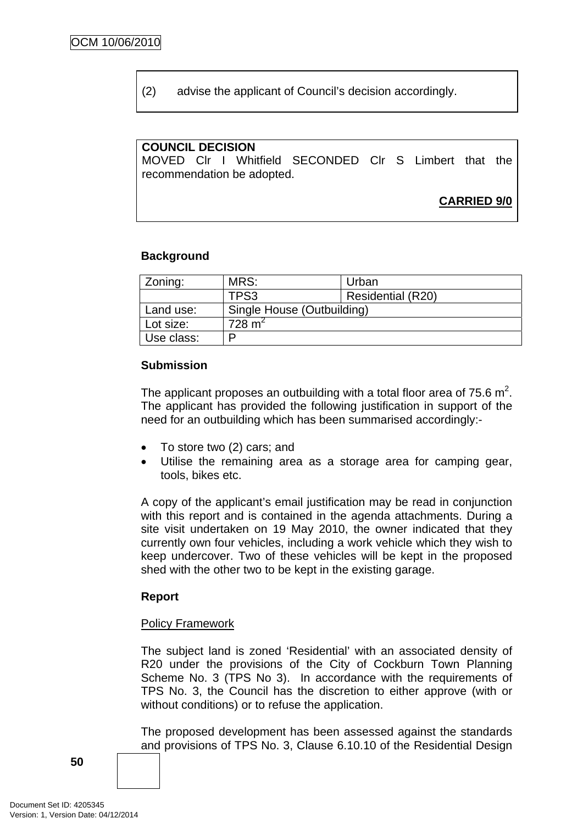(2) advise the applicant of Council's decision accordingly.

### **COUNCIL DECISION**

MOVED Clr I Whitfield SECONDED Clr S Limbert that the recommendation be adopted.

**CARRIED 9/0**

#### **Background**

| Zoning:    | MRS:                       | Urban                    |  |
|------------|----------------------------|--------------------------|--|
|            | TPS3                       | <b>Residential (R20)</b> |  |
| Land use:  | Single House (Outbuilding) |                          |  |
| Lot size:  | $728 \text{ m}^2$          |                          |  |
| Use class: | D                          |                          |  |

#### **Submission**

The applicant proposes an outbuilding with a total floor area of 75.6  $m^2$ . The applicant has provided the following justification in support of the need for an outbuilding which has been summarised accordingly:-

- To store two (2) cars; and
- Utilise the remaining area as a storage area for camping gear, tools, bikes etc.

A copy of the applicant's email justification may be read in conjunction with this report and is contained in the agenda attachments. During a site visit undertaken on 19 May 2010, the owner indicated that they currently own four vehicles, including a work vehicle which they wish to keep undercover. Two of these vehicles will be kept in the proposed shed with the other two to be kept in the existing garage.

#### **Report**

#### Policy Framework

The subject land is zoned 'Residential' with an associated density of R20 under the provisions of the City of Cockburn Town Planning Scheme No. 3 (TPS No 3). In accordance with the requirements of TPS No. 3, the Council has the discretion to either approve (with or without conditions) or to refuse the application.

The proposed development has been assessed against the standards and provisions of TPS No. 3, Clause 6.10.10 of the Residential Design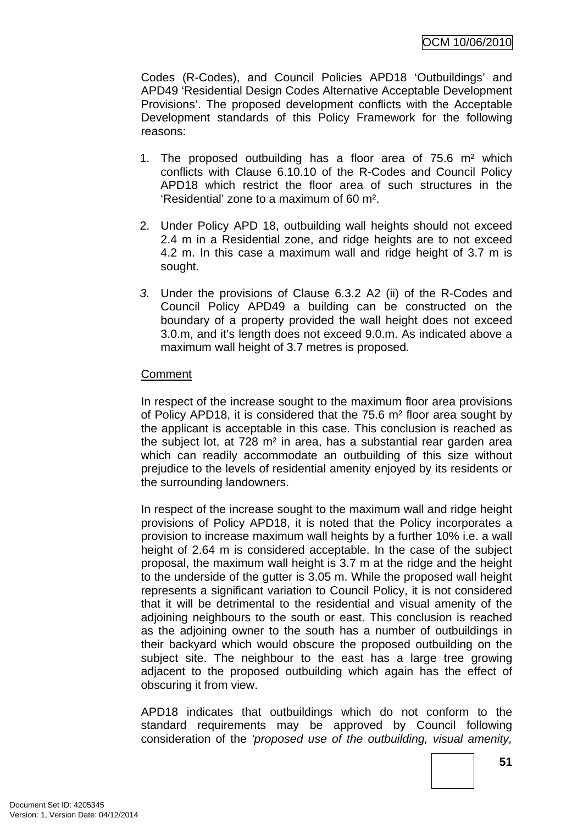Codes (R-Codes), and Council Policies APD18 'Outbuildings' and APD49 'Residential Design Codes Alternative Acceptable Development Provisions'. The proposed development conflicts with the Acceptable Development standards of this Policy Framework for the following reasons:

- 1. The proposed outbuilding has a floor area of 75.6 m² which conflicts with Clause 6.10.10 of the R-Codes and Council Policy APD18 which restrict the floor area of such structures in the 'Residential' zone to a maximum of 60 m².
- 2. Under Policy APD 18, outbuilding wall heights should not exceed 2.4 m in a Residential zone, and ridge heights are to not exceed 4.2 m. In this case a maximum wall and ridge height of 3.7 m is sought.
- *3.* Under the provisions of Clause 6.3.2 A2 (ii) of the R-Codes and Council Policy APD49 a building can be constructed on the boundary of a property provided the wall height does not exceed 3.0.m, and it's length does not exceed 9.0.m. As indicated above a maximum wall height of 3.7 metres is proposed*.*

# **Comment**

In respect of the increase sought to the maximum floor area provisions of Policy APD18, it is considered that the 75.6 m² floor area sought by the applicant is acceptable in this case. This conclusion is reached as the subject lot, at 728 m² in area, has a substantial rear garden area which can readily accommodate an outbuilding of this size without prejudice to the levels of residential amenity enjoyed by its residents or the surrounding landowners.

In respect of the increase sought to the maximum wall and ridge height provisions of Policy APD18, it is noted that the Policy incorporates a provision to increase maximum wall heights by a further 10% i.e. a wall height of 2.64 m is considered acceptable. In the case of the subject proposal, the maximum wall height is 3.7 m at the ridge and the height to the underside of the gutter is 3.05 m. While the proposed wall height represents a significant variation to Council Policy, it is not considered that it will be detrimental to the residential and visual amenity of the adjoining neighbours to the south or east. This conclusion is reached as the adjoining owner to the south has a number of outbuildings in their backyard which would obscure the proposed outbuilding on the subject site. The neighbour to the east has a large tree growing adjacent to the proposed outbuilding which again has the effect of obscuring it from view.

APD18 indicates that outbuildings which do not conform to the standard requirements may be approved by Council following consideration of the *'proposed use of the outbuilding, visual amenity,*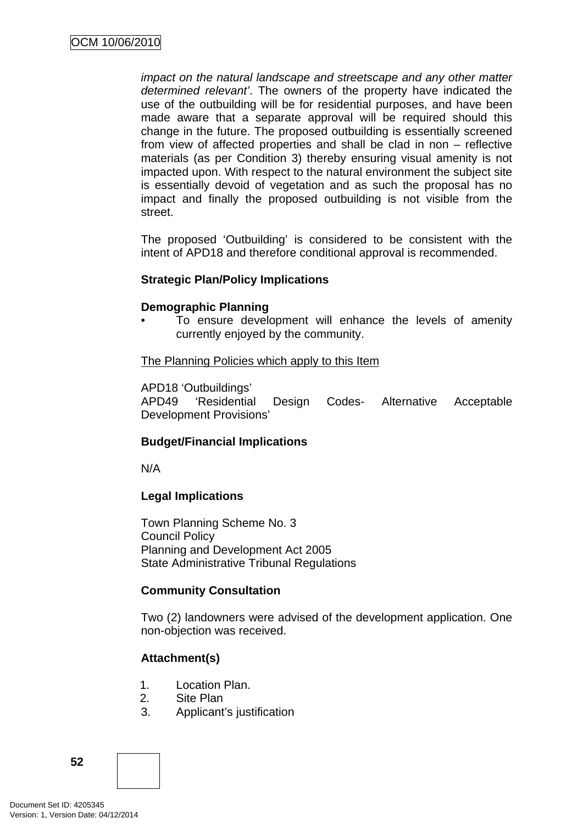*impact on the natural landscape and streetscape and any other matter determined relevant'*. The owners of the property have indicated the use of the outbuilding will be for residential purposes, and have been made aware that a separate approval will be required should this change in the future. The proposed outbuilding is essentially screened from view of affected properties and shall be clad in non – reflective materials (as per Condition 3) thereby ensuring visual amenity is not impacted upon. With respect to the natural environment the subject site is essentially devoid of vegetation and as such the proposal has no impact and finally the proposed outbuilding is not visible from the street.

The proposed 'Outbuilding' is considered to be consistent with the intent of APD18 and therefore conditional approval is recommended.

### **Strategic Plan/Policy Implications**

### **Demographic Planning**

To ensure development will enhance the levels of amenity currently enjoyed by the community.

### The Planning Policies which apply to this Item

APD18 'Outbuildings'

APD49 'Residential Design Codes- Alternative Acceptable Development Provisions'

# **Budget/Financial Implications**

N/A

# **Legal Implications**

Town Planning Scheme No. 3 Council Policy Planning and Development Act 2005 State Administrative Tribunal Regulations

# **Community Consultation**

Two (2) landowners were advised of the development application. One non-objection was received.

# **Attachment(s)**

- 1. Location Plan.
- 2. Site Plan
- 3. Applicant's justification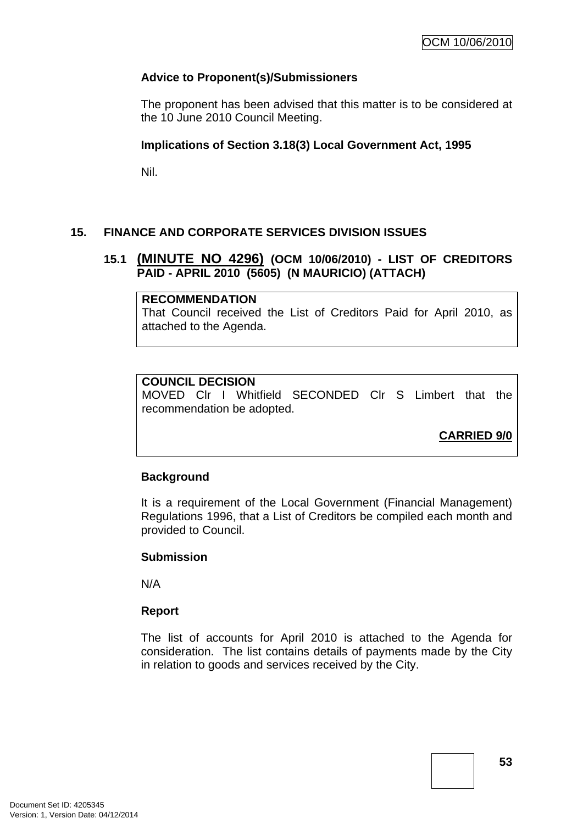# **Advice to Proponent(s)/Submissioners**

The proponent has been advised that this matter is to be considered at the 10 June 2010 Council Meeting.

### **Implications of Section 3.18(3) Local Government Act, 1995**

Nil.

# **15. FINANCE AND CORPORATE SERVICES DIVISION ISSUES**

### **15.1 (MINUTE NO 4296) (OCM 10/06/2010) - LIST OF CREDITORS PAID - APRIL 2010 (5605) (N MAURICIO) (ATTACH)**

### **RECOMMENDATION**

That Council received the List of Creditors Paid for April 2010, as attached to the Agenda.

### **COUNCIL DECISION**

MOVED Clr I Whitfield SECONDED Clr S Limbert that the recommendation be adopted.

**CARRIED 9/0**

### **Background**

It is a requirement of the Local Government (Financial Management) Regulations 1996, that a List of Creditors be compiled each month and provided to Council.

### **Submission**

N/A

### **Report**

The list of accounts for April 2010 is attached to the Agenda for consideration. The list contains details of payments made by the City in relation to goods and services received by the City.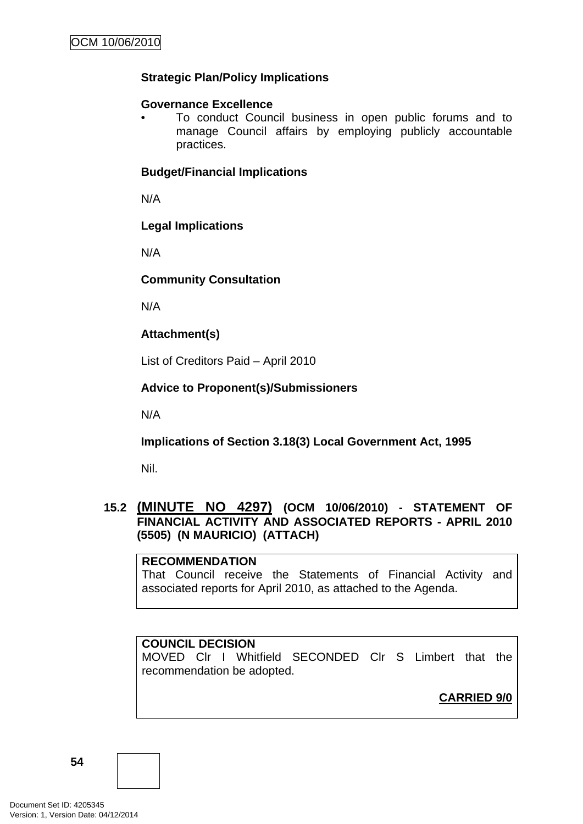# **Strategic Plan/Policy Implications**

#### **Governance Excellence**

• To conduct Council business in open public forums and to manage Council affairs by employing publicly accountable practices.

#### **Budget/Financial Implications**

N/A

### **Legal Implications**

N/A

### **Community Consultation**

N/A

### **Attachment(s)**

List of Creditors Paid – April 2010

### **Advice to Proponent(s)/Submissioners**

N/A

### **Implications of Section 3.18(3) Local Government Act, 1995**

Nil.

### **15.2 (MINUTE NO 4297) (OCM 10/06/2010) - STATEMENT OF FINANCIAL ACTIVITY AND ASSOCIATED REPORTS - APRIL 2010 (5505) (N MAURICIO) (ATTACH)**

#### **RECOMMENDATION**

That Council receive the Statements of Financial Activity and associated reports for April 2010, as attached to the Agenda.

### **COUNCIL DECISION**

MOVED Clr I Whitfield SECONDED Clr S Limbert that the recommendation be adopted.

**CARRIED 9/0**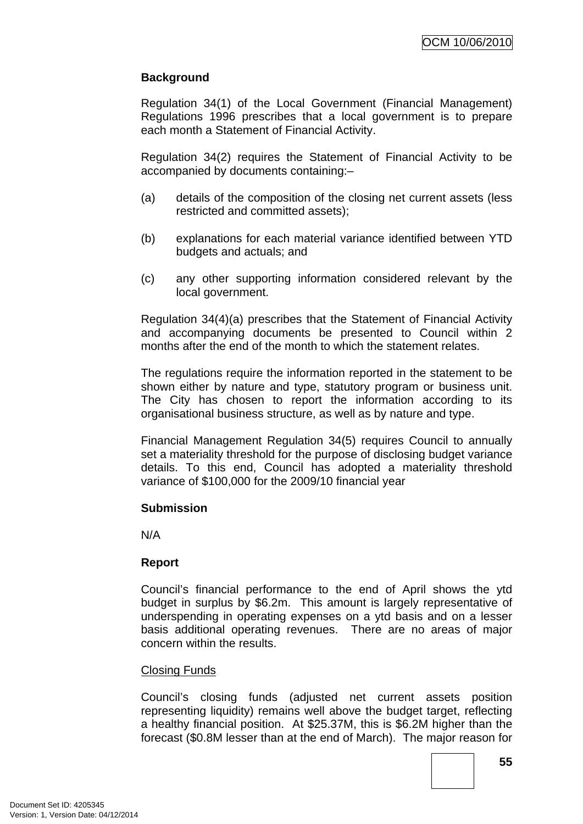# **Background**

Regulation 34(1) of the Local Government (Financial Management) Regulations 1996 prescribes that a local government is to prepare each month a Statement of Financial Activity.

Regulation 34(2) requires the Statement of Financial Activity to be accompanied by documents containing:–

- (a) details of the composition of the closing net current assets (less restricted and committed assets);
- (b) explanations for each material variance identified between YTD budgets and actuals; and
- (c) any other supporting information considered relevant by the local government.

Regulation 34(4)(a) prescribes that the Statement of Financial Activity and accompanying documents be presented to Council within 2 months after the end of the month to which the statement relates.

The regulations require the information reported in the statement to be shown either by nature and type, statutory program or business unit. The City has chosen to report the information according to its organisational business structure, as well as by nature and type.

Financial Management Regulation 34(5) requires Council to annually set a materiality threshold for the purpose of disclosing budget variance details. To this end, Council has adopted a materiality threshold variance of \$100,000 for the 2009/10 financial year

# **Submission**

N/A

# **Report**

Council's financial performance to the end of April shows the ytd budget in surplus by \$6.2m. This amount is largely representative of underspending in operating expenses on a ytd basis and on a lesser basis additional operating revenues. There are no areas of major concern within the results.

### Closing Funds

Council's closing funds (adjusted net current assets position representing liquidity) remains well above the budget target, reflecting a healthy financial position. At \$25.37M, this is \$6.2M higher than the forecast (\$0.8M lesser than at the end of March). The major reason for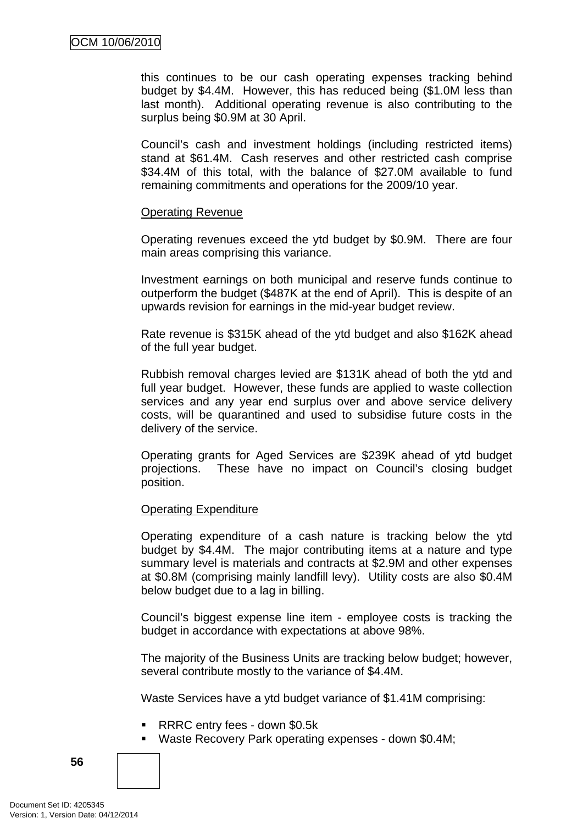this continues to be our cash operating expenses tracking behind budget by \$4.4M. However, this has reduced being (\$1.0M less than last month). Additional operating revenue is also contributing to the surplus being \$0.9M at 30 April.

Council's cash and investment holdings (including restricted items) stand at \$61.4M. Cash reserves and other restricted cash comprise \$34.4M of this total, with the balance of \$27.0M available to fund remaining commitments and operations for the 2009/10 year.

#### Operating Revenue

Operating revenues exceed the ytd budget by \$0.9M. There are four main areas comprising this variance.

Investment earnings on both municipal and reserve funds continue to outperform the budget (\$487K at the end of April). This is despite of an upwards revision for earnings in the mid-year budget review.

Rate revenue is \$315K ahead of the ytd budget and also \$162K ahead of the full year budget.

Rubbish removal charges levied are \$131K ahead of both the ytd and full year budget. However, these funds are applied to waste collection services and any year end surplus over and above service delivery costs, will be quarantined and used to subsidise future costs in the delivery of the service.

Operating grants for Aged Services are \$239K ahead of ytd budget projections. These have no impact on Council's closing budget position.

### Operating Expenditure

Operating expenditure of a cash nature is tracking below the ytd budget by \$4.4M. The major contributing items at a nature and type summary level is materials and contracts at \$2.9M and other expenses at \$0.8M (comprising mainly landfill levy). Utility costs are also \$0.4M below budget due to a lag in billing.

Council's biggest expense line item - employee costs is tracking the budget in accordance with expectations at above 98%.

The majority of the Business Units are tracking below budget; however, several contribute mostly to the variance of \$4.4M.

Waste Services have a ytd budget variance of \$1.41M comprising:

- RRRC entry fees down \$0.5k
- Waste Recovery Park operating expenses down \$0.4M;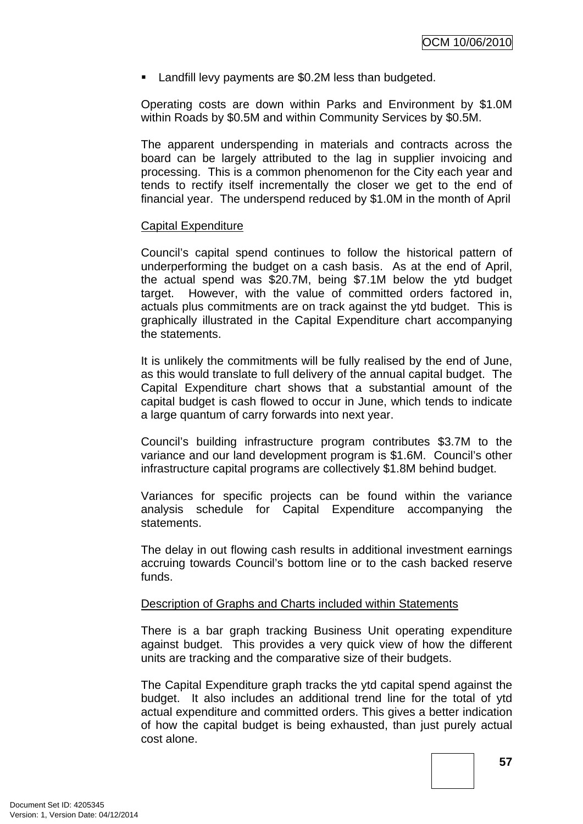**EXECUTE:** Landfill levy payments are \$0.2M less than budgeted.

Operating costs are down within Parks and Environment by \$1.0M within Roads by \$0.5M and within Community Services by \$0.5M.

The apparent underspending in materials and contracts across the board can be largely attributed to the lag in supplier invoicing and processing. This is a common phenomenon for the City each year and tends to rectify itself incrementally the closer we get to the end of financial year. The underspend reduced by \$1.0M in the month of April

### Capital Expenditure

Council's capital spend continues to follow the historical pattern of underperforming the budget on a cash basis. As at the end of April, the actual spend was \$20.7M, being \$7.1M below the ytd budget target. However, with the value of committed orders factored in, actuals plus commitments are on track against the ytd budget. This is graphically illustrated in the Capital Expenditure chart accompanying the statements.

It is unlikely the commitments will be fully realised by the end of June, as this would translate to full delivery of the annual capital budget. The Capital Expenditure chart shows that a substantial amount of the capital budget is cash flowed to occur in June, which tends to indicate a large quantum of carry forwards into next year.

Council's building infrastructure program contributes \$3.7M to the variance and our land development program is \$1.6M. Council's other infrastructure capital programs are collectively \$1.8M behind budget.

Variances for specific projects can be found within the variance analysis schedule for Capital Expenditure accompanying the statements.

The delay in out flowing cash results in additional investment earnings accruing towards Council's bottom line or to the cash backed reserve funds.

### Description of Graphs and Charts included within Statements

There is a bar graph tracking Business Unit operating expenditure against budget. This provides a very quick view of how the different units are tracking and the comparative size of their budgets.

The Capital Expenditure graph tracks the ytd capital spend against the budget. It also includes an additional trend line for the total of ytd actual expenditure and committed orders. This gives a better indication of how the capital budget is being exhausted, than just purely actual cost alone.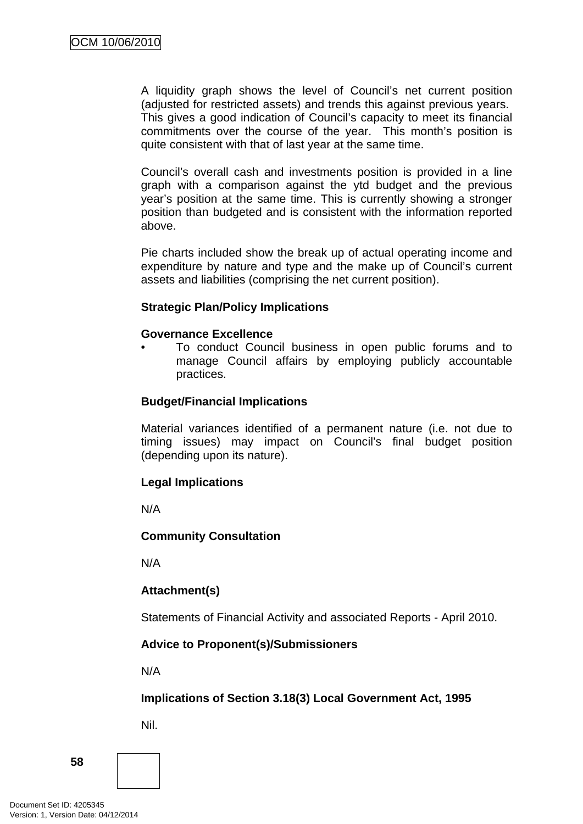A liquidity graph shows the level of Council's net current position (adjusted for restricted assets) and trends this against previous years. This gives a good indication of Council's capacity to meet its financial commitments over the course of the year. This month's position is quite consistent with that of last year at the same time.

Council's overall cash and investments position is provided in a line graph with a comparison against the ytd budget and the previous year's position at the same time. This is currently showing a stronger position than budgeted and is consistent with the information reported above.

Pie charts included show the break up of actual operating income and expenditure by nature and type and the make up of Council's current assets and liabilities (comprising the net current position).

### **Strategic Plan/Policy Implications**

#### **Governance Excellence**

• To conduct Council business in open public forums and to manage Council affairs by employing publicly accountable practices.

### **Budget/Financial Implications**

Material variances identified of a permanent nature (i.e. not due to timing issues) may impact on Council's final budget position (depending upon its nature).

### **Legal Implications**

N/A

### **Community Consultation**

N/A

# **Attachment(s)**

Statements of Financial Activity and associated Reports - April 2010.

### **Advice to Proponent(s)/Submissioners**

N/A

# **Implications of Section 3.18(3) Local Government Act, 1995**

Nil.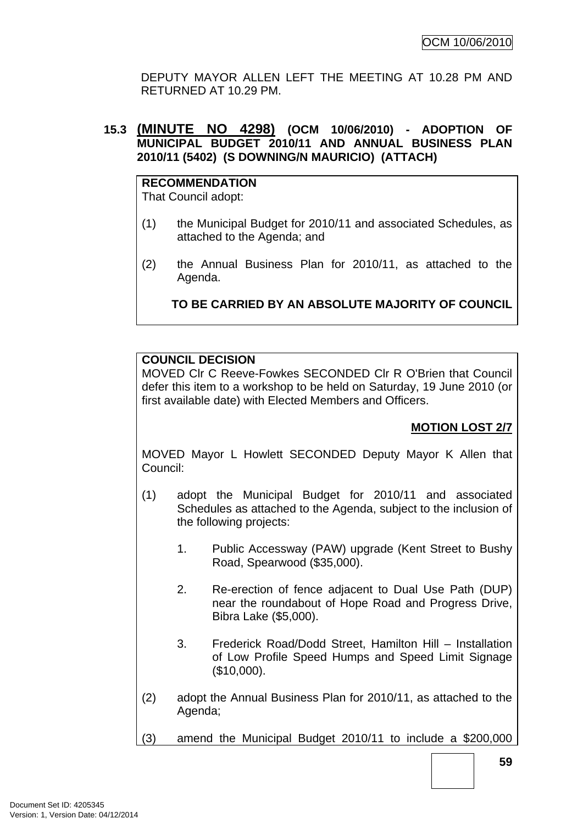DEPUTY MAYOR ALLEN LEFT THE MEETING AT 10.28 PM AND RETURNED AT 10.29 PM.

### **15.3 (MINUTE NO 4298) (OCM 10/06/2010) - ADOPTION OF MUNICIPAL BUDGET 2010/11 AND ANNUAL BUSINESS PLAN 2010/11 (5402) (S DOWNING/N MAURICIO) (ATTACH)**

**RECOMMENDATION** That Council adopt:

- (1) the Municipal Budget for 2010/11 and associated Schedules, as attached to the Agenda; and
- (2) the Annual Business Plan for 2010/11, as attached to the Agenda.

# **TO BE CARRIED BY AN ABSOLUTE MAJORITY OF COUNCIL**

### **COUNCIL DECISION**

MOVED Clr C Reeve-Fowkes SECONDED Clr R O'Brien that Council defer this item to a workshop to be held on Saturday, 19 June 2010 (or first available date) with Elected Members and Officers.

# **MOTION LOST 2/7**

MOVED Mayor L Howlett SECONDED Deputy Mayor K Allen that Council:

- (1) adopt the Municipal Budget for 2010/11 and associated Schedules as attached to the Agenda, subject to the inclusion of the following projects:
	- 1. Public Accessway (PAW) upgrade (Kent Street to Bushy Road, Spearwood (\$35,000).
	- 2. Re-erection of fence adjacent to Dual Use Path (DUP) near the roundabout of Hope Road and Progress Drive, Bibra Lake (\$5,000).
	- 3. Frederick Road/Dodd Street, Hamilton Hill Installation of Low Profile Speed Humps and Speed Limit Signage (\$10,000).
- (2) adopt the Annual Business Plan for 2010/11, as attached to the Agenda;

(3) amend the Municipal Budget 2010/11 to include a \$200,000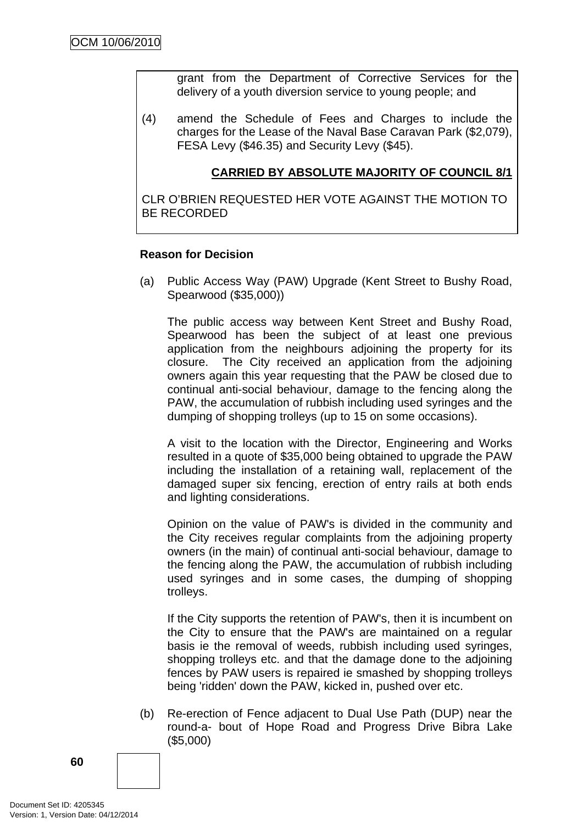grant from the Department of Corrective Services for the delivery of a youth diversion service to young people; and

(4) amend the Schedule of Fees and Charges to include the charges for the Lease of the Naval Base Caravan Park (\$2,079), FESA Levy (\$46.35) and Security Levy (\$45).

### **CARRIED BY ABSOLUTE MAJORITY OF COUNCIL 8/1**

CLR O'BRIEN REQUESTED HER VOTE AGAINST THE MOTION TO BE RECORDED

#### **Reason for Decision**

(a) Public Access Way (PAW) Upgrade (Kent Street to Bushy Road, Spearwood (\$35,000))

The public access way between Kent Street and Bushy Road, Spearwood has been the subject of at least one previous application from the neighbours adjoining the property for its closure. The City received an application from the adjoining owners again this year requesting that the PAW be closed due to continual anti-social behaviour, damage to the fencing along the PAW, the accumulation of rubbish including used syringes and the dumping of shopping trolleys (up to 15 on some occasions).

A visit to the location with the Director, Engineering and Works resulted in a quote of \$35,000 being obtained to upgrade the PAW including the installation of a retaining wall, replacement of the damaged super six fencing, erection of entry rails at both ends and lighting considerations.

Opinion on the value of PAW's is divided in the community and the City receives regular complaints from the adjoining property owners (in the main) of continual anti-social behaviour, damage to the fencing along the PAW, the accumulation of rubbish including used syringes and in some cases, the dumping of shopping trolleys.

If the City supports the retention of PAW's, then it is incumbent on the City to ensure that the PAW's are maintained on a regular basis ie the removal of weeds, rubbish including used syringes, shopping trolleys etc. and that the damage done to the adjoining fences by PAW users is repaired ie smashed by shopping trolleys being 'ridden' down the PAW, kicked in, pushed over etc.

(b) Re-erection of Fence adjacent to Dual Use Path (DUP) near the round-a- bout of Hope Road and Progress Drive Bibra Lake (\$5,000)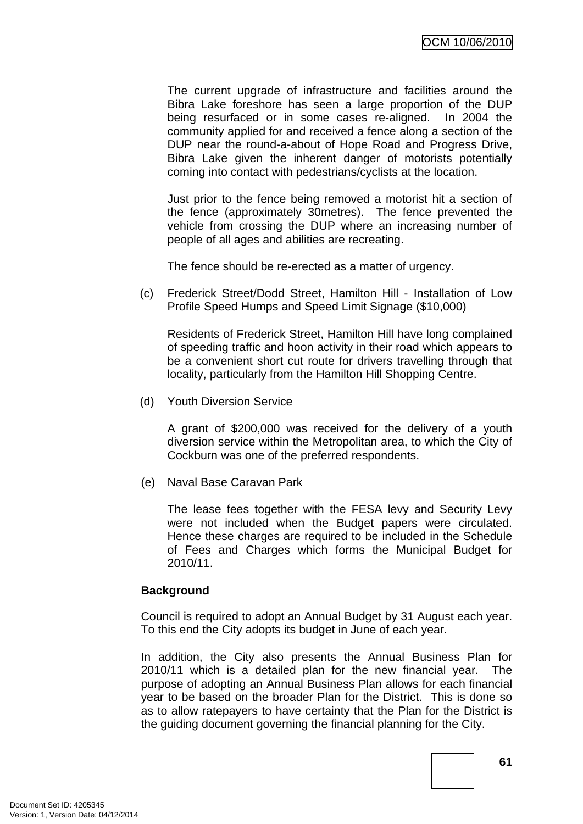The current upgrade of infrastructure and facilities around the Bibra Lake foreshore has seen a large proportion of the DUP being resurfaced or in some cases re-aligned. In 2004 the community applied for and received a fence along a section of the DUP near the round-a-about of Hope Road and Progress Drive, Bibra Lake given the inherent danger of motorists potentially coming into contact with pedestrians/cyclists at the location.

Just prior to the fence being removed a motorist hit a section of the fence (approximately 30metres). The fence prevented the vehicle from crossing the DUP where an increasing number of people of all ages and abilities are recreating.

The fence should be re-erected as a matter of urgency.

(c) Frederick Street/Dodd Street, Hamilton Hill - Installation of Low Profile Speed Humps and Speed Limit Signage (\$10,000)

Residents of Frederick Street, Hamilton Hill have long complained of speeding traffic and hoon activity in their road which appears to be a convenient short cut route for drivers travelling through that locality, particularly from the Hamilton Hill Shopping Centre.

(d) Youth Diversion Service

A grant of \$200,000 was received for the delivery of a youth diversion service within the Metropolitan area, to which the City of Cockburn was one of the preferred respondents.

(e) Naval Base Caravan Park

The lease fees together with the FESA levy and Security Levy were not included when the Budget papers were circulated. Hence these charges are required to be included in the Schedule of Fees and Charges which forms the Municipal Budget for 2010/11.

### **Background**

Council is required to adopt an Annual Budget by 31 August each year. To this end the City adopts its budget in June of each year.

In addition, the City also presents the Annual Business Plan for 2010/11 which is a detailed plan for the new financial year. The purpose of adopting an Annual Business Plan allows for each financial year to be based on the broader Plan for the District. This is done so as to allow ratepayers to have certainty that the Plan for the District is the guiding document governing the financial planning for the City.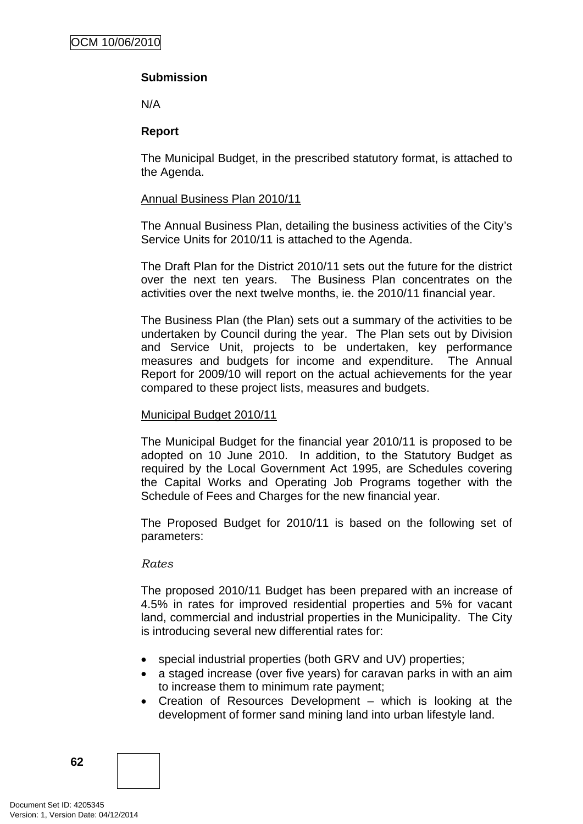# **Submission**

N/A

### **Report**

The Municipal Budget, in the prescribed statutory format, is attached to the Agenda.

### Annual Business Plan 2010/11

The Annual Business Plan, detailing the business activities of the City's Service Units for 2010/11 is attached to the Agenda.

The Draft Plan for the District 2010/11 sets out the future for the district over the next ten years. The Business Plan concentrates on the activities over the next twelve months, ie. the 2010/11 financial year.

The Business Plan (the Plan) sets out a summary of the activities to be undertaken by Council during the year. The Plan sets out by Division and Service Unit, projects to be undertaken, key performance measures and budgets for income and expenditure. The Annual Report for 2009/10 will report on the actual achievements for the year compared to these project lists, measures and budgets.

### Municipal Budget 2010/11

The Municipal Budget for the financial year 2010/11 is proposed to be adopted on 10 June 2010. In addition, to the Statutory Budget as required by the Local Government Act 1995, are Schedules covering the Capital Works and Operating Job Programs together with the Schedule of Fees and Charges for the new financial year.

The Proposed Budget for 2010/11 is based on the following set of parameters:

### *Rates*

The proposed 2010/11 Budget has been prepared with an increase of 4.5% in rates for improved residential properties and 5% for vacant land, commercial and industrial properties in the Municipality. The City is introducing several new differential rates for:

- special industrial properties (both GRV and UV) properties;
- a staged increase (over five years) for caravan parks in with an aim to increase them to minimum rate payment;
- Creation of Resources Development which is looking at the development of former sand mining land into urban lifestyle land.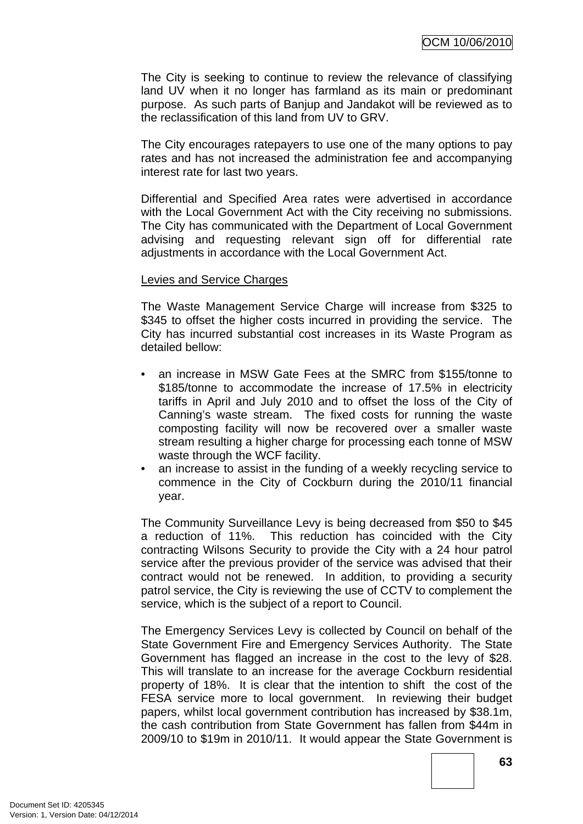The City is seeking to continue to review the relevance of classifying land UV when it no longer has farmland as its main or predominant purpose. As such parts of Banjup and Jandakot will be reviewed as to the reclassification of this land from UV to GRV.

The City encourages ratepayers to use one of the many options to pay rates and has not increased the administration fee and accompanying interest rate for last two years.

Differential and Specified Area rates were advertised in accordance with the Local Government Act with the City receiving no submissions. The City has communicated with the Department of Local Government advising and requesting relevant sign off for differential rate adjustments in accordance with the Local Government Act.

#### Levies and Service Charges

The Waste Management Service Charge will increase from \$325 to \$345 to offset the higher costs incurred in providing the service. The City has incurred substantial cost increases in its Waste Program as detailed bellow:

- an increase in MSW Gate Fees at the SMRC from \$155/tonne to \$185/tonne to accommodate the increase of 17.5% in electricity tariffs in April and July 2010 and to offset the loss of the City of Canning's waste stream. The fixed costs for running the waste composting facility will now be recovered over a smaller waste stream resulting a higher charge for processing each tonne of MSW waste through the WCF facility.
- an increase to assist in the funding of a weekly recycling service to commence in the City of Cockburn during the 2010/11 financial year.

The Community Surveillance Levy is being decreased from \$50 to \$45 a reduction of 11%. This reduction has coincided with the City contracting Wilsons Security to provide the City with a 24 hour patrol service after the previous provider of the service was advised that their contract would not be renewed. In addition, to providing a security patrol service, the City is reviewing the use of CCTV to complement the service, which is the subject of a report to Council.

The Emergency Services Levy is collected by Council on behalf of the State Government Fire and Emergency Services Authority. The State Government has flagged an increase in the cost to the levy of \$28. This will translate to an increase for the average Cockburn residential property of 18%. It is clear that the intention to shift the cost of the FESA service more to local government. In reviewing their budget papers, whilst local government contribution has increased by \$38.1m, the cash contribution from State Government has fallen from \$44m in 2009/10 to \$19m in 2010/11. It would appear the State Government is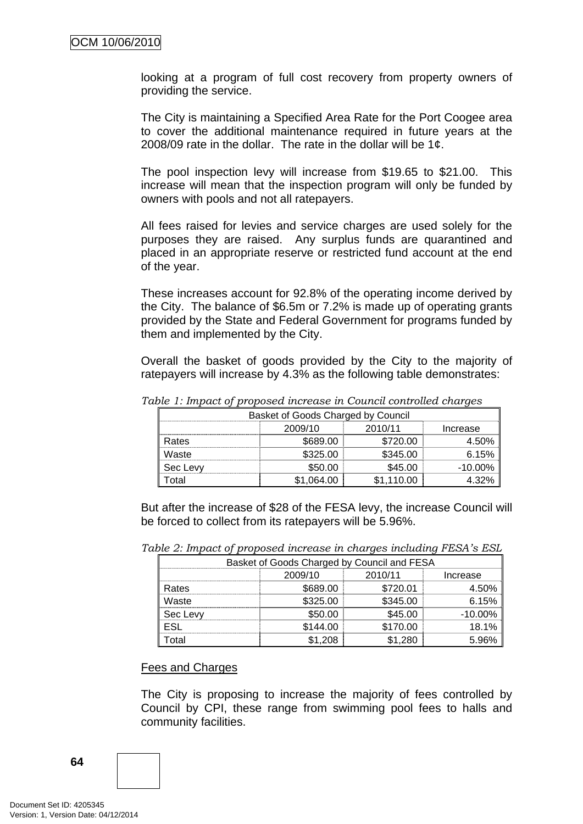looking at a program of full cost recovery from property owners of providing the service.

The City is maintaining a Specified Area Rate for the Port Coogee area to cover the additional maintenance required in future years at the 2008/09 rate in the dollar. The rate in the dollar will be 1¢.

The pool inspection levy will increase from \$19.65 to \$21.00. This increase will mean that the inspection program will only be funded by owners with pools and not all ratepayers.

All fees raised for levies and service charges are used solely for the purposes they are raised. Any surplus funds are quarantined and placed in an appropriate reserve or restricted fund account at the end of the year.

These increases account for 92.8% of the operating income derived by the City. The balance of \$6.5m or 7.2% is made up of operating grants provided by the State and Federal Government for programs funded by them and implemented by the City.

Overall the basket of goods provided by the City to the majority of ratepayers will increase by 4.3% as the following table demonstrates:

| Basket of Goods Charged by Council |                                |          |            |  |
|------------------------------------|--------------------------------|----------|------------|--|
|                                    | 2010/11<br>2009/10<br>Increase |          |            |  |
| Rates                              | \$689.00                       | \$720.00 | 4.50%      |  |
| Waste                              | \$325.00                       | \$345.00 | 6.15%      |  |
| Sec Levy                           | \$50.00                        | \$45.00  | $-10.00\%$ |  |
| ota                                | 064.00                         | 110.00   |            |  |

*Table 1: Impact of proposed increase in Council controlled charges* 

But after the increase of \$28 of the FESA levy, the increase Council will be forced to collect from its ratepayers will be 5.96%.

| Basket of Goods Charged by Council and FESA |                    |          |            |  |  |
|---------------------------------------------|--------------------|----------|------------|--|--|
|                                             | 2010/11<br>2009/10 |          | Increase   |  |  |
| Rates                                       | \$689.00           | \$720.01 | 4.50%      |  |  |
| Waste                                       | \$325.00           | \$345.00 | 6.15%      |  |  |
| Sec Levy                                    | \$50.00            | \$45.00  | $-10.00\%$ |  |  |
|                                             | \$144.00           | \$170.00 | 18.1%      |  |  |
| otal                                        | ∣.208              | -280     |            |  |  |

*Table 2: Impact of proposed increase in charges including FESA's ESL* 

#### Fees and Charges

The City is proposing to increase the majority of fees controlled by Council by CPI, these range from swimming pool fees to halls and community facilities.

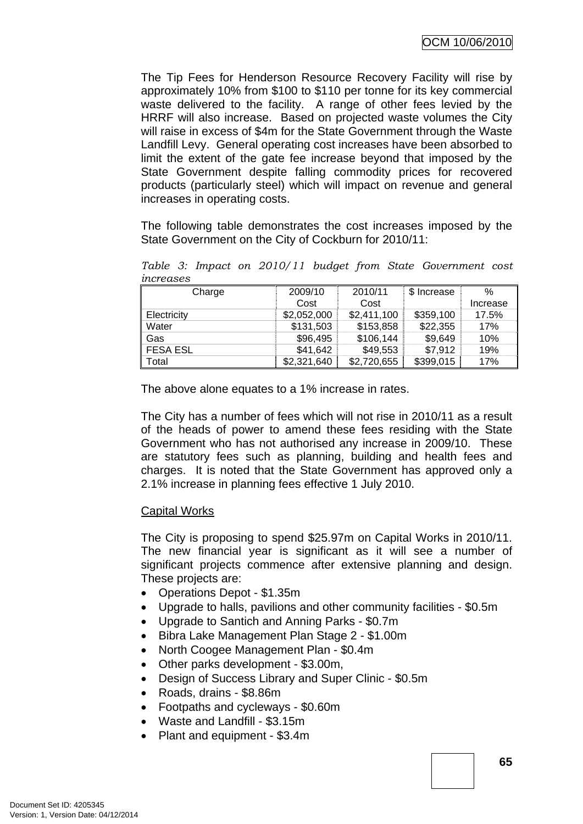The Tip Fees for Henderson Resource Recovery Facility will rise by approximately 10% from \$100 to \$110 per tonne for its key commercial waste delivered to the facility. A range of other fees levied by the HRRF will also increase. Based on projected waste volumes the City will raise in excess of \$4m for the State Government through the Waste Landfill Levy. General operating cost increases have been absorbed to limit the extent of the gate fee increase beyond that imposed by the State Government despite falling commodity prices for recovered products (particularly steel) which will impact on revenue and general increases in operating costs.

The following table demonstrates the cost increases imposed by the State Government on the City of Cockburn for 2010/11:

*Table 3: Impact on 2010/11 budget from State Government cost increases* 

| Charge          | 2009/10     | 2010/11     | \$ Increase | %        |
|-----------------|-------------|-------------|-------------|----------|
|                 | Cost        | Cost        |             | Increase |
| Electricity     | \$2,052,000 | \$2,411,100 | \$359.100   | 17.5%    |
| Water           | \$131,503   | \$153,858   | \$22,355    | 17%      |
| Gas             | \$96,495    | \$106,144   | \$9,649     | 10%      |
| <b>FESA ESL</b> | \$41,642    | \$49,553    | \$7,912     | 19%      |
| Total           | \$2,321,640 | \$2,720,655 | \$399,015   | 17%      |

The above alone equates to a 1% increase in rates.

The City has a number of fees which will not rise in 2010/11 as a result of the heads of power to amend these fees residing with the State Government who has not authorised any increase in 2009/10. These are statutory fees such as planning, building and health fees and charges. It is noted that the State Government has approved only a 2.1% increase in planning fees effective 1 July 2010.

### Capital Works

The City is proposing to spend \$25.97m on Capital Works in 2010/11. The new financial year is significant as it will see a number of significant projects commence after extensive planning and design. These projects are:

- Operations Depot \$1.35m
- Upgrade to halls, pavilions and other community facilities \$0.5m
- Upgrade to Santich and Anning Parks \$0.7m
- Bibra Lake Management Plan Stage 2 \$1.00m
- North Coogee Management Plan \$0.4m
- Other parks development \$3.00m,
- Design of Success Library and Super Clinic \$0.5m
- Roads, drains \$8.86m
- Footpaths and cycleways \$0.60m
- Waste and Landfill \$3.15m
- Plant and equipment \$3.4m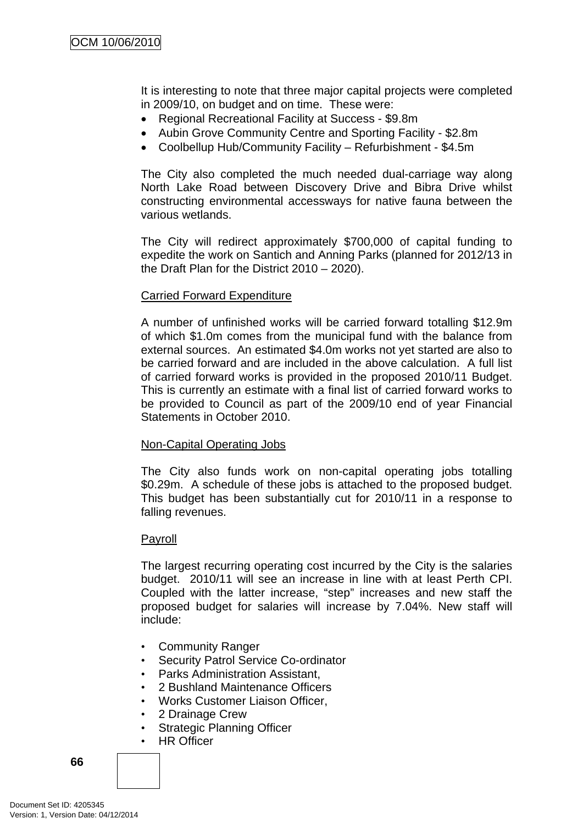It is interesting to note that three major capital projects were completed in 2009/10, on budget and on time. These were:

- Regional Recreational Facility at Success \$9.8m
- Aubin Grove Community Centre and Sporting Facility \$2.8m
- Coolbellup Hub/Community Facility Refurbishment \$4.5m

The City also completed the much needed dual-carriage way along North Lake Road between Discovery Drive and Bibra Drive whilst constructing environmental accessways for native fauna between the various wetlands.

The City will redirect approximately \$700,000 of capital funding to expedite the work on Santich and Anning Parks (planned for 2012/13 in the Draft Plan for the District 2010 – 2020).

### Carried Forward Expenditure

A number of unfinished works will be carried forward totalling \$12.9m of which \$1.0m comes from the municipal fund with the balance from external sources. An estimated \$4.0m works not yet started are also to be carried forward and are included in the above calculation. A full list of carried forward works is provided in the proposed 2010/11 Budget. This is currently an estimate with a final list of carried forward works to be provided to Council as part of the 2009/10 end of year Financial Statements in October 2010.

### Non-Capital Operating Jobs

The City also funds work on non-capital operating jobs totalling \$0.29m. A schedule of these jobs is attached to the proposed budget. This budget has been substantially cut for 2010/11 in a response to falling revenues.

#### Payroll

The largest recurring operating cost incurred by the City is the salaries budget. 2010/11 will see an increase in line with at least Perth CPI. Coupled with the latter increase, "step" increases and new staff the proposed budget for salaries will increase by 7.04%. New staff will include:

- Community Ranger
- Security Patrol Service Co-ordinator
- Parks Administration Assistant,
- 2 Bushland Maintenance Officers
- Works Customer Liaison Officer,
- 2 Drainage Crew
- **Strategic Planning Officer**
- HR Officer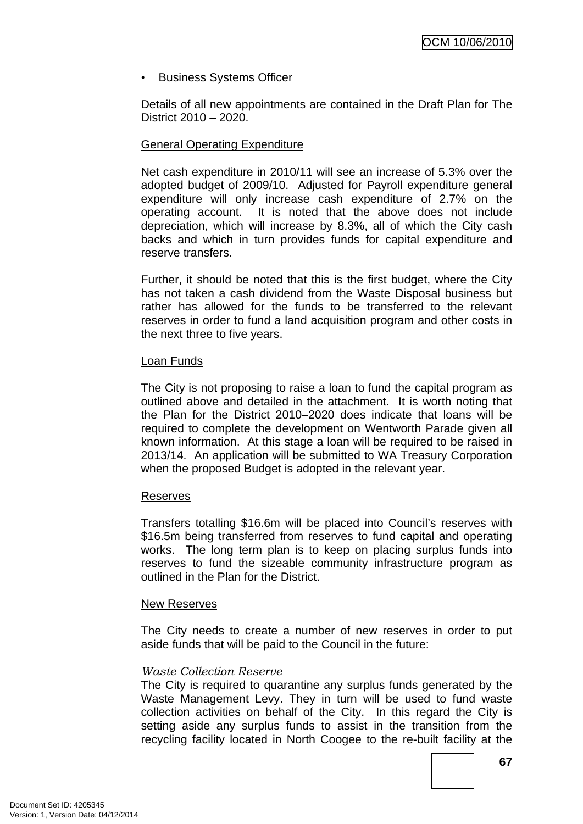• Business Systems Officer

Details of all new appointments are contained in the Draft Plan for The District 2010 – 2020.

### General Operating Expenditure

Net cash expenditure in 2010/11 will see an increase of 5.3% over the adopted budget of 2009/10. Adjusted for Payroll expenditure general expenditure will only increase cash expenditure of 2.7% on the operating account. It is noted that the above does not include depreciation, which will increase by 8.3%, all of which the City cash backs and which in turn provides funds for capital expenditure and reserve transfers.

Further, it should be noted that this is the first budget, where the City has not taken a cash dividend from the Waste Disposal business but rather has allowed for the funds to be transferred to the relevant reserves in order to fund a land acquisition program and other costs in the next three to five years.

### Loan Funds

The City is not proposing to raise a loan to fund the capital program as outlined above and detailed in the attachment. It is worth noting that the Plan for the District 2010–2020 does indicate that loans will be required to complete the development on Wentworth Parade given all known information. At this stage a loan will be required to be raised in 2013/14. An application will be submitted to WA Treasury Corporation when the proposed Budget is adopted in the relevant year.

### Reserves

Transfers totalling \$16.6m will be placed into Council's reserves with \$16.5m being transferred from reserves to fund capital and operating works. The long term plan is to keep on placing surplus funds into reserves to fund the sizeable community infrastructure program as outlined in the Plan for the District.

#### New Reserves

The City needs to create a number of new reserves in order to put aside funds that will be paid to the Council in the future:

### *Waste Collection Reserve*

The City is required to quarantine any surplus funds generated by the Waste Management Levy. They in turn will be used to fund waste collection activities on behalf of the City. In this regard the City is setting aside any surplus funds to assist in the transition from the recycling facility located in North Coogee to the re-built facility at the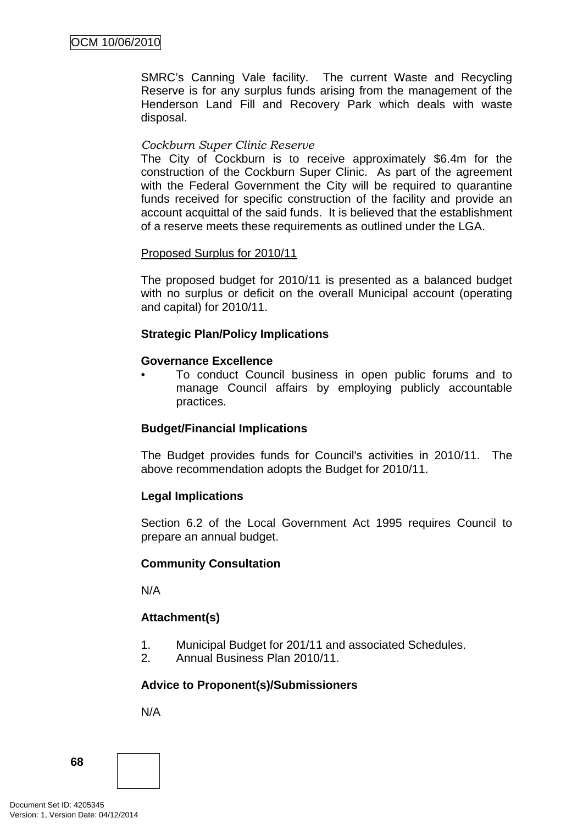SMRC's Canning Vale facility. The current Waste and Recycling Reserve is for any surplus funds arising from the management of the Henderson Land Fill and Recovery Park which deals with waste disposal.

### *Cockburn Super Clinic Reserve*

The City of Cockburn is to receive approximately \$6.4m for the construction of the Cockburn Super Clinic. As part of the agreement with the Federal Government the City will be required to quarantine funds received for specific construction of the facility and provide an account acquittal of the said funds. It is believed that the establishment of a reserve meets these requirements as outlined under the LGA.

### Proposed Surplus for 2010/11

The proposed budget for 2010/11 is presented as a balanced budget with no surplus or deficit on the overall Municipal account (operating and capital) for 2010/11.

### **Strategic Plan/Policy Implications**

### **Governance Excellence**

• To conduct Council business in open public forums and to manage Council affairs by employing publicly accountable practices.

### **Budget/Financial Implications**

The Budget provides funds for Council's activities in 2010/11. The above recommendation adopts the Budget for 2010/11.

### **Legal Implications**

Section 6.2 of the Local Government Act 1995 requires Council to prepare an annual budget.

### **Community Consultation**

N/A

# **Attachment(s)**

- 1. Municipal Budget for 201/11 and associated Schedules.
- 2. Annual Business Plan 2010/11.

### **Advice to Proponent(s)/Submissioners**

N/A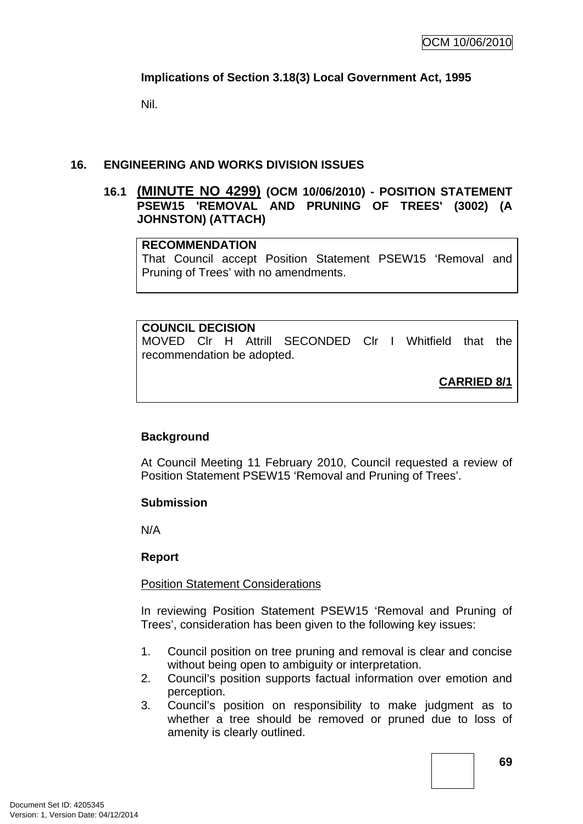## **Implications of Section 3.18(3) Local Government Act, 1995**

Nil.

### **16. ENGINEERING AND WORKS DIVISION ISSUES**

#### **16.1 (MINUTE NO 4299) (OCM 10/06/2010) - POSITION STATEMENT PSEW15 'REMOVAL AND PRUNING OF TREES' (3002) (A JOHNSTON) (ATTACH)**

#### **RECOMMENDATION**

That Council accept Position Statement PSEW15 'Removal and Pruning of Trees' with no amendments.

**COUNCIL DECISION**  MOVED Clr H Attrill SECONDED Clr I Whitfield that the recommendation be adopted.

**CARRIED 8/1**

## **Background**

At Council Meeting 11 February 2010, Council requested a review of Position Statement PSEW15 'Removal and Pruning of Trees'.

#### **Submission**

N/A

#### **Report**

#### Position Statement Considerations

In reviewing Position Statement PSEW15 'Removal and Pruning of Trees', consideration has been given to the following key issues:

- 1. Council position on tree pruning and removal is clear and concise without being open to ambiguity or interpretation.
- 2. Council's position supports factual information over emotion and perception.
- 3. Council's position on responsibility to make judgment as to whether a tree should be removed or pruned due to loss of amenity is clearly outlined.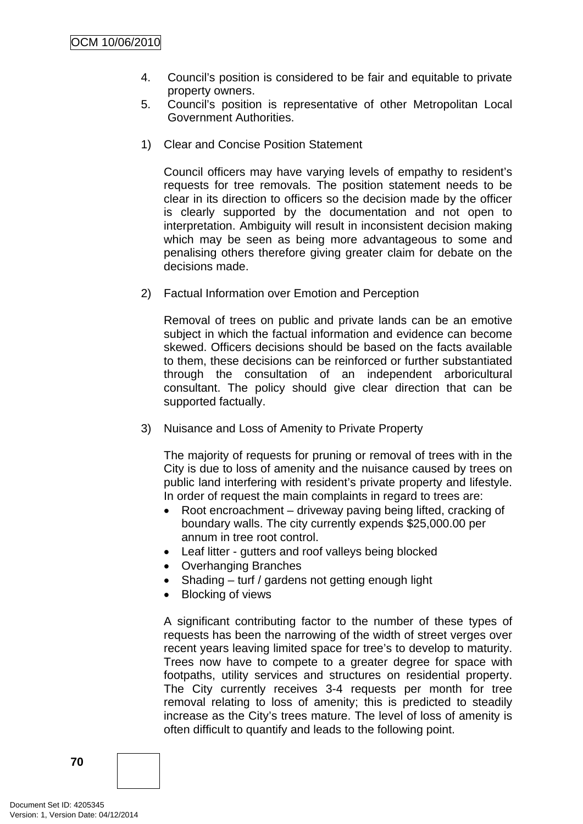- 4. Council's position is considered to be fair and equitable to private property owners.
- 5. Council's position is representative of other Metropolitan Local Government Authorities.
- 1) Clear and Concise Position Statement

Council officers may have varying levels of empathy to resident's requests for tree removals. The position statement needs to be clear in its direction to officers so the decision made by the officer is clearly supported by the documentation and not open to interpretation. Ambiguity will result in inconsistent decision making which may be seen as being more advantageous to some and penalising others therefore giving greater claim for debate on the decisions made.

2) Factual Information over Emotion and Perception

Removal of trees on public and private lands can be an emotive subject in which the factual information and evidence can become skewed. Officers decisions should be based on the facts available to them, these decisions can be reinforced or further substantiated through the consultation of an independent arboricultural consultant. The policy should give clear direction that can be supported factually.

3) Nuisance and Loss of Amenity to Private Property

The majority of requests for pruning or removal of trees with in the City is due to loss of amenity and the nuisance caused by trees on public land interfering with resident's private property and lifestyle. In order of request the main complaints in regard to trees are:

- Root encroachment driveway paving being lifted, cracking of boundary walls. The city currently expends \$25,000.00 per annum in tree root control.
- Leaf litter gutters and roof valleys being blocked
- Overhanging Branches
- Shading turf / gardens not getting enough light
- Blocking of views

A significant contributing factor to the number of these types of requests has been the narrowing of the width of street verges over recent years leaving limited space for tree's to develop to maturity. Trees now have to compete to a greater degree for space with footpaths, utility services and structures on residential property. The City currently receives 3-4 requests per month for tree removal relating to loss of amenity; this is predicted to steadily increase as the City's trees mature. The level of loss of amenity is often difficult to quantify and leads to the following point.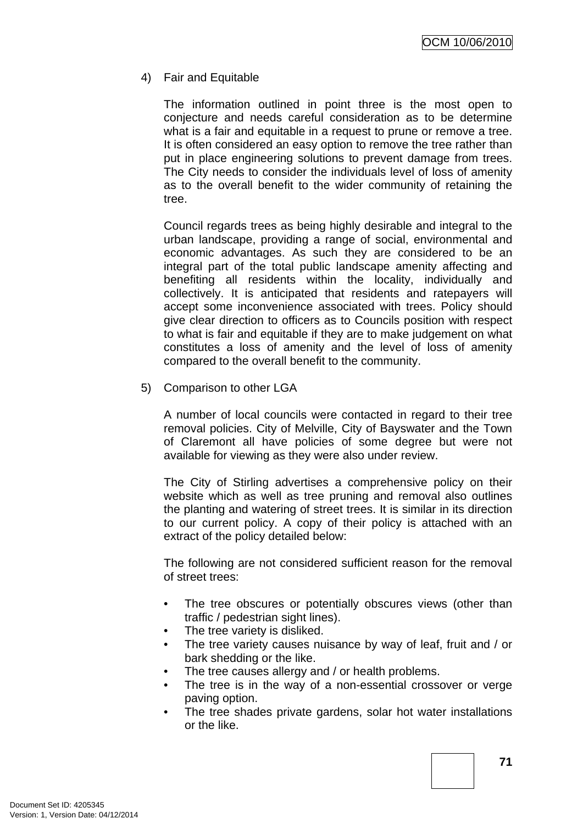4) Fair and Equitable

The information outlined in point three is the most open to conjecture and needs careful consideration as to be determine what is a fair and equitable in a request to prune or remove a tree. It is often considered an easy option to remove the tree rather than put in place engineering solutions to prevent damage from trees. The City needs to consider the individuals level of loss of amenity as to the overall benefit to the wider community of retaining the tree.

Council regards trees as being highly desirable and integral to the urban landscape, providing a range of social, environmental and economic advantages. As such they are considered to be an integral part of the total public landscape amenity affecting and benefiting all residents within the locality, individually and collectively. It is anticipated that residents and ratepayers will accept some inconvenience associated with trees. Policy should give clear direction to officers as to Councils position with respect to what is fair and equitable if they are to make judgement on what constitutes a loss of amenity and the level of loss of amenity compared to the overall benefit to the community.

5) Comparison to other LGA

A number of local councils were contacted in regard to their tree removal policies. City of Melville, City of Bayswater and the Town of Claremont all have policies of some degree but were not available for viewing as they were also under review.

The City of Stirling advertises a comprehensive policy on their website which as well as tree pruning and removal also outlines the planting and watering of street trees. It is similar in its direction to our current policy. A copy of their policy is attached with an extract of the policy detailed below:

The following are not considered sufficient reason for the removal of street trees:

- The tree obscures or potentially obscures views (other than traffic / pedestrian sight lines).
- The tree variety is disliked.
- The tree variety causes nuisance by way of leaf, fruit and / or bark shedding or the like.
- The tree causes allergy and / or health problems.
- The tree is in the way of a non-essential crossover or verge paving option.
- The tree shades private gardens, solar hot water installations or the like.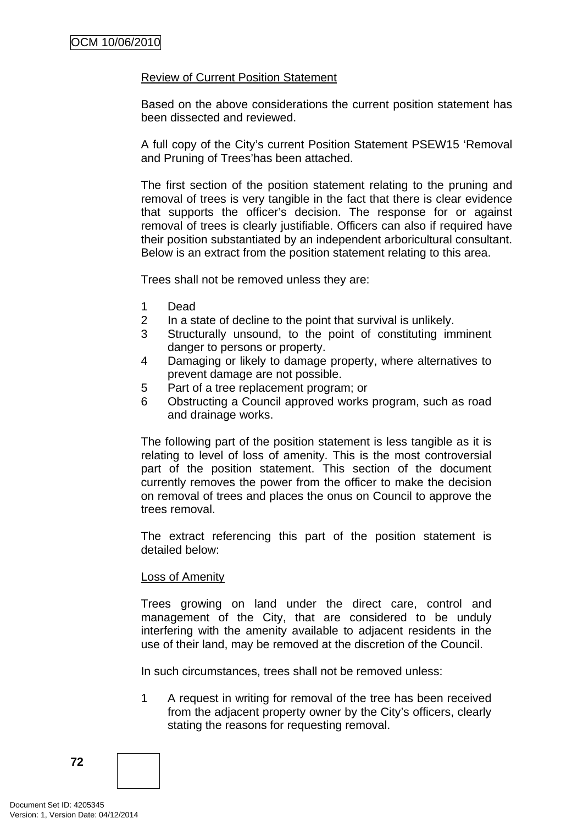### Review of Current Position Statement

Based on the above considerations the current position statement has been dissected and reviewed.

A full copy of the City's current Position Statement PSEW15 'Removal and Pruning of Trees'has been attached.

The first section of the position statement relating to the pruning and removal of trees is very tangible in the fact that there is clear evidence that supports the officer's decision. The response for or against removal of trees is clearly justifiable. Officers can also if required have their position substantiated by an independent arboricultural consultant. Below is an extract from the position statement relating to this area.

Trees shall not be removed unless they are:

- 1 Dead
- 2 In a state of decline to the point that survival is unlikely.
- 3 Structurally unsound, to the point of constituting imminent danger to persons or property.
- 4 Damaging or likely to damage property, where alternatives to prevent damage are not possible.
- 5 Part of a tree replacement program; or
- 6 Obstructing a Council approved works program, such as road and drainage works.

The following part of the position statement is less tangible as it is relating to level of loss of amenity. This is the most controversial part of the position statement. This section of the document currently removes the power from the officer to make the decision on removal of trees and places the onus on Council to approve the trees removal.

The extract referencing this part of the position statement is detailed below:

#### Loss of Amenity

Trees growing on land under the direct care, control and management of the City, that are considered to be unduly interfering with the amenity available to adjacent residents in the use of their land, may be removed at the discretion of the Council.

In such circumstances, trees shall not be removed unless:

1 A request in writing for removal of the tree has been received from the adjacent property owner by the City's officers, clearly stating the reasons for requesting removal.

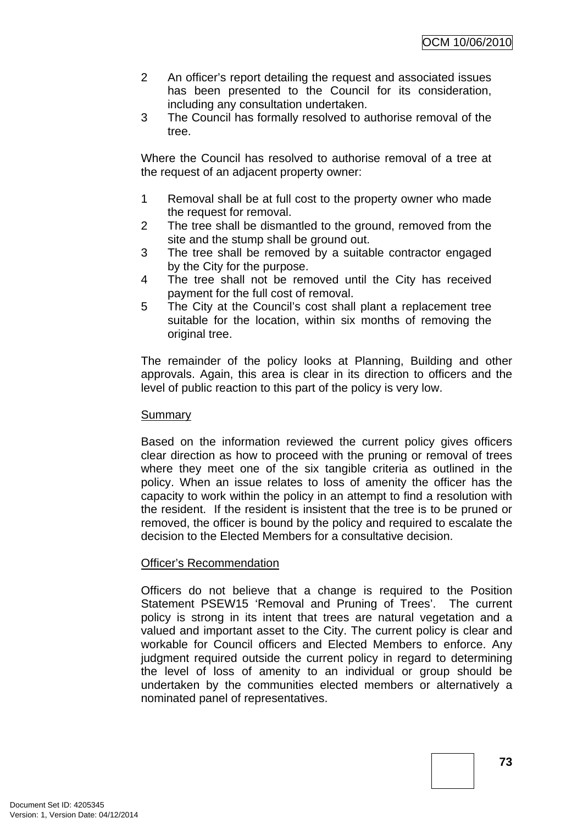- 2 An officer's report detailing the request and associated issues has been presented to the Council for its consideration, including any consultation undertaken.
- 3 The Council has formally resolved to authorise removal of the tree.

Where the Council has resolved to authorise removal of a tree at the request of an adjacent property owner:

- 1 Removal shall be at full cost to the property owner who made the request for removal.
- 2 The tree shall be dismantled to the ground, removed from the site and the stump shall be ground out.
- 3 The tree shall be removed by a suitable contractor engaged by the City for the purpose.
- 4 The tree shall not be removed until the City has received payment for the full cost of removal.
- 5 The City at the Council's cost shall plant a replacement tree suitable for the location, within six months of removing the original tree.

The remainder of the policy looks at Planning, Building and other approvals. Again, this area is clear in its direction to officers and the level of public reaction to this part of the policy is very low.

#### Summary

Based on the information reviewed the current policy gives officers clear direction as how to proceed with the pruning or removal of trees where they meet one of the six tangible criteria as outlined in the policy. When an issue relates to loss of amenity the officer has the capacity to work within the policy in an attempt to find a resolution with the resident. If the resident is insistent that the tree is to be pruned or removed, the officer is bound by the policy and required to escalate the decision to the Elected Members for a consultative decision.

#### Officer's Recommendation

Officers do not believe that a change is required to the Position Statement PSEW15 'Removal and Pruning of Trees'. The current policy is strong in its intent that trees are natural vegetation and a valued and important asset to the City. The current policy is clear and workable for Council officers and Elected Members to enforce. Any judgment required outside the current policy in regard to determining the level of loss of amenity to an individual or group should be undertaken by the communities elected members or alternatively a nominated panel of representatives.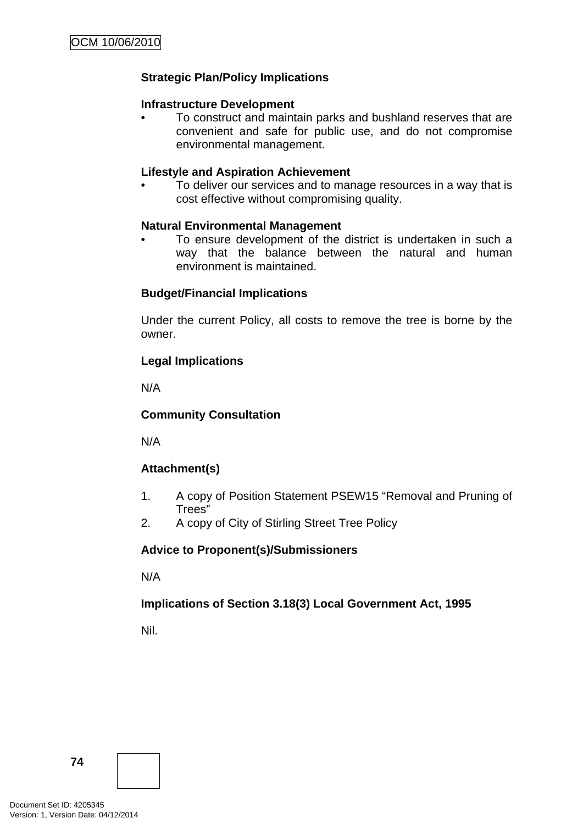## **Strategic Plan/Policy Implications**

#### **Infrastructure Development**

• To construct and maintain parks and bushland reserves that are convenient and safe for public use, and do not compromise environmental management.

#### **Lifestyle and Aspiration Achievement**

• To deliver our services and to manage resources in a way that is cost effective without compromising quality.

#### **Natural Environmental Management**

To ensure development of the district is undertaken in such a way that the balance between the natural and human environment is maintained.

#### **Budget/Financial Implications**

Under the current Policy, all costs to remove the tree is borne by the owner.

#### **Legal Implications**

N/A

### **Community Consultation**

N/A

## **Attachment(s)**

- 1. A copy of Position Statement PSEW15 "Removal and Pruning of Trees"
- 2. A copy of City of Stirling Street Tree Policy

#### **Advice to Proponent(s)/Submissioners**

N/A

## **Implications of Section 3.18(3) Local Government Act, 1995**

Nil.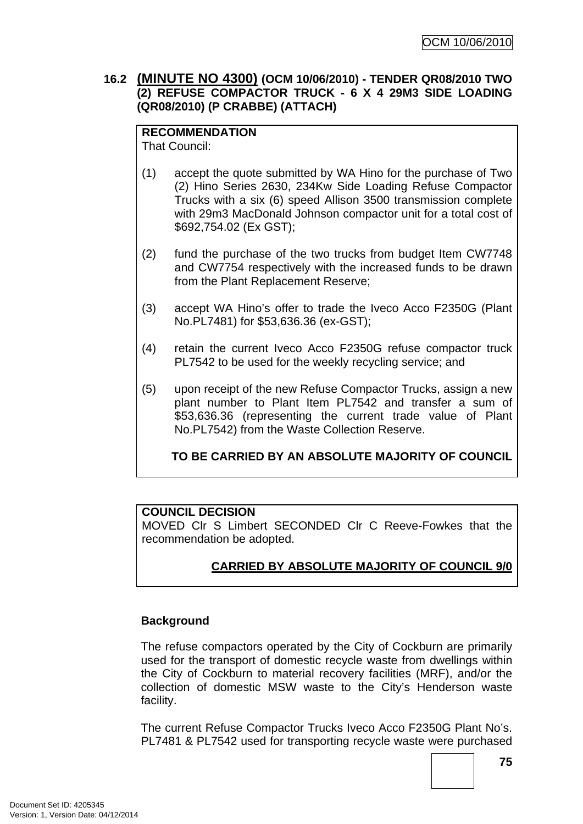## **16.2 (MINUTE NO 4300) (OCM 10/06/2010) - TENDER QR08/2010 TWO (2) REFUSE COMPACTOR TRUCK - 6 X 4 29M3 SIDE LOADING (QR08/2010) (P CRABBE) (ATTACH)**

# **RECOMMENDATION**

That Council:

- (1) accept the quote submitted by WA Hino for the purchase of Two (2) Hino Series 2630, 234Kw Side Loading Refuse Compactor Trucks with a six (6) speed Allison 3500 transmission complete with 29m3 MacDonald Johnson compactor unit for a total cost of \$692,754.02 (Ex GST);
- (2) fund the purchase of the two trucks from budget Item CW7748 and CW7754 respectively with the increased funds to be drawn from the Plant Replacement Reserve;
- (3) accept WA Hino's offer to trade the Iveco Acco F2350G (Plant No.PL7481) for \$53,636.36 (ex-GST);
- (4) retain the current Iveco Acco F2350G refuse compactor truck PL7542 to be used for the weekly recycling service; and
- (5) upon receipt of the new Refuse Compactor Trucks, assign a new plant number to Plant Item PL7542 and transfer a sum of \$53,636.36 (representing the current trade value of Plant No.PL7542) from the Waste Collection Reserve.

**TO BE CARRIED BY AN ABSOLUTE MAJORITY OF COUNCIL**

## **COUNCIL DECISION**

MOVED Clr S Limbert SECONDED Clr C Reeve-Fowkes that the recommendation be adopted.

## **CARRIED BY ABSOLUTE MAJORITY OF COUNCIL 9/0**

## **Background**

The refuse compactors operated by the City of Cockburn are primarily used for the transport of domestic recycle waste from dwellings within the City of Cockburn to material recovery facilities (MRF), and/or the collection of domestic MSW waste to the City's Henderson waste facility.

The current Refuse Compactor Trucks Iveco Acco F2350G Plant No's. PL7481 & PL7542 used for transporting recycle waste were purchased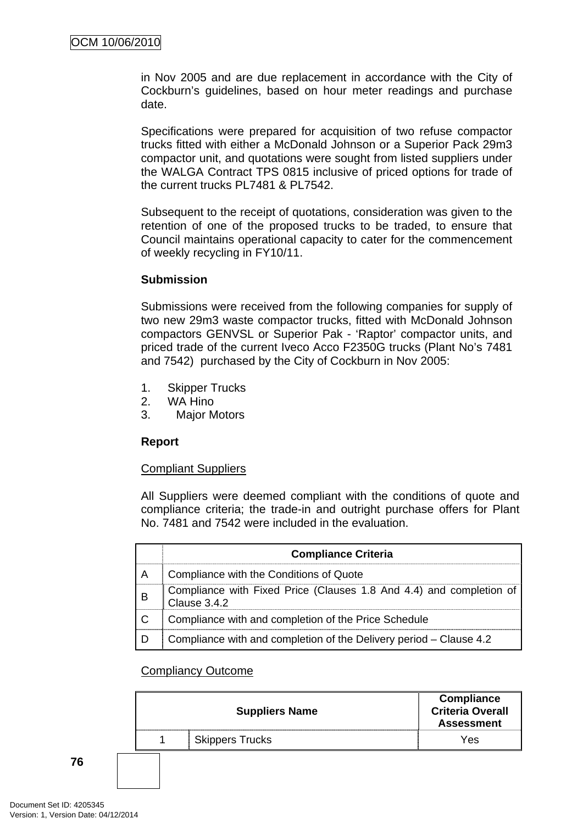in Nov 2005 and are due replacement in accordance with the City of Cockburn's guidelines, based on hour meter readings and purchase date.

Specifications were prepared for acquisition of two refuse compactor trucks fitted with either a McDonald Johnson or a Superior Pack 29m3 compactor unit, and quotations were sought from listed suppliers under the WALGA Contract TPS 0815 inclusive of priced options for trade of the current trucks PL7481 & PL7542.

Subsequent to the receipt of quotations, consideration was given to the retention of one of the proposed trucks to be traded, to ensure that Council maintains operational capacity to cater for the commencement of weekly recycling in FY10/11.

#### **Submission**

Submissions were received from the following companies for supply of two new 29m3 waste compactor trucks, fitted with McDonald Johnson compactors GENVSL or Superior Pak - 'Raptor' compactor units, and priced trade of the current Iveco Acco F2350G trucks (Plant No's 7481 and 7542) purchased by the City of Cockburn in Nov 2005:

- 1. Skipper Trucks
- 2. WA Hino
- 3. Major Motors

#### **Report**

#### Compliant Suppliers

All Suppliers were deemed compliant with the conditions of quote and compliance criteria; the trade-in and outright purchase offers for Plant No. 7481 and 7542 were included in the evaluation.

|   | <b>Compliance Criteria</b>                                                          |
|---|-------------------------------------------------------------------------------------|
| А | Compliance with the Conditions of Quote                                             |
| B | Compliance with Fixed Price (Clauses 1.8 And 4.4) and completion of<br>Clause 3.4.2 |
|   | Compliance with and completion of the Price Schedule                                |
|   | Compliance with and completion of the Delivery period – Clause 4.2                  |

#### Compliancy Outcome

|  | <b>Compliance</b><br><b>Criteria Overall</b><br><b>Assessment</b> |     |
|--|-------------------------------------------------------------------|-----|
|  | <b>Skippers Trucks</b>                                            | Yes |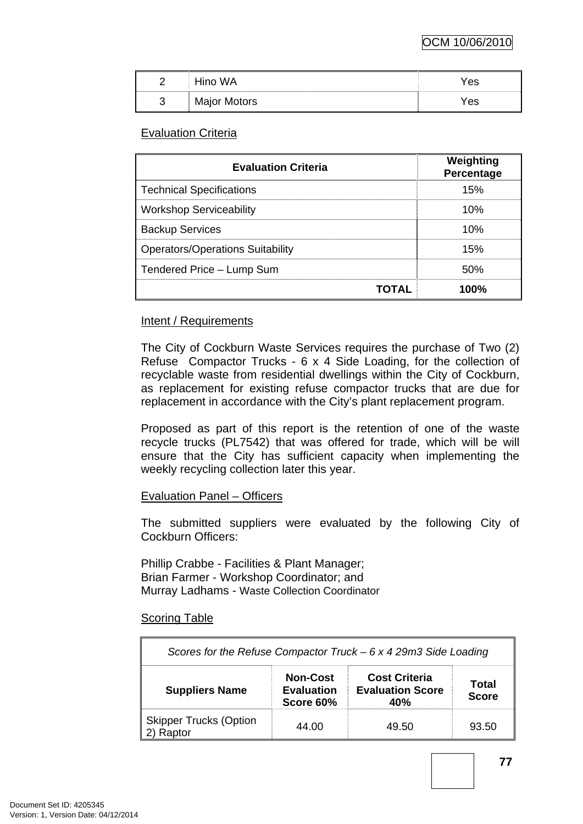| ∥ | <b>WA</b><br>----------- | 'es |
|---|--------------------------|-----|
| ∥ | Major Motors             | es  |

### Evaluation Criteria

| <b>Evaluation Criteria</b>              | Weighting<br>Percentage |
|-----------------------------------------|-------------------------|
| <b>Technical Specifications</b>         | 15%                     |
| <b>Workshop Serviceability</b>          | 10%                     |
| <b>Backup Services</b>                  | 10%                     |
| <b>Operators/Operations Suitability</b> | 15%                     |
| Tendered Price - Lump Sum               | 50%                     |
| TOTAL                                   | 100%                    |

### Intent / Requirements

The City of Cockburn Waste Services requires the purchase of Two (2) Refuse Compactor Trucks - 6 x 4 Side Loading, for the collection of recyclable waste from residential dwellings within the City of Cockburn, as replacement for existing refuse compactor trucks that are due for replacement in accordance with the City's plant replacement program.

Proposed as part of this report is the retention of one of the waste recycle trucks (PL7542) that was offered for trade, which will be will ensure that the City has sufficient capacity when implementing the weekly recycling collection later this year.

#### Evaluation Panel – Officers

The submitted suppliers were evaluated by the following City of Cockburn Officers:

Phillip Crabbe - Facilities & Plant Manager; Brian Farmer - Workshop Coordinator; and Murray Ladhams - Waste Collection Coordinator

#### Scoring Table

| Scores for the Refuse Compactor Truck $-6x429m3$ Side Loading |                                                   |                                                        |                       |  |  |
|---------------------------------------------------------------|---------------------------------------------------|--------------------------------------------------------|-----------------------|--|--|
| <b>Suppliers Name</b>                                         | <b>Non-Cost</b><br><b>Evaluation</b><br>Score 60% | <b>Cost Criteria</b><br><b>Evaluation Score</b><br>40% | Total<br><b>Score</b> |  |  |
| <b>Skipper Trucks (Option</b><br>Raptor                       | 44.00                                             | 49.50                                                  | 93.50                 |  |  |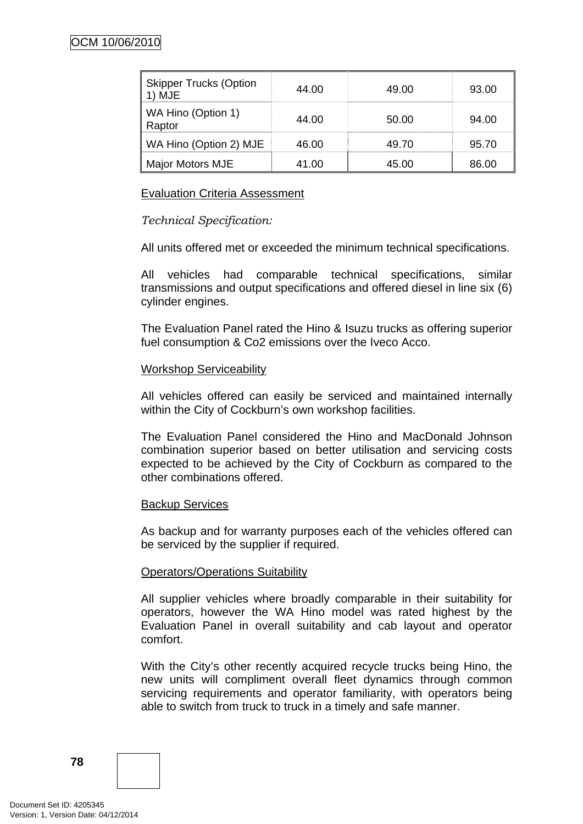| <b>Skipper Trucks (Option</b><br>MJE | 44.00 | 49.00 | 93.00 |
|--------------------------------------|-------|-------|-------|
| WA Hino (Option 1)<br>Raptor         | 44.00 | 50.00 | 94.00 |
| WA Hino (Option 2) MJE               | 46.00 | 49 70 | 95.70 |
| Major Motors MJE                     | 41.00 | 45 NO | 86.00 |

### Evaluation Criteria Assessment

### *Technical Specification:*

All units offered met or exceeded the minimum technical specifications.

All vehicles had comparable technical specifications, similar transmissions and output specifications and offered diesel in line six (6) cylinder engines.

The Evaluation Panel rated the Hino & Isuzu trucks as offering superior fuel consumption & Co2 emissions over the Iveco Acco.

#### Workshop Serviceability

All vehicles offered can easily be serviced and maintained internally within the City of Cockburn's own workshop facilities.

The Evaluation Panel considered the Hino and MacDonald Johnson combination superior based on better utilisation and servicing costs expected to be achieved by the City of Cockburn as compared to the other combinations offered.

#### Backup Services

As backup and for warranty purposes each of the vehicles offered can be serviced by the supplier if required.

#### Operators/Operations Suitability

All supplier vehicles where broadly comparable in their suitability for operators, however the WA Hino model was rated highest by the Evaluation Panel in overall suitability and cab layout and operator comfort.

With the City's other recently acquired recycle trucks being Hino, the new units will compliment overall fleet dynamics through common servicing requirements and operator familiarity, with operators being able to switch from truck to truck in a timely and safe manner.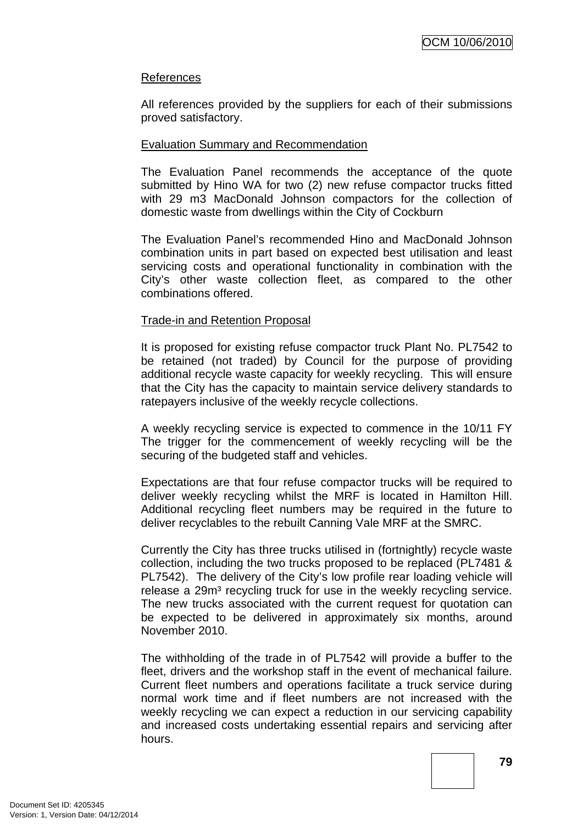### References

All references provided by the suppliers for each of their submissions proved satisfactory.

#### Evaluation Summary and Recommendation

The Evaluation Panel recommends the acceptance of the quote submitted by Hino WA for two (2) new refuse compactor trucks fitted with 29 m3 MacDonald Johnson compactors for the collection of domestic waste from dwellings within the City of Cockburn

The Evaluation Panel's recommended Hino and MacDonald Johnson combination units in part based on expected best utilisation and least servicing costs and operational functionality in combination with the City's other waste collection fleet, as compared to the other combinations offered.

#### Trade-in and Retention Proposal

It is proposed for existing refuse compactor truck Plant No. PL7542 to be retained (not traded) by Council for the purpose of providing additional recycle waste capacity for weekly recycling. This will ensure that the City has the capacity to maintain service delivery standards to ratepayers inclusive of the weekly recycle collections.

A weekly recycling service is expected to commence in the 10/11 FY The trigger for the commencement of weekly recycling will be the securing of the budgeted staff and vehicles.

Expectations are that four refuse compactor trucks will be required to deliver weekly recycling whilst the MRF is located in Hamilton Hill. Additional recycling fleet numbers may be required in the future to deliver recyclables to the rebuilt Canning Vale MRF at the SMRC.

Currently the City has three trucks utilised in (fortnightly) recycle waste collection, including the two trucks proposed to be replaced (PL7481 & PL7542). The delivery of the City's low profile rear loading vehicle will release a 29m<sup>3</sup> recycling truck for use in the weekly recycling service. The new trucks associated with the current request for quotation can be expected to be delivered in approximately six months, around November 2010.

The withholding of the trade in of PL7542 will provide a buffer to the fleet, drivers and the workshop staff in the event of mechanical failure. Current fleet numbers and operations facilitate a truck service during normal work time and if fleet numbers are not increased with the weekly recycling we can expect a reduction in our servicing capability and increased costs undertaking essential repairs and servicing after hours.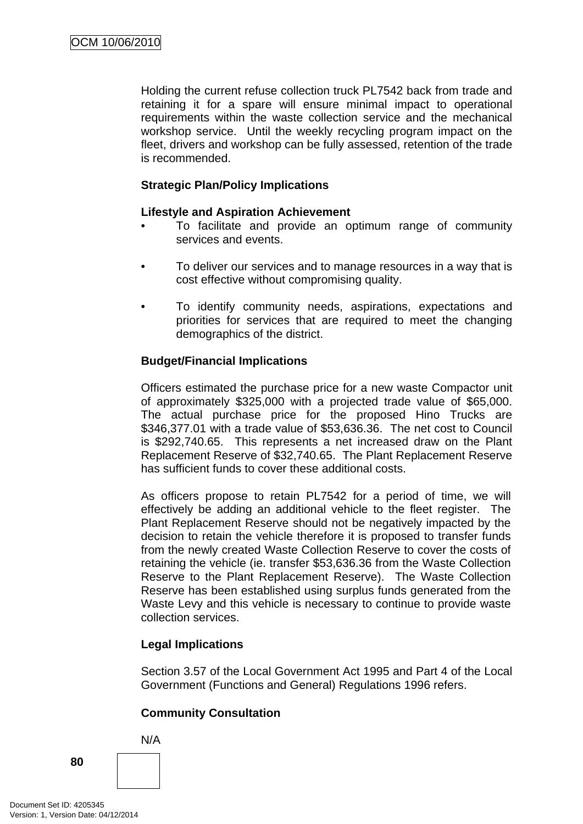Holding the current refuse collection truck PL7542 back from trade and retaining it for a spare will ensure minimal impact to operational requirements within the waste collection service and the mechanical workshop service. Until the weekly recycling program impact on the fleet, drivers and workshop can be fully assessed, retention of the trade is recommended.

## **Strategic Plan/Policy Implications**

### **Lifestyle and Aspiration Achievement**

- To facilitate and provide an optimum range of community services and events.
- To deliver our services and to manage resources in a way that is cost effective without compromising quality.
- To identify community needs, aspirations, expectations and priorities for services that are required to meet the changing demographics of the district.

### **Budget/Financial Implications**

Officers estimated the purchase price for a new waste Compactor unit of approximately \$325,000 with a projected trade value of \$65,000. The actual purchase price for the proposed Hino Trucks are \$346,377.01 with a trade value of \$53,636.36. The net cost to Council is \$292,740.65. This represents a net increased draw on the Plant Replacement Reserve of \$32,740.65. The Plant Replacement Reserve has sufficient funds to cover these additional costs.

As officers propose to retain PL7542 for a period of time, we will effectively be adding an additional vehicle to the fleet register. The Plant Replacement Reserve should not be negatively impacted by the decision to retain the vehicle therefore it is proposed to transfer funds from the newly created Waste Collection Reserve to cover the costs of retaining the vehicle (ie. transfer \$53,636.36 from the Waste Collection Reserve to the Plant Replacement Reserve). The Waste Collection Reserve has been established using surplus funds generated from the Waste Levy and this vehicle is necessary to continue to provide waste collection services.

#### **Legal Implications**

Section 3.57 of the Local Government Act 1995 and Part 4 of the Local Government (Functions and General) Regulations 1996 refers.

## **Community Consultation**

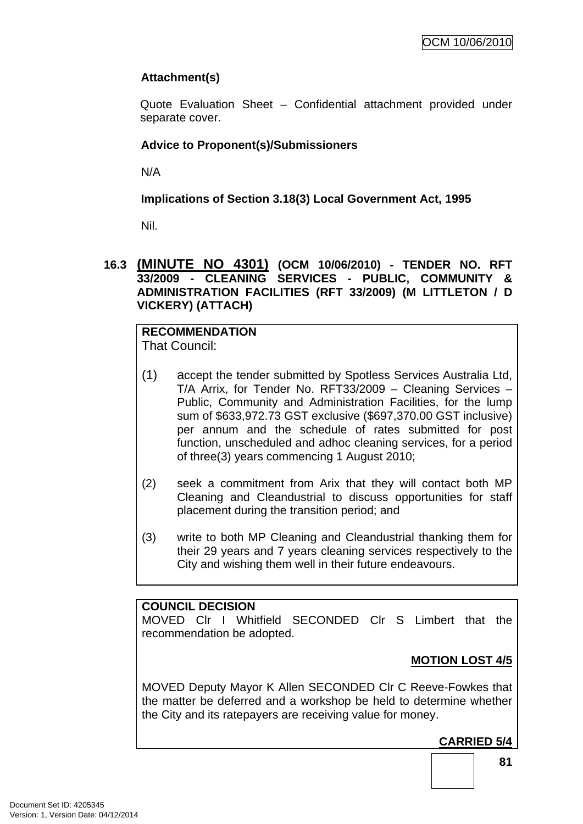## **Attachment(s)**

Quote Evaluation Sheet – Confidential attachment provided under separate cover.

## **Advice to Proponent(s)/Submissioners**

N/A

**Implications of Section 3.18(3) Local Government Act, 1995**

Nil.

**16.3 (MINUTE NO 4301) (OCM 10/06/2010) - TENDER NO. RFT 33/2009 - CLEANING SERVICES - PUBLIC, COMMUNITY & ADMINISTRATION FACILITIES (RFT 33/2009) (M LITTLETON / D VICKERY) (ATTACH)** 

#### **RECOMMENDATION**  That Council:

- (1) accept the tender submitted by Spotless Services Australia Ltd, T/A Arrix, for Tender No. RFT33/2009 – Cleaning Services – Public, Community and Administration Facilities, for the lump sum of \$633,972.73 GST exclusive (\$697,370.00 GST inclusive) per annum and the schedule of rates submitted for post function, unscheduled and adhoc cleaning services, for a period of three(3) years commencing 1 August 2010;
- (2) seek a commitment from Arix that they will contact both MP Cleaning and Cleandustrial to discuss opportunities for staff placement during the transition period; and
- (3) write to both MP Cleaning and Cleandustrial thanking them for their 29 years and 7 years cleaning services respectively to the City and wishing them well in their future endeavours.

## **COUNCIL DECISION**

MOVED Clr I Whitfield SECONDED Clr S Limbert that the recommendation be adopted.

## **MOTION LOST 4/5**

MOVED Deputy Mayor K Allen SECONDED Clr C Reeve-Fowkes that the matter be deferred and a workshop be held to determine whether the City and its ratepayers are receiving value for money.

## **CARRIED 5/4**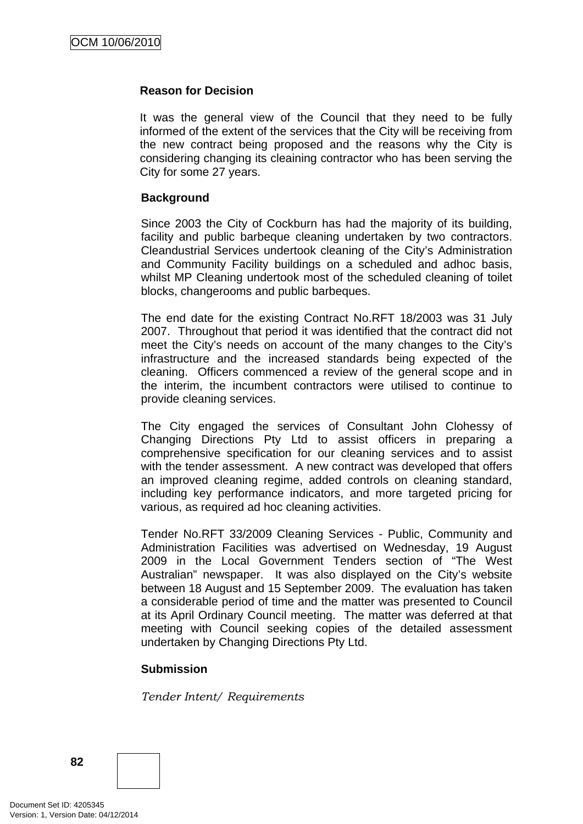#### **Reason for Decision**

It was the general view of the Council that they need to be fully informed of the extent of the services that the City will be receiving from the new contract being proposed and the reasons why the City is considering changing its cleaining contractor who has been serving the City for some 27 years.

#### **Background**

Since 2003 the City of Cockburn has had the majority of its building, facility and public barbeque cleaning undertaken by two contractors. Cleandustrial Services undertook cleaning of the City's Administration and Community Facility buildings on a scheduled and adhoc basis, whilst MP Cleaning undertook most of the scheduled cleaning of toilet blocks, changerooms and public barbeques.

The end date for the existing Contract No.RFT 18/2003 was 31 July 2007. Throughout that period it was identified that the contract did not meet the City's needs on account of the many changes to the City's infrastructure and the increased standards being expected of the cleaning. Officers commenced a review of the general scope and in the interim, the incumbent contractors were utilised to continue to provide cleaning services.

The City engaged the services of Consultant John Clohessy of Changing Directions Pty Ltd to assist officers in preparing a comprehensive specification for our cleaning services and to assist with the tender assessment. A new contract was developed that offers an improved cleaning regime, added controls on cleaning standard, including key performance indicators, and more targeted pricing for various, as required ad hoc cleaning activities.

Tender No.RFT 33/2009 Cleaning Services - Public, Community and Administration Facilities was advertised on Wednesday, 19 August 2009 in the Local Government Tenders section of "The West Australian" newspaper. It was also displayed on the City's website between 18 August and 15 September 2009. The evaluation has taken a considerable period of time and the matter was presented to Council at its April Ordinary Council meeting. The matter was deferred at that meeting with Council seeking copies of the detailed assessment undertaken by Changing Directions Pty Ltd.

#### **Submission**

*Tender Intent/ Requirements* 

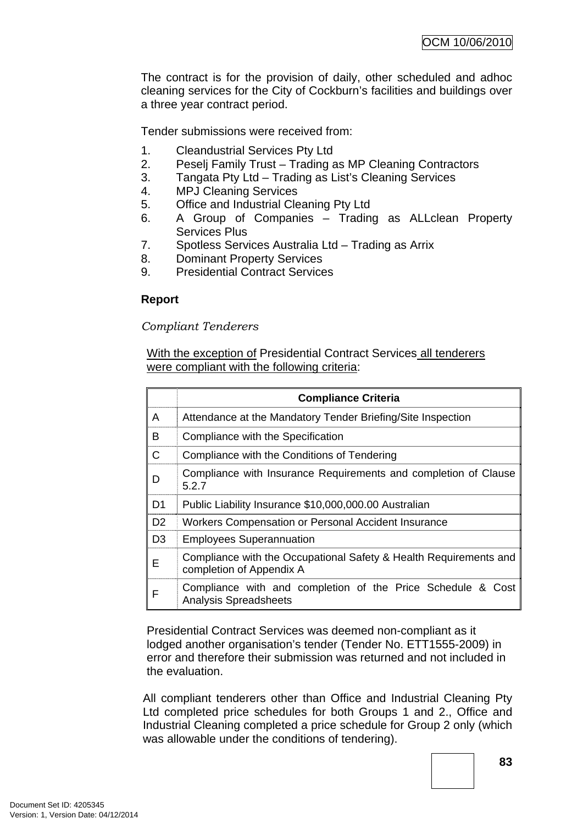The contract is for the provision of daily, other scheduled and adhoc cleaning services for the City of Cockburn's facilities and buildings over a three year contract period.

Tender submissions were received from:

- 1. Cleandustrial Services Pty Ltd
- 2. Peselj Family Trust Trading as MP Cleaning Contractors
- 3. Tangata Pty Ltd Trading as List's Cleaning Services
- 4. MPJ Cleaning Services
- 5. Office and Industrial Cleaning Pty Ltd
- 6. A Group of Companies Trading as ALLclean Property Services Plus
- 7. Spotless Services Australia Ltd Trading as Arrix
- 8. Dominant Property Services
- 9. Presidential Contract Services

## **Report**

#### *Compliant Tenderers*

With the exception of Presidential Contract Services all tenderers were compliant with the following criteria:

|                | <b>Compliance Criteria</b>                                                                    |  |
|----------------|-----------------------------------------------------------------------------------------------|--|
| A              | Attendance at the Mandatory Tender Briefing/Site Inspection                                   |  |
| B              | Compliance with the Specification                                                             |  |
| C              | Compliance with the Conditions of Tendering                                                   |  |
| D              | Compliance with Insurance Requirements and completion of Clause<br>5.2.7                      |  |
| D <sub>1</sub> | Public Liability Insurance \$10,000,000.00 Australian                                         |  |
| D <sub>2</sub> | Workers Compensation or Personal Accident Insurance                                           |  |
| D <sub>3</sub> | <b>Employees Superannuation</b>                                                               |  |
| Е              | Compliance with the Occupational Safety & Health Requirements and<br>completion of Appendix A |  |
| F              | Compliance with and completion of the Price Schedule & Cost<br><b>Analysis Spreadsheets</b>   |  |

Presidential Contract Services was deemed non-compliant as it lodged another organisation's tender (Tender No. ETT1555-2009) in error and therefore their submission was returned and not included in the evaluation.

All compliant tenderers other than Office and Industrial Cleaning Pty Ltd completed price schedules for both Groups 1 and 2., Office and Industrial Cleaning completed a price schedule for Group 2 only (which was allowable under the conditions of tendering).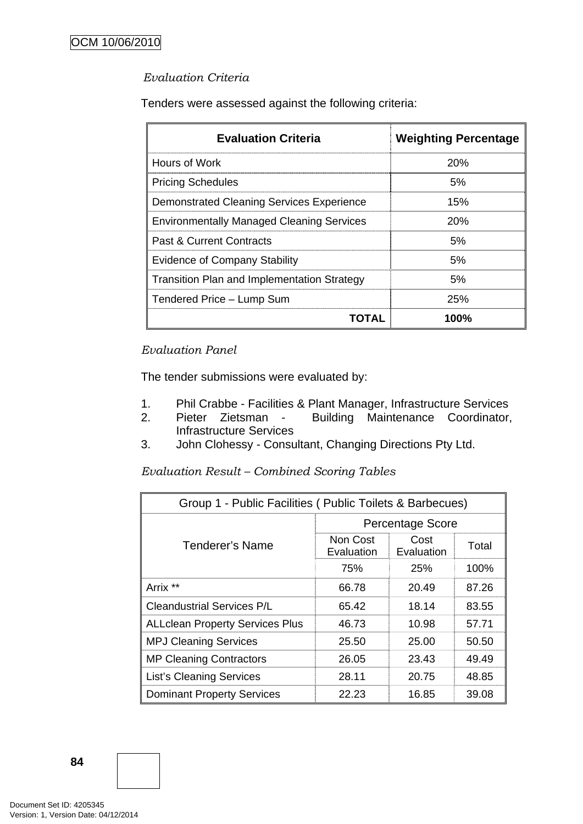### *Evaluation Criteria*

Tenders were assessed against the following criteria:

| <b>Evaluation Criteria</b>                         | <b>Weighting Percentage</b> |
|----------------------------------------------------|-----------------------------|
| Hours of Work                                      | 20%                         |
| <b>Pricing Schedules</b>                           | 5%                          |
| Demonstrated Cleaning Services Experience          | 15%                         |
| <b>Environmentally Managed Cleaning Services</b>   | 20%                         |
| <b>Past &amp; Current Contracts</b>                | 5%                          |
| <b>Evidence of Company Stability</b>               | 5%                          |
| <b>Transition Plan and Implementation Strategy</b> | 5%                          |
| Tendered Price - Lump Sum                          | <b>25%</b>                  |
| TOTAL                                              | 100%                        |

### *Evaluation Panel*

The tender submissions were evaluated by:

- 1. Phil Crabbe Facilities & Plant Manager, Infrastructure Services
- 2. Pieter Zietsman Building Maintenance Coordinator, Infrastructure Services
- 3. John Clohessy Consultant, Changing Directions Pty Ltd.

*Evaluation Result – Combined Scoring Tables* 

| Group 1 - Public Facilities (Public Toilets & Barbecues) |                         |                    |       |  |
|----------------------------------------------------------|-------------------------|--------------------|-------|--|
|                                                          | <b>Percentage Score</b> |                    |       |  |
| <b>Tenderer's Name</b>                                   | Non Cost<br>Evaluation  | Cost<br>Evaluation | Total |  |
|                                                          | 75%                     | <b>25%</b>         | 100%  |  |
| Arrix **                                                 | 66.78                   | 20.49              | 87.26 |  |
| <b>Cleandustrial Services P/L</b>                        | 65.42                   | 18.14              | 83.55 |  |
| <b>ALLclean Property Services Plus</b>                   | 46.73                   | 10.98              | 57.71 |  |
| <b>MPJ Cleaning Services</b>                             | 25.50                   | 25.00              | 50.50 |  |
| <b>MP Cleaning Contractors</b>                           | 26.05                   | 23.43              | 49.49 |  |
| <b>List's Cleaning Services</b>                          | 28.11                   | 20.75              | 48.85 |  |
| <b>Dominant Property Services</b>                        | 22.23                   | 16.85              | 39.08 |  |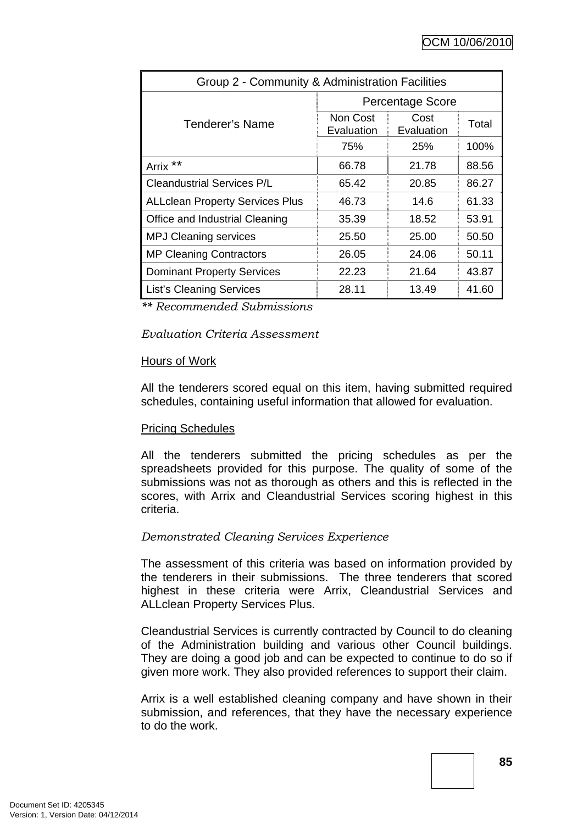| Group 2 - Community & Administration Facilities |                        |                    |       |  |
|-------------------------------------------------|------------------------|--------------------|-------|--|
|                                                 | Percentage Score       |                    |       |  |
| <b>Tenderer's Name</b>                          | Non Cost<br>Evaluation | Cost<br>Evaluation | Total |  |
|                                                 | 75%                    | <b>25%</b>         | 100%  |  |
| **<br>Arrix                                     | 66.78                  | 21.78              | 88.56 |  |
| <b>Cleandustrial Services P/L</b>               | 65.42                  | 20.85              | 86.27 |  |
| <b>ALLclean Property Services Plus</b>          | 46.73                  | 14.6               | 61.33 |  |
| Office and Industrial Cleaning                  | 35.39                  | 18.52              | 53.91 |  |
| <b>MPJ Cleaning services</b>                    | 25.50                  | 25.00              | 50.50 |  |
| <b>MP Cleaning Contractors</b>                  | 26.05                  | 24.06              | 50.11 |  |
| <b>Dominant Property Services</b>               | 22.23                  | 21.64              | 43.87 |  |
| <b>List's Cleaning Services</b>                 | 28.11                  | 13.49              | 41.60 |  |

*\*\* Recommended Submissions* 

#### *Evaluation Criteria Assessment*

#### Hours of Work

All the tenderers scored equal on this item, having submitted required schedules, containing useful information that allowed for evaluation.

#### Pricing Schedules

All the tenderers submitted the pricing schedules as per the spreadsheets provided for this purpose. The quality of some of the submissions was not as thorough as others and this is reflected in the scores, with Arrix and Cleandustrial Services scoring highest in this criteria.

#### *Demonstrated Cleaning Services Experience*

The assessment of this criteria was based on information provided by the tenderers in their submissions. The three tenderers that scored highest in these criteria were Arrix, Cleandustrial Services and ALLclean Property Services Plus.

Cleandustrial Services is currently contracted by Council to do cleaning of the Administration building and various other Council buildings. They are doing a good job and can be expected to continue to do so if given more work. They also provided references to support their claim.

Arrix is a well established cleaning company and have shown in their submission, and references, that they have the necessary experience to do the work.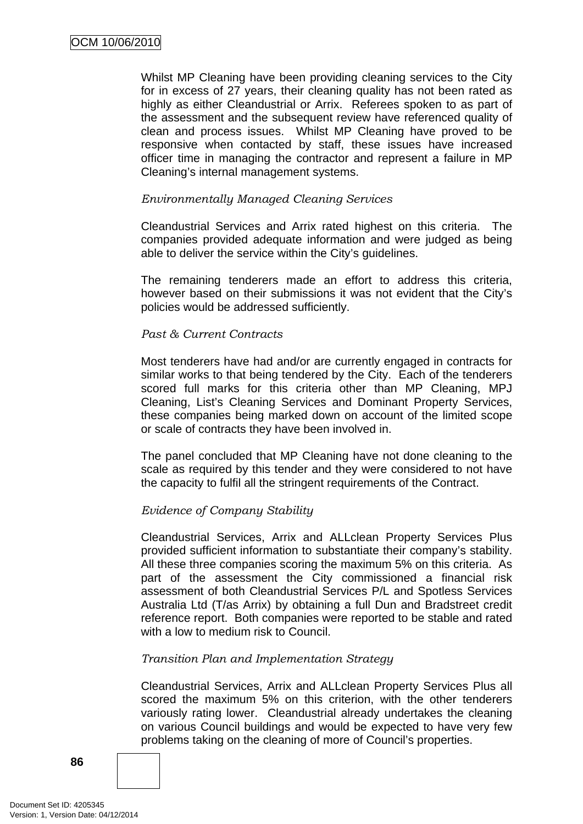Whilst MP Cleaning have been providing cleaning services to the City for in excess of 27 years, their cleaning quality has not been rated as highly as either Cleandustrial or Arrix. Referees spoken to as part of the assessment and the subsequent review have referenced quality of clean and process issues. Whilst MP Cleaning have proved to be responsive when contacted by staff, these issues have increased officer time in managing the contractor and represent a failure in MP Cleaning's internal management systems.

#### *Environmentally Managed Cleaning Services*

Cleandustrial Services and Arrix rated highest on this criteria. The companies provided adequate information and were judged as being able to deliver the service within the City's guidelines.

The remaining tenderers made an effort to address this criteria, however based on their submissions it was not evident that the City's policies would be addressed sufficiently.

#### *Past & Current Contracts*

Most tenderers have had and/or are currently engaged in contracts for similar works to that being tendered by the City. Each of the tenderers scored full marks for this criteria other than MP Cleaning, MPJ Cleaning, List's Cleaning Services and Dominant Property Services, these companies being marked down on account of the limited scope or scale of contracts they have been involved in.

The panel concluded that MP Cleaning have not done cleaning to the scale as required by this tender and they were considered to not have the capacity to fulfil all the stringent requirements of the Contract.

#### *Evidence of Company Stability*

Cleandustrial Services, Arrix and ALLclean Property Services Plus provided sufficient information to substantiate their company's stability. All these three companies scoring the maximum 5% on this criteria. As part of the assessment the City commissioned a financial risk assessment of both Cleandustrial Services P/L and Spotless Services Australia Ltd (T/as Arrix) by obtaining a full Dun and Bradstreet credit reference report. Both companies were reported to be stable and rated with a low to medium risk to Council.

#### *Transition Plan and Implementation Strategy*

Cleandustrial Services, Arrix and ALLclean Property Services Plus all scored the maximum 5% on this criterion, with the other tenderers variously rating lower. Cleandustrial already undertakes the cleaning on various Council buildings and would be expected to have very few problems taking on the cleaning of more of Council's properties.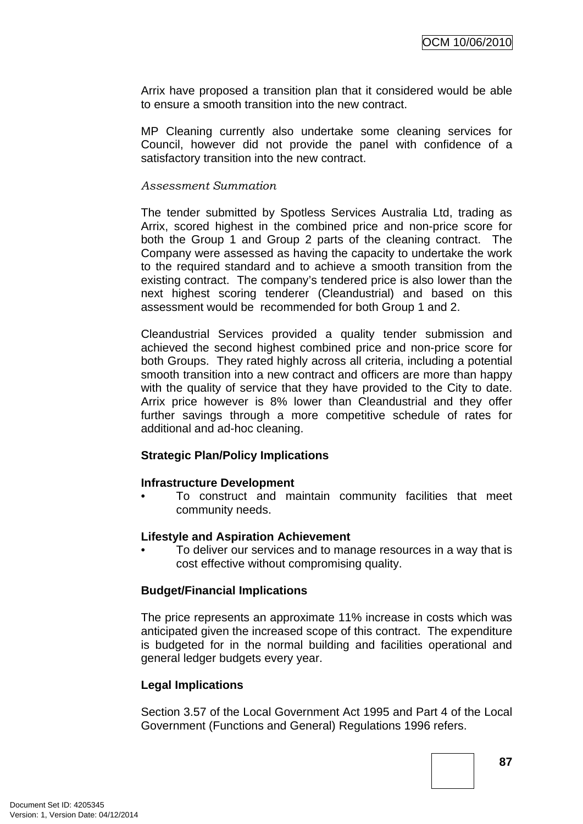Arrix have proposed a transition plan that it considered would be able to ensure a smooth transition into the new contract.

MP Cleaning currently also undertake some cleaning services for Council, however did not provide the panel with confidence of a satisfactory transition into the new contract.

#### *Assessment Summation*

The tender submitted by Spotless Services Australia Ltd, trading as Arrix, scored highest in the combined price and non-price score for both the Group 1 and Group 2 parts of the cleaning contract. The Company were assessed as having the capacity to undertake the work to the required standard and to achieve a smooth transition from the existing contract. The company's tendered price is also lower than the next highest scoring tenderer (Cleandustrial) and based on this assessment would be recommended for both Group 1 and 2.

Cleandustrial Services provided a quality tender submission and achieved the second highest combined price and non-price score for both Groups. They rated highly across all criteria, including a potential smooth transition into a new contract and officers are more than happy with the quality of service that they have provided to the City to date. Arrix price however is 8% lower than Cleandustrial and they offer further savings through a more competitive schedule of rates for additional and ad-hoc cleaning.

#### **Strategic Plan/Policy Implications**

#### **Infrastructure Development**

• To construct and maintain community facilities that meet community needs.

#### **Lifestyle and Aspiration Achievement**

• To deliver our services and to manage resources in a way that is cost effective without compromising quality.

#### **Budget/Financial Implications**

The price represents an approximate 11% increase in costs which was anticipated given the increased scope of this contract. The expenditure is budgeted for in the normal building and facilities operational and general ledger budgets every year.

#### **Legal Implications**

Section 3.57 of the Local Government Act 1995 and Part 4 of the Local Government (Functions and General) Regulations 1996 refers.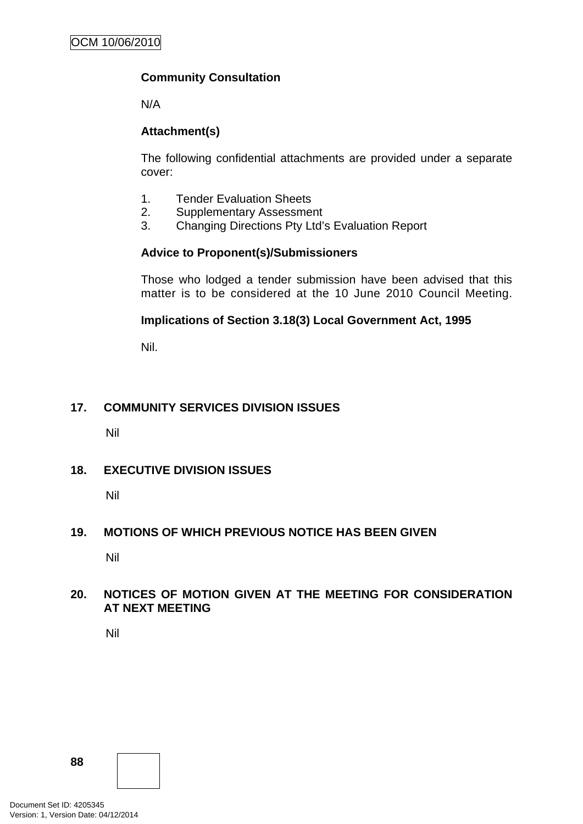## **Community Consultation**

N/A

## **Attachment(s)**

The following confidential attachments are provided under a separate cover:

- 1. Tender Evaluation Sheets
- 2. Supplementary Assessment
- 3. Changing Directions Pty Ltd's Evaluation Report

### **Advice to Proponent(s)/Submissioners**

Those who lodged a tender submission have been advised that this matter is to be considered at the 10 June 2010 Council Meeting.

### **Implications of Section 3.18(3) Local Government Act, 1995**

Nil.

## **17. COMMUNITY SERVICES DIVISION ISSUES**

Nil

## **18. EXECUTIVE DIVISION ISSUES**

Nil

#### **19. MOTIONS OF WHICH PREVIOUS NOTICE HAS BEEN GIVEN**

Nil

#### **20. NOTICES OF MOTION GIVEN AT THE MEETING FOR CONSIDERATION AT NEXT MEETING**

Nil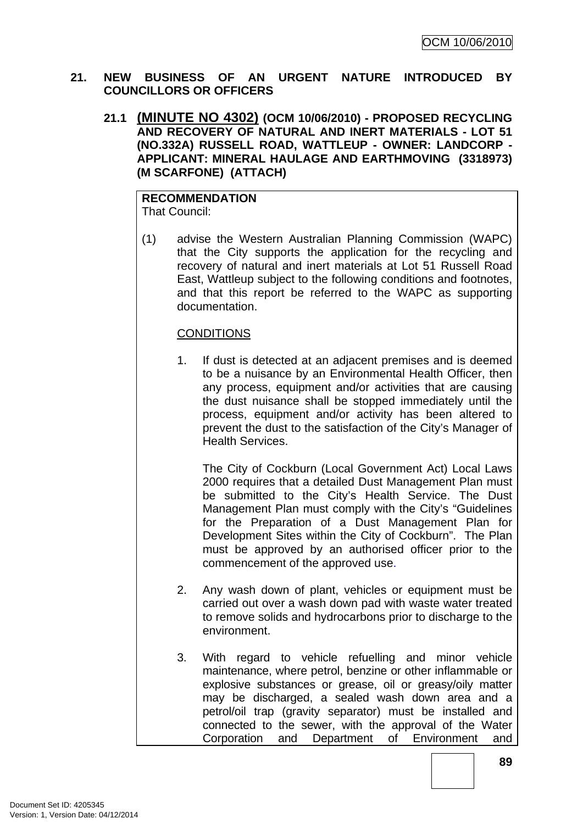#### **21. NEW BUSINESS OF AN URGENT NATURE INTRODUCED BY COUNCILLORS OR OFFICERS**

**21.1 (MINUTE NO 4302) (OCM 10/06/2010) - PROPOSED RECYCLING AND RECOVERY OF NATURAL AND INERT MATERIALS - LOT 51 (NO.332A) RUSSELL ROAD, WATTLEUP - OWNER: LANDCORP - APPLICANT: MINERAL HAULAGE AND EARTHMOVING (3318973) (M SCARFONE) (ATTACH)** 

#### **RECOMMENDATION** That Council:

(1) advise the Western Australian Planning Commission (WAPC) that the City supports the application for the recycling and recovery of natural and inert materials at Lot 51 Russell Road East, Wattleup subject to the following conditions and footnotes, and that this report be referred to the WAPC as supporting documentation.

## **CONDITIONS**

1. If dust is detected at an adjacent premises and is deemed to be a nuisance by an Environmental Health Officer, then any process, equipment and/or activities that are causing the dust nuisance shall be stopped immediately until the process, equipment and/or activity has been altered to prevent the dust to the satisfaction of the City's Manager of Health Services.

The City of Cockburn (Local Government Act) Local Laws 2000 requires that a detailed Dust Management Plan must be submitted to the City's Health Service. The Dust Management Plan must comply with the City's "Guidelines for the Preparation of a Dust Management Plan for Development Sites within the City of Cockburn". The Plan must be approved by an authorised officer prior to the commencement of the approved use.

- 2. Any wash down of plant, vehicles or equipment must be carried out over a wash down pad with waste water treated to remove solids and hydrocarbons prior to discharge to the environment.
- 3. With regard to vehicle refuelling and minor vehicle maintenance, where petrol, benzine or other inflammable or explosive substances or grease, oil or greasy/oily matter may be discharged, a sealed wash down area and a petrol/oil trap (gravity separator) must be installed and connected to the sewer, with the approval of the Water Corporation and Department of Environment and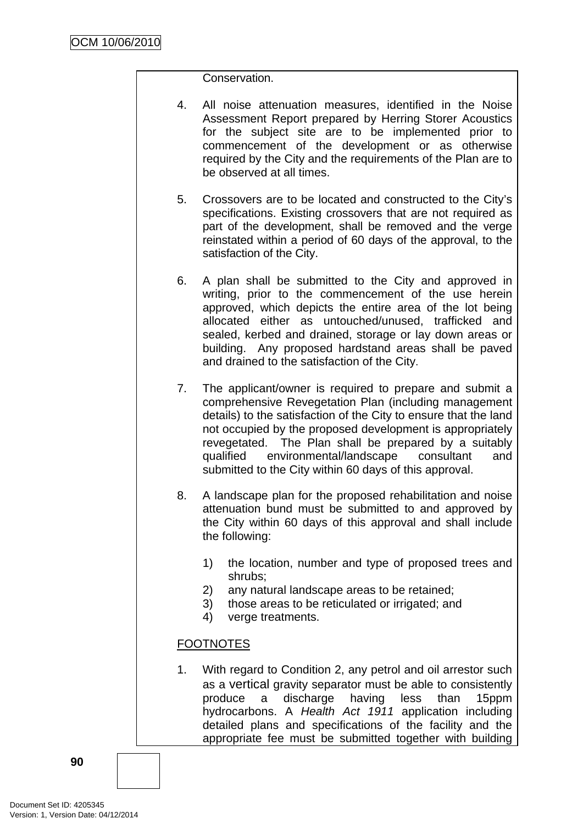Conservation.

- 4. All noise attenuation measures, identified in the Noise Assessment Report prepared by Herring Storer Acoustics for the subject site are to be implemented prior to commencement of the development or as otherwise required by the City and the requirements of the Plan are to be observed at all times.
- 5. Crossovers are to be located and constructed to the City's specifications. Existing crossovers that are not required as part of the development, shall be removed and the verge reinstated within a period of 60 days of the approval, to the satisfaction of the City.
- 6. A plan shall be submitted to the City and approved in writing, prior to the commencement of the use herein approved, which depicts the entire area of the lot being allocated either as untouched/unused, trafficked and sealed, kerbed and drained, storage or lay down areas or building. Any proposed hardstand areas shall be paved and drained to the satisfaction of the City.
- 7. The applicant/owner is required to prepare and submit a comprehensive Revegetation Plan (including management details) to the satisfaction of the City to ensure that the land not occupied by the proposed development is appropriately revegetated. The Plan shall be prepared by a suitably qualified environmental/landscape consultant and submitted to the City within 60 days of this approval.
- 8. A landscape plan for the proposed rehabilitation and noise attenuation bund must be submitted to and approved by the City within 60 days of this approval and shall include the following:
	- 1) the location, number and type of proposed trees and shrubs;
	- 2) any natural landscape areas to be retained;
	- 3) those areas to be reticulated or irrigated; and
	- 4) verge treatments.

## FOOTNOTES

1. With regard to Condition 2, any petrol and oil arrestor such as a vertical gravity separator must be able to consistently produce a discharge having less than 15ppm hydrocarbons. A *Health Act 1911* application including detailed plans and specifications of the facility and the appropriate fee must be submitted together with building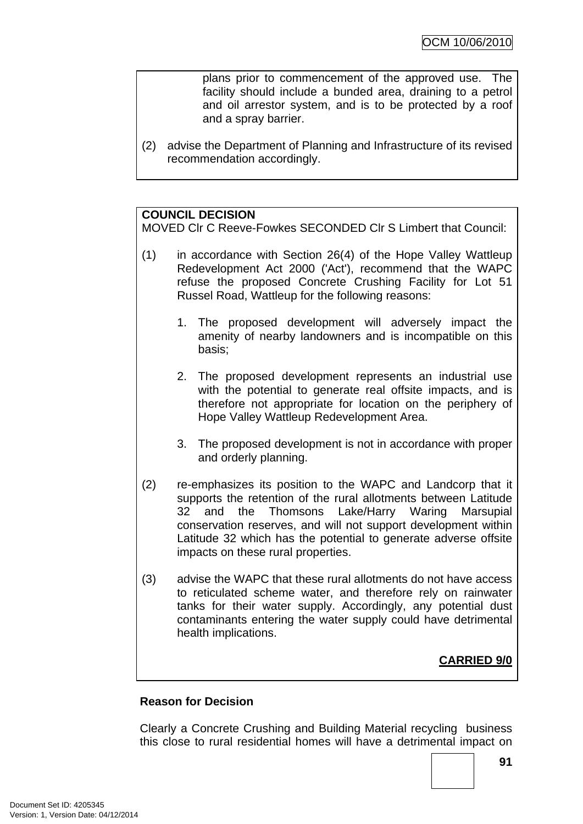plans prior to commencement of the approved use. The facility should include a bunded area, draining to a petrol and oil arrestor system, and is to be protected by a roof and a spray barrier.

(2) advise the Department of Planning and Infrastructure of its revised recommendation accordingly.

### **COUNCIL DECISION**

MOVED Clr C Reeve-Fowkes SECONDED Clr S Limbert that Council:

- (1) in accordance with Section 26(4) of the Hope Valley Wattleup Redevelopment Act 2000 ('Act'), recommend that the WAPC refuse the proposed Concrete Crushing Facility for Lot 51 Russel Road, Wattleup for the following reasons:
	- 1. The proposed development will adversely impact the amenity of nearby landowners and is incompatible on this basis;
	- 2. The proposed development represents an industrial use with the potential to generate real offsite impacts, and is therefore not appropriate for location on the periphery of Hope Valley Wattleup Redevelopment Area.
	- 3. The proposed development is not in accordance with proper and orderly planning.
- (2) re-emphasizes its position to the WAPC and Landcorp that it supports the retention of the rural allotments between Latitude 32 and the Thomsons Lake/Harry Waring Marsupial conservation reserves, and will not support development within Latitude 32 which has the potential to generate adverse offsite impacts on these rural properties.
- (3) advise the WAPC that these rural allotments do not have access to reticulated scheme water, and therefore rely on rainwater tanks for their water supply. Accordingly, any potential dust contaminants entering the water supply could have detrimental health implications.

## **CARRIED 9/0**

#### **Reason for Decision**

Clearly a Concrete Crushing and Building Material recycling business this close to rural residential homes will have a detrimental impact on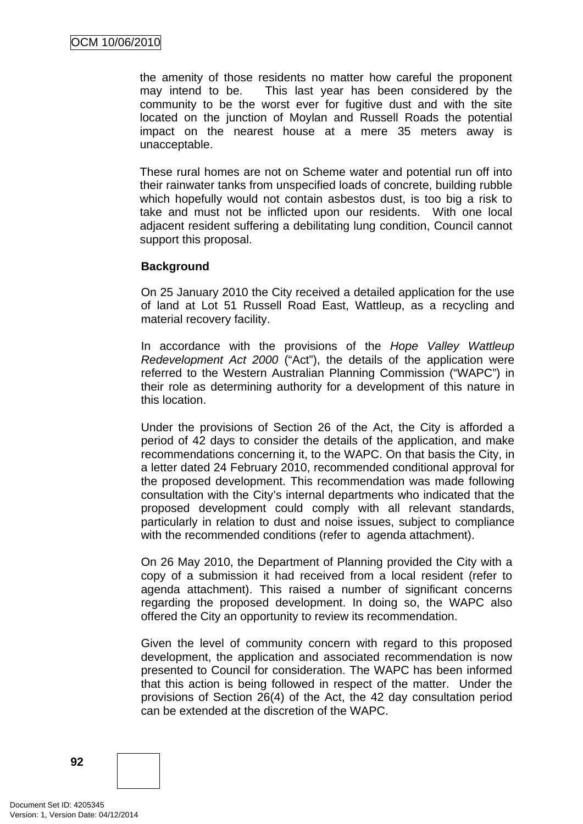the amenity of those residents no matter how careful the proponent may intend to be. This last year has been considered by the community to be the worst ever for fugitive dust and with the site located on the junction of Moylan and Russell Roads the potential impact on the nearest house at a mere 35 meters away is unacceptable.

These rural homes are not on Scheme water and potential run off into their rainwater tanks from unspecified loads of concrete, building rubble which hopefully would not contain asbestos dust, is too big a risk to take and must not be inflicted upon our residents. With one local adjacent resident suffering a debilitating lung condition, Council cannot support this proposal.

#### **Background**

On 25 January 2010 the City received a detailed application for the use of land at Lot 51 Russell Road East, Wattleup, as a recycling and material recovery facility.

In accordance with the provisions of the *Hope Valley Wattleup Redevelopment Act 2000* ("Act"), the details of the application were referred to the Western Australian Planning Commission ("WAPC") in their role as determining authority for a development of this nature in this location.

Under the provisions of Section 26 of the Act, the City is afforded a period of 42 days to consider the details of the application, and make recommendations concerning it, to the WAPC. On that basis the City, in a letter dated 24 February 2010, recommended conditional approval for the proposed development. This recommendation was made following consultation with the City's internal departments who indicated that the proposed development could comply with all relevant standards, particularly in relation to dust and noise issues, subject to compliance with the recommended conditions (refer to agenda attachment).

On 26 May 2010, the Department of Planning provided the City with a copy of a submission it had received from a local resident (refer to agenda attachment). This raised a number of significant concerns regarding the proposed development. In doing so, the WAPC also offered the City an opportunity to review its recommendation.

Given the level of community concern with regard to this proposed development, the application and associated recommendation is now presented to Council for consideration. The WAPC has been informed that this action is being followed in respect of the matter. Under the provisions of Section 26(4) of the Act, the 42 day consultation period can be extended at the discretion of the WAPC.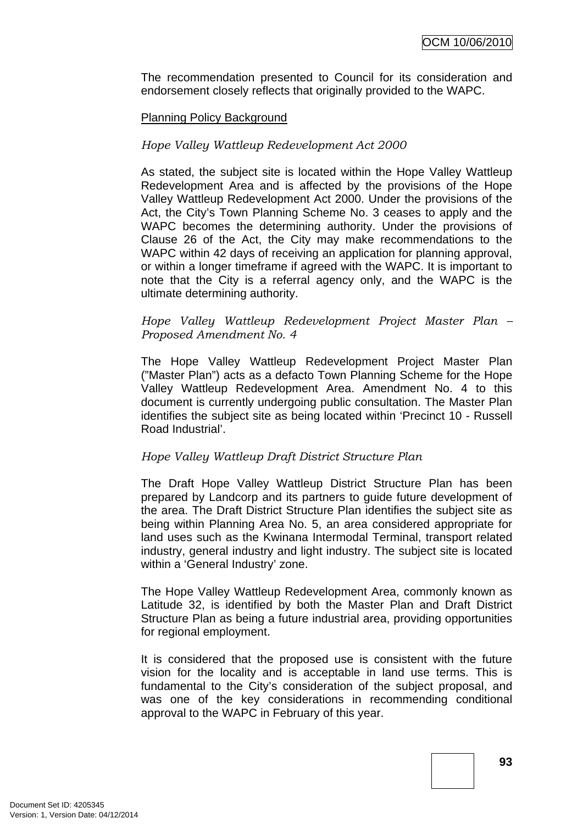The recommendation presented to Council for its consideration and endorsement closely reflects that originally provided to the WAPC.

#### Planning Policy Background

#### *Hope Valley Wattleup Redevelopment Act 2000*

As stated, the subject site is located within the Hope Valley Wattleup Redevelopment Area and is affected by the provisions of the Hope Valley Wattleup Redevelopment Act 2000. Under the provisions of the Act, the City's Town Planning Scheme No. 3 ceases to apply and the WAPC becomes the determining authority. Under the provisions of Clause 26 of the Act, the City may make recommendations to the WAPC within 42 days of receiving an application for planning approval, or within a longer timeframe if agreed with the WAPC. It is important to note that the City is a referral agency only, and the WAPC is the ultimate determining authority.

#### *Hope Valley Wattleup Redevelopment Project Master Plan – Proposed Amendment No. 4*

The Hope Valley Wattleup Redevelopment Project Master Plan ("Master Plan") acts as a defacto Town Planning Scheme for the Hope Valley Wattleup Redevelopment Area. Amendment No. 4 to this document is currently undergoing public consultation. The Master Plan identifies the subject site as being located within 'Precinct 10 - Russell Road Industrial'.

#### *Hope Valley Wattleup Draft District Structure Plan*

The Draft Hope Valley Wattleup District Structure Plan has been prepared by Landcorp and its partners to guide future development of the area. The Draft District Structure Plan identifies the subject site as being within Planning Area No. 5, an area considered appropriate for land uses such as the Kwinana Intermodal Terminal, transport related industry, general industry and light industry. The subject site is located within a 'General Industry' zone.

The Hope Valley Wattleup Redevelopment Area, commonly known as Latitude 32, is identified by both the Master Plan and Draft District Structure Plan as being a future industrial area, providing opportunities for regional employment.

It is considered that the proposed use is consistent with the future vision for the locality and is acceptable in land use terms. This is fundamental to the City's consideration of the subject proposal, and was one of the key considerations in recommending conditional approval to the WAPC in February of this year.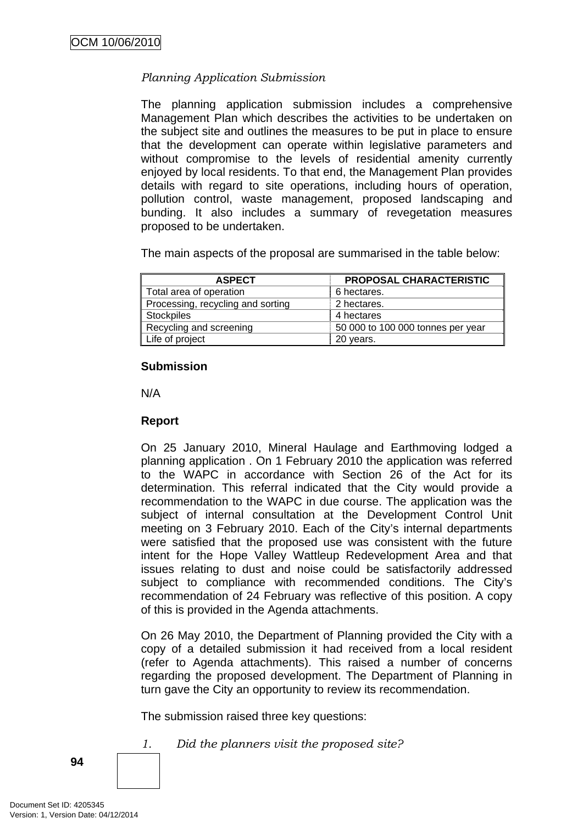## *Planning Application Submission*

The planning application submission includes a comprehensive Management Plan which describes the activities to be undertaken on the subject site and outlines the measures to be put in place to ensure that the development can operate within legislative parameters and without compromise to the levels of residential amenity currently enjoyed by local residents. To that end, the Management Plan provides details with regard to site operations, including hours of operation, pollution control, waste management, proposed landscaping and bunding. It also includes a summary of revegetation measures proposed to be undertaken.

The main aspects of the proposal are summarised in the table below:

| <b>ASPECT</b>                     | PROPOSAL CHARACTERISTIC           |
|-----------------------------------|-----------------------------------|
| Total area of operation           | 6 hectares.                       |
| Processing, recycling and sorting | 2 hectares.                       |
| Stockpiles                        | 4 hectares                        |
| Recycling and screening           | 50 000 to 100 000 tonnes per year |
| Life of project                   | 20 years.                         |

#### **Submission**

N/A

## **Report**

On 25 January 2010, Mineral Haulage and Earthmoving lodged a planning application . On 1 February 2010 the application was referred to the WAPC in accordance with Section 26 of the Act for its determination. This referral indicated that the City would provide a recommendation to the WAPC in due course. The application was the subject of internal consultation at the Development Control Unit meeting on 3 February 2010. Each of the City's internal departments were satisfied that the proposed use was consistent with the future intent for the Hope Valley Wattleup Redevelopment Area and that issues relating to dust and noise could be satisfactorily addressed subject to compliance with recommended conditions. The City's recommendation of 24 February was reflective of this position. A copy of this is provided in the Agenda attachments.

On 26 May 2010, the Department of Planning provided the City with a copy of a detailed submission it had received from a local resident (refer to Agenda attachments). This raised a number of concerns regarding the proposed development. The Department of Planning in turn gave the City an opportunity to review its recommendation.

The submission raised three key questions:

*1. Did the planners visit the proposed site?*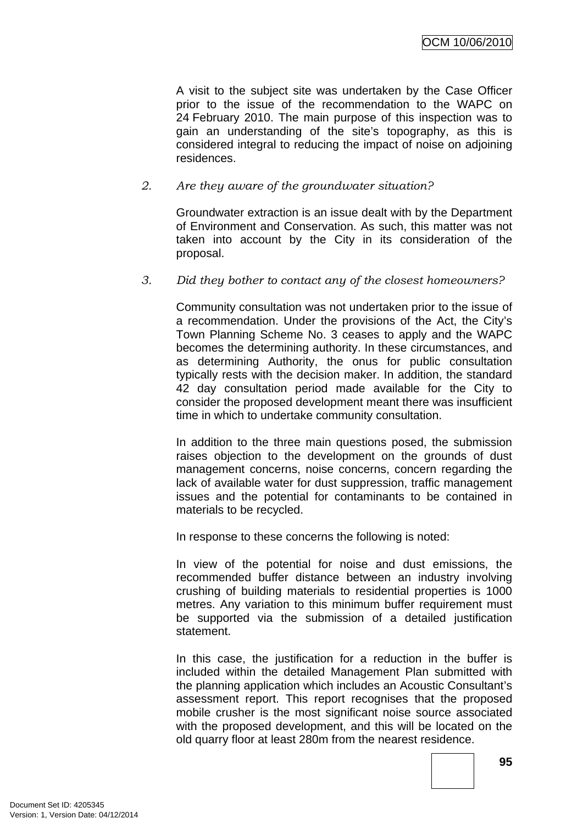A visit to the subject site was undertaken by the Case Officer prior to the issue of the recommendation to the WAPC on 24 February 2010. The main purpose of this inspection was to gain an understanding of the site's topography, as this is considered integral to reducing the impact of noise on adjoining residences.

### *2. Are they aware of the groundwater situation?*

Groundwater extraction is an issue dealt with by the Department of Environment and Conservation. As such, this matter was not taken into account by the City in its consideration of the proposal.

#### *3. Did they bother to contact any of the closest homeowners?*

Community consultation was not undertaken prior to the issue of a recommendation. Under the provisions of the Act, the City's Town Planning Scheme No. 3 ceases to apply and the WAPC becomes the determining authority. In these circumstances, and as determining Authority, the onus for public consultation typically rests with the decision maker. In addition, the standard 42 day consultation period made available for the City to consider the proposed development meant there was insufficient time in which to undertake community consultation.

In addition to the three main questions posed, the submission raises objection to the development on the grounds of dust management concerns, noise concerns, concern regarding the lack of available water for dust suppression, traffic management issues and the potential for contaminants to be contained in materials to be recycled.

In response to these concerns the following is noted:

In view of the potential for noise and dust emissions, the recommended buffer distance between an industry involving crushing of building materials to residential properties is 1000 metres. Any variation to this minimum buffer requirement must be supported via the submission of a detailed justification statement.

In this case, the justification for a reduction in the buffer is included within the detailed Management Plan submitted with the planning application which includes an Acoustic Consultant's assessment report. This report recognises that the proposed mobile crusher is the most significant noise source associated with the proposed development, and this will be located on the old quarry floor at least 280m from the nearest residence.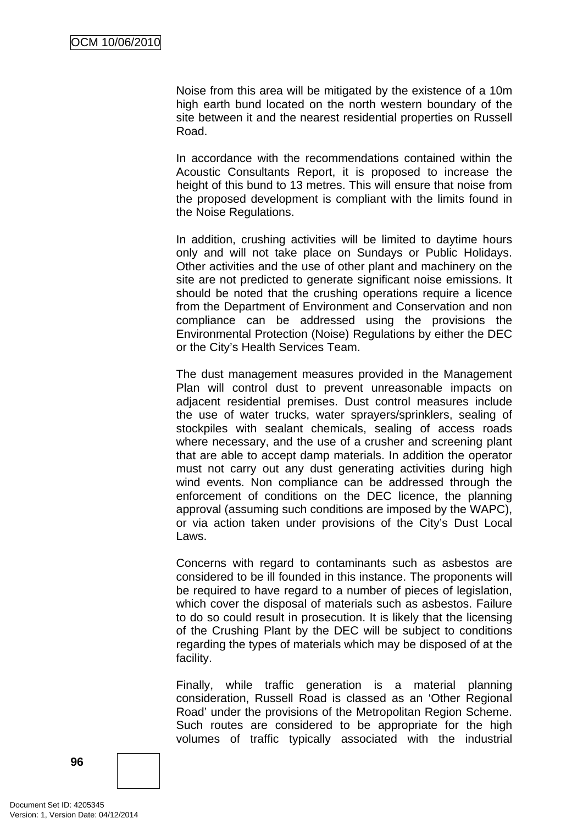Noise from this area will be mitigated by the existence of a 10m high earth bund located on the north western boundary of the site between it and the nearest residential properties on Russell Road.

In accordance with the recommendations contained within the Acoustic Consultants Report, it is proposed to increase the height of this bund to 13 metres. This will ensure that noise from the proposed development is compliant with the limits found in the Noise Regulations.

In addition, crushing activities will be limited to daytime hours only and will not take place on Sundays or Public Holidays. Other activities and the use of other plant and machinery on the site are not predicted to generate significant noise emissions. It should be noted that the crushing operations require a licence from the Department of Environment and Conservation and non compliance can be addressed using the provisions the Environmental Protection (Noise) Regulations by either the DEC or the City's Health Services Team.

The dust management measures provided in the Management Plan will control dust to prevent unreasonable impacts on adjacent residential premises. Dust control measures include the use of water trucks, water sprayers/sprinklers, sealing of stockpiles with sealant chemicals, sealing of access roads where necessary, and the use of a crusher and screening plant that are able to accept damp materials. In addition the operator must not carry out any dust generating activities during high wind events. Non compliance can be addressed through the enforcement of conditions on the DEC licence, the planning approval (assuming such conditions are imposed by the WAPC), or via action taken under provisions of the City's Dust Local Laws.

Concerns with regard to contaminants such as asbestos are considered to be ill founded in this instance. The proponents will be required to have regard to a number of pieces of legislation, which cover the disposal of materials such as asbestos. Failure to do so could result in prosecution. It is likely that the licensing of the Crushing Plant by the DEC will be subject to conditions regarding the types of materials which may be disposed of at the facility.

Finally, while traffic generation is a material planning consideration, Russell Road is classed as an 'Other Regional Road' under the provisions of the Metropolitan Region Scheme. Such routes are considered to be appropriate for the high volumes of traffic typically associated with the industrial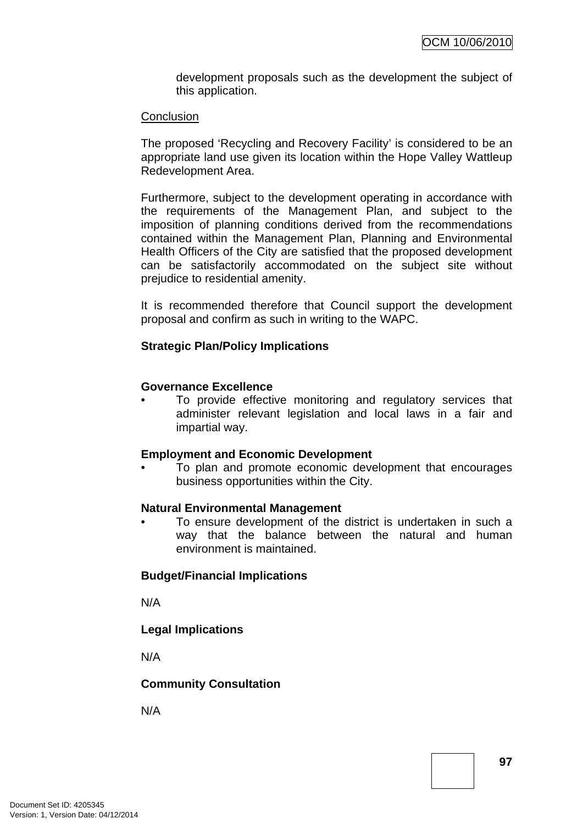development proposals such as the development the subject of this application.

#### **Conclusion**

The proposed 'Recycling and Recovery Facility' is considered to be an appropriate land use given its location within the Hope Valley Wattleup Redevelopment Area.

Furthermore, subject to the development operating in accordance with the requirements of the Management Plan, and subject to the imposition of planning conditions derived from the recommendations contained within the Management Plan, Planning and Environmental Health Officers of the City are satisfied that the proposed development can be satisfactorily accommodated on the subject site without prejudice to residential amenity.

It is recommended therefore that Council support the development proposal and confirm as such in writing to the WAPC.

#### **Strategic Plan/Policy Implications**

#### **Governance Excellence**

To provide effective monitoring and regulatory services that administer relevant legislation and local laws in a fair and impartial way.

#### **Employment and Economic Development**

• To plan and promote economic development that encourages business opportunities within the City.

#### **Natural Environmental Management**

• To ensure development of the district is undertaken in such a way that the balance between the natural and human environment is maintained.

#### **Budget/Financial Implications**

N/A

#### **Legal Implications**

N/A

#### **Community Consultation**

N/A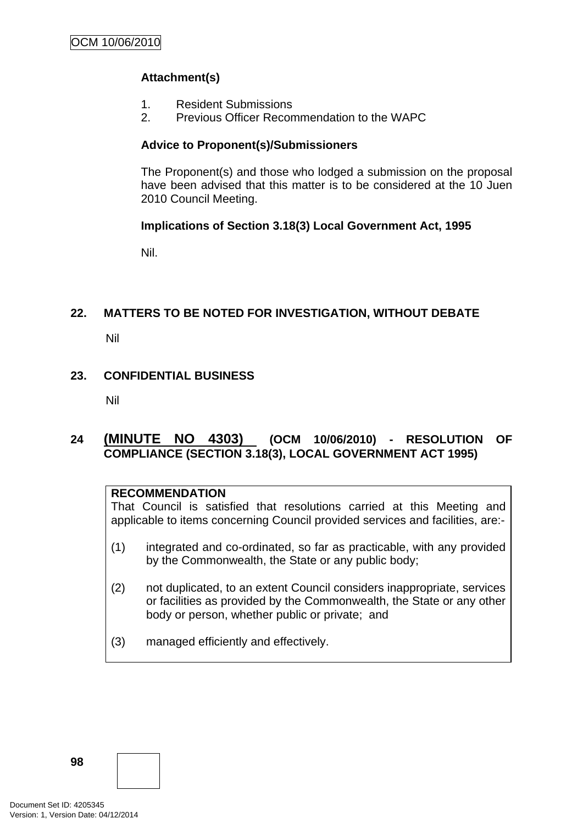## **Attachment(s)**

- 1. Resident Submissions
- 2. Previous Officer Recommendation to the WAPC

## **Advice to Proponent(s)/Submissioners**

The Proponent(s) and those who lodged a submission on the proposal have been advised that this matter is to be considered at the 10 Juen 2010 Council Meeting.

## **Implications of Section 3.18(3) Local Government Act, 1995**

Nil.

## **22. MATTERS TO BE NOTED FOR INVESTIGATION, WITHOUT DEBATE**

Nil

## **23. CONFIDENTIAL BUSINESS**

Nil

## **24 (MINUTE NO 4303) (OCM 10/06/2010) - RESOLUTION OF COMPLIANCE (SECTION 3.18(3), LOCAL GOVERNMENT ACT 1995)**

## **RECOMMENDATION**

That Council is satisfied that resolutions carried at this Meeting and applicable to items concerning Council provided services and facilities, are:-

- (1) integrated and co-ordinated, so far as practicable, with any provided by the Commonwealth, the State or any public body;
- (2) not duplicated, to an extent Council considers inappropriate, services or facilities as provided by the Commonwealth, the State or any other body or person, whether public or private; and
- (3) managed efficiently and effectively.